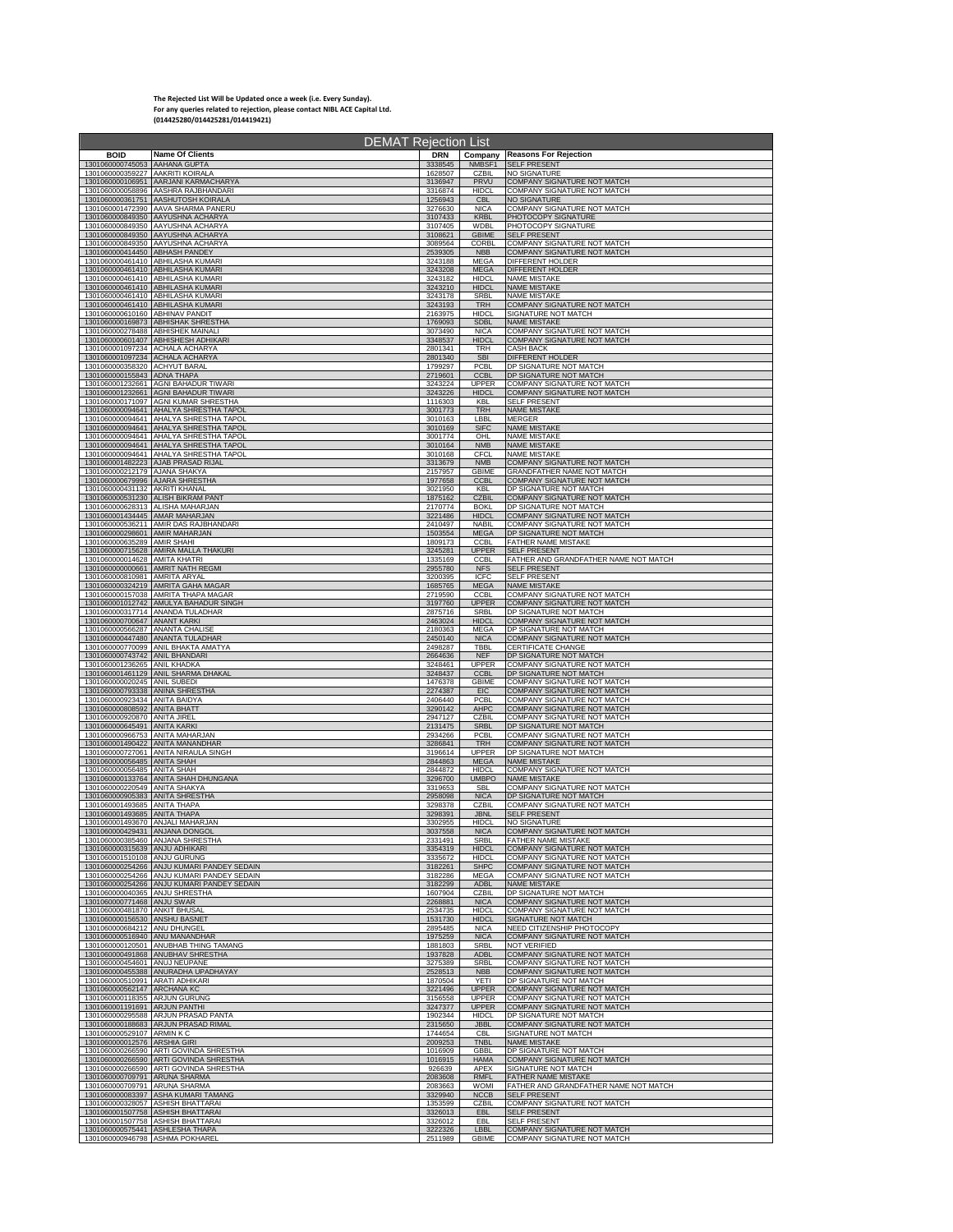## **The Rejected List Will be Updated once a week (i.e. Every Sunday). For any queries related to rejection, please contact NIBL ACE Capital Ltd. (014425280/014425281/014419421)**

|                                  | DEMAT Rejection List                       |                    |                              |                                                                   |
|----------------------------------|--------------------------------------------|--------------------|------------------------------|-------------------------------------------------------------------|
| <b>BOID</b>                      | <b>Name Of Clients</b>                     | <b>DRN</b>         | Company                      | <b>Reasons For Rejection</b>                                      |
| 1301060000745053 AAHANA GUPTA    |                                            | 3338545            | NMBSF1                       | <b>SELF PRESENT</b>                                               |
| 1301060000359227 AAKRITI KOIRALA |                                            | 1628507            | CZBIL                        | <b>NO SIGNATURE</b>                                               |
|                                  | 1301060000106951 AARJANI KARMACHARYA       | 3136947            | <b>PRVU</b>                  | COMPANY SIGNATURE NOT MATCH                                       |
|                                  | 1301060000058896 AASHRA RAJBHANDARI        | 3316874            | <b>HIDCI</b>                 | COMPANY SIGNATURE NOT MATCH                                       |
|                                  | 1301060000361751 AASHUTOSH KOIRALA         | 1256943            | <b>CBL</b>                   | NO SIGNATURE                                                      |
|                                  | 1301060001472390 AAVA SHARMA PANERU        | 3276630            | <b>NICA</b>                  | COMPANY SIGNATURE NOT MATCH                                       |
|                                  | 1301060000849350 AAYUSHNA ACHARYA          | 3107433            | <b>KRBL</b>                  | PHOTOCOPY SIGNATURE                                               |
|                                  | 1301060000849350 AAYUSHNA ACHARYA          | 3107405            | <b>WDBI</b>                  | PHOTOCOPY SIGNATURE                                               |
|                                  | 1301060000849350 AAYUSHNA ACHARYA          | 3108621            | <b>GBIME</b>                 | <b>SELF PRESENT</b>                                               |
| 1301060000414450 ABHASH PANDEY   | 1301060000849350 AAYUSHNA ACHARYA          | 3089564<br>2539305 | CORBL<br><b>NBB</b>          | COMPANY SIGNATURE NOT MATCH<br>COMPANY SIGNATURE NOT MATCH        |
|                                  | 1301060000461410 ABHILASHA KUMARI          | 3243188            | <b>MEGA</b>                  | DIFFERENT HOLDER                                                  |
|                                  | 1301060000461410 ABHILASHA KUMARI          | 3243208            | <b>MEGA</b>                  | DIFFERENT HOLDER                                                  |
|                                  | 1301060000461410 ABHILASHA KUMARI          | 3243182            | <b>HIDCL</b>                 | <b>NAME MISTAKE</b>                                               |
|                                  | 1301060000461410 ABHILASHA KUMARI          | 3243210            | <b>HIDCL</b>                 | <b>NAME MISTAKE</b>                                               |
|                                  | 1301060000461410 ABHILASHA KUMARI          | 3243178<br>3243193 | SRBI                         | <b>NAME MISTAKE</b>                                               |
| 1301060000610160 ABHINAV PANDIT  | 1301060000461410 ABHILASHA KUMARI          | 2163975            | <b>TRH</b><br><b>HIDCL</b>   | <b>COMPANY SIGNATURE NOT MATCH</b><br>SIGNATURE NOT MATCH         |
|                                  | 1301060000169873 ABHISHAK SHRESTHA         | 1769093            | <b>SDBL</b>                  | <b>NAME MISTAKE</b>                                               |
|                                  | 1301060000278488 ABHISHEK MAINALI          | 3073490            | <b>NICA</b>                  | <b>COMPANY SIGNATURE NOT MATCH</b>                                |
| 1301060001097234 ACHALA ACHARYA  | 1301060000601407 ABHISHESH ADHIKARI        | 3348537<br>2801341 | <b>HIDCL</b><br><b>TRH</b>   | COMPANY SIGNATURE NOT MATCH<br><b>CASH BACK</b>                   |
| 1301060001097234 ACHALA ACHARYA  |                                            | 2801340            | <b>SBI</b>                   | DIFFERENT HOLDER                                                  |
| 1301060000358320 ACHYUT BARAL    |                                            | 1799297            | <b>PCBL</b>                  | DP SIGNATURE NOT MATCH                                            |
| 1301060000155843 ADNA THAPA      |                                            | 2719601            | <b>CCBL</b>                  | DP SIGNATURE NOT MATCH                                            |
|                                  | 1301060001232661 AGNI BAHADUR TIWARI       | 3243224            | <b>UPPER</b>                 | COMPANY SIGNATURE NOT MATCH                                       |
|                                  | 1301060001232661 AGNI BAHADUR TIWARI       | 3243226            | <b>HIDCL</b>                 | COMPANY SIGNATURE NOT MATCH                                       |
|                                  | 1301060000171097 AGNI KUMAR SHRESTHA       | 1116303            | KBL                          | <b>SELF PRESENT</b>                                               |
|                                  | 1301060000094641 AHALYA SHRESTHA TAPOL     | 3001773            | <b>TRH</b>                   | <b>NAME MISTAKE</b>                                               |
|                                  | 1301060000094641 AHALYA SHRESTHA TAPOL     | 3010163            | LBBL                         | <b>MERGER</b>                                                     |
|                                  | 1301060000094641 AHALYA SHRESTHA TAPOL     | 3010169            | <b>SIFC</b>                  | <b>NAME MISTAKE</b>                                               |
|                                  | 1301060000094641 AHALYA SHRESTHA TAPOL     | 3001774            | OHL                          | <b>NAME MISTAKE</b>                                               |
|                                  | 1301060000094641 AHALYA SHRESTHA TAPOL     | 3010164            | <b>NMB</b>                   | <b>NAME MISTAKE</b>                                               |
|                                  | 1301060000094641 AHALYA SHRESTHA TAPOL     | 3010168            | CFCL                         | <b>NAME MISTAKE</b>                                               |
| 1301060000212179 AJANA SHAKYA    | 1301060001482223 AJAB PRASAD RIJAL         | 3313679<br>2157957 | <b>NMB</b><br><b>GBIME</b>   | <b>COMPANY SIGNATURE NOT MATCH</b><br>GRANDFATHER NAME NOT MATCH  |
| 1301060000679996 AJARA SHRESTHA  |                                            | 1977658            | <b>CCBL</b>                  | COMPANY SIGNATURE NOT MATCH                                       |
| 1301060000431132 AKRITI KHANAL   |                                            | 3021950            | <b>KBL</b>                   | DP SIGNATURE NOT MATCH                                            |
|                                  | 1301060000531230 ALISH BIKRAM PANT         | 1875162            | <b>CZBIL</b>                 | COMPANY SIGNATURE NOT MATCH                                       |
|                                  | 1301060000628313 ALISHA MAHARJAN           | 2170774            | <b>BOKL</b>                  | DP SIGNATURE NOT MATCH                                            |
| 1301060001434445 AMAR MAHARJAN   | 1301060000536211 AMIR DAS RAJBHANDARI      | 3221486<br>2410497 | <b>HIDCL</b><br><b>NABIL</b> | COMPANY SIGNATURE NOT MATCH<br>COMPANY SIGNATURE NOT MATCH        |
| 1301060000298601 AMIR MAHARJAN   |                                            | 1503554            | <b>MEGA</b>                  | DP SIGNATURE NOT MATCH                                            |
| 1301060000635289 AMIR SHAHI      | 1301060000715628 AMIRA MALLA THAKURI       | 1809173<br>3245281 | CCBL<br><b>UPPER</b>         | <b>FATHER NAME MISTAKE</b><br><b>SELF PRESENT</b>                 |
| 1301060000014628 AMITA KHATRI    | 1301060000000661 AMRIT NATH REGMI          | 1335169<br>2955780 | <b>CCBL</b><br><b>NFS</b>    | FATHER AND GRANDFATHER NAME NOT MATCH<br><b>SELF PRESENT</b>      |
| 1301060000810981 AMRITA ARYAL    | 1301060000324219 AMRITA GAHA MAGAR         | 3200395<br>1685765 | ICFC<br><b>MEGA</b>          | <b>SELF PRESENT</b><br><b>NAME MISTAKE</b>                        |
|                                  | 1301060000157038 AMRITA THAPA MAGAR        | 2719590            | CCBL                         | COMPANY SIGNATURE NOT MATCH                                       |
|                                  | 1301060001012742 AMULYA BAHADUR SINGH      | 3197760            | <b>UPPER</b>                 | <b>COMPANY SIGNATURE NOT MATCH</b>                                |
|                                  | 1301060000317714 ANANDA TULADHAR           | 2875716            | SRBL                         | DP SIGNATURE NOT MATCH                                            |
| 1301060000700647 ANANT KARKI     |                                            | 2463024            | <b>HIDCL</b>                 | COMPANY SIGNATURE NOT MATCH                                       |
| 1301060000566287 ANANTA CHALISE  |                                            | 2180363            | <b>MEGA</b>                  | DP SIGNATURE NOT MATCH                                            |
|                                  | 1301060000447480 ANANTA TULADHAR           | 2450140            | <b>NICA</b>                  | COMPANY SIGNATURE NOT MATCH                                       |
|                                  | 1301060000770099 ANIL BHAKTA AMATYA        | 2498287            | TBBL                         | CERTIFICATE CHANGE                                                |
| 1301060000743742 ANIL BHANDARI   |                                            | 2664636            | <b>NEF</b>                   | DP SIGNATURE NOT MATCH                                            |
| 1301060001236265 ANIL KHADKA     |                                            | 3248461            | <b>UPPER</b>                 | COMPANY SIGNATURE NOT MATCH                                       |
|                                  | 1301060001461129 ANIL SHARMA DHAKAL        | 3248437            | <b>CCBL</b>                  | DP SIGNATURE NOT MATCH                                            |
| 1301060000020245 ANIL SUBEDI     |                                            | 1476378            | <b>GBIME</b>                 | COMPANY SIGNATURE NOT MATCH                                       |
| 1301060000793338 ANINA SHRESTHA  |                                            | 2274387            | EIC                          | COMPANY SIGNATURE NOT MATCH                                       |
| 1301060000923434 ANITA BAIDYA    |                                            | 2406440            | PCBL                         | COMPANY SIGNATURE NOT MATCH                                       |
| 1301060000808592 ANITA BHATT     |                                            | 3290142            | <b>AHPC</b>                  | COMPANY SIGNATURE NOT MATCH                                       |
| 1301060000920870 ANITA JIREL     |                                            | 2947127            | <b>CZBIL</b>                 | COMPANY SIGNATURE NOT MATCH                                       |
| 1301060000645491 ANITA KARKI     |                                            | 2131475            | <b>SRBL</b>                  | DP SIGNATURE NOT MATCH                                            |
| 1301060000966753 ANITA MAHARJAN  | 1301060001490422 ANITA MANANDHAR           | 2934266<br>3286841 | PCBL<br><b>TRH</b>           | COMPANY SIGNATURE NOT MATCH<br><b>COMPANY SIGNATURE NOT MATCH</b> |
|                                  | 1301060000727061 ANITA NIRAULA SINGH       | 3196614            | <b>UPPER</b>                 | DP SIGNATURE NOT MATCH                                            |
| 1301060000056485 ANITA SHAH      |                                            | 2844863            | <b>MEGA</b>                  | <b>NAME MISTAKE</b>                                               |
| 1301060000056485 ANITA SHAH      |                                            | 2844872            | <b>HIDCL</b>                 | COMPANY SIGNATURE NOT MATCH                                       |
| 1301060000220549 ANITA SHAKYA    | 1301060000133764 ANITA SHAH DHUNGANA       | 3296700<br>3319653 | <b>UMBPO</b><br><b>SBL</b>   | <b>NAME MISTAKE</b><br>COMPANY SIGNATURE NOT MATCH                |
| 1301060000905383 ANITA SHRESTHA  |                                            | 2958098            | <b>NICA</b>                  | DP SIGNATURE NOT MATCH                                            |
| 1301060001493685 ANITA THAPA     |                                            | 3298378            | CZBIL                        | COMPANY SIGNATURE NOT MATCH                                       |
| 1301060001493685 ANITA THAPA     |                                            | 3298391            | <b>JBNL</b>                  | <b>SELF PRESENT</b>                                               |
| 1301060001493670 ANJALI MAHARJAN |                                            | 3302955            | <b>HIDCL</b>                 | NO SIGNATURE                                                      |
| 1301060000429431 ANJANA DONGOL   |                                            | 3037558            | <b>NICA</b>                  | COMPANY SIGNATURE NOT MATCH                                       |
| 1301060000315639 ANJU ADHIKARI   | 1301060000385460 ANJANA SHRESTHA           | 2331491<br>3354319 | SRBL<br><b>HIDCL</b>         | FATHER NAME MISTAKE<br>COMPANY SIGNATURE NOT MATCH                |
| 1301060001510108 ANJU GURUNG     | 1301060000254266 ANJU KUMARI PANDEY SEDAIN | 3335672<br>3182261 | <b>HIDCL</b><br><b>SHPC</b>  | COMPANY SIGNATURE NOT MATCH<br>COMPANY SIGNATURE NOT MATCH        |
|                                  | 1301060000254266 ANJU KUMARI PANDEY SEDAIN | 3182286            | MEGA                         | COMPANY SIGNATURE NOT MATCH                                       |
|                                  | 1301060000254266 ANJU KUMARI PANDEY SEDAIN | 3182299            | <b>ADBL</b>                  | <b>NAME MISTAKE</b>                                               |
| 1301060000040365 ANJU SHRESTHA   |                                            | 1607904            | CZBIL                        | DP SIGNATURE NOT MATCH                                            |
| 1301060000771468 ANJU SWAR       |                                            | 2268881            | <b>NICA</b>                  | <b>COMPANY SIGNATURE NOT MATCH</b>                                |
| 1301060000481870 ANKIT BHUSAL    |                                            | 2534735            | <b>HIDCL</b>                 | COMPANY SIGNATURE NOT MATCH                                       |
| 1301060000156530 ANSHU BASNET    |                                            | 1531730            | <b>HIDCL</b>                 | SIGNATURE NOT MATCH                                               |
| 1301060000684212 ANU DHUNGEL     |                                            | 2895485            | <b>NICA</b>                  | NEED CITIZENSHIP PHOTOCOPY                                        |
| 1301060000516940 ANU MANANDHAR   | 1301060000120501 ANUBHAB THING TAMANG      | 1975259<br>1881803 | <b>NICA</b><br><b>SRBI</b>   | <b>COMPANY SIGNATURE NOT MATCH</b><br><b>NOT VERIFIED</b>         |
| 1301060000454601 ANUJ NEUPANE    | 1301060000491868 ANUBHAV SHRESTHA          | 1937828<br>3275389 | <b>ADBL</b><br>SRBI          | COMPANY SIGNATURE NOT MATCH<br>COMPANY SIGNATURE NOT MATCH        |
| 1301060000510991 ARATI ADHIKARI  | 1301060000455388 ANURADHA UPADHAYAY        | 2528513<br>1870504 | <b>NBB</b><br>YETI           | <b>COMPANY SIGNATURE NOT MATCH</b><br>DP SIGNATURE NOT MATCH      |
| 1301060000562147 ARCHANA KC      |                                            | 3221496            | <b>UPPER</b>                 | COMPANY SIGNATURE NOT MATCH                                       |
| 1301060000118355 ARJUN GURUNG    |                                            | 3156558            | <b>UPPER</b>                 | COMPANY SIGNATURE NOT MATCH                                       |
| 1301060001191691 ARJUN PANTHI    |                                            | 3247377            | <b>UPPER</b>                 | COMPANY SIGNATURE NOT MATCH                                       |
|                                  | 1301060000295588 ARJUN PRASAD PANTA        | 1902344            | <b>HIDCL</b>                 | DP SIGNATURE NOT MATCH                                            |
|                                  | 1301060000188683 ARJUN PRASAD RIMAL        | 2315650            | <b>JBBL</b>                  | COMPANY SIGNATURE NOT MATCH                                       |
| 1301060000529107 ARMIN K C       |                                            | 1744654            | CBI                          | SIGNATURE NOT MATCH                                               |
| 1301060000012576 ARSHIA GIRI     |                                            | 2009253            | <b>TNBL</b>                  | <b>NAME MISTAKE</b>                                               |
|                                  | 1301060000266590 ARTI GOVINDA SHRESTHA     | 1016909            | GBBL                         | DP SIGNATURE NOT MATCH                                            |
|                                  | 1301060000266590 ARTI GOVINDA SHRESTHA     | 1016915            | <b>HAMA</b>                  | COMPANY SIGNATURE NOT MATCH                                       |
|                                  | 1301060000266590 ARTI GOVINDA SHRESTHA     | 926639             | <b>APFX</b>                  | SIGNATURE NOT MATCH                                               |
| 1301060000709791 ARUNA SHARMA    |                                            | 2083608            | <b>RMFL</b>                  | <b>FATHER NAME MISTAKE</b>                                        |
| 1301060000709791 ARUNA SHARMA    |                                            | 2083663            | <b>WOMI</b>                  | FATHER AND GRANDFATHER NAME NOT MATCH                             |
|                                  | 1301060000083397 ASHA KUMARI TAMANG        | 3329940            | <b>NCCB</b>                  | <b>SELF PRESENT</b>                                               |
|                                  | 1301060000328057 ASHISH BHATTARAI          | 1353599            | CZBIL                        | COMPANY SIGNATURE NOT MATCH                                       |
|                                  | 1301060001507758 ASHISH BHATTARAI          | 3326013            | EBL                          | <b>SELF PRESENT</b>                                               |
|                                  | 1301060001507758 ASHISH BHATTARAI          | 3326012            | EBL                          | SELF PRESENT                                                      |
| 1301060000575441 ASHLESHA THAPA  |                                            | 3222326            | <b>LBBI</b>                  | COMPANY SIGNATURE NOT MATCH                                       |
| 1301060000946798 ASHMA POKHAREL  |                                            | 2511989            | <b>GBIME</b>                 | COMPANY SIGNATURE NOT MATCH                                       |
|                                  |                                            |                    |                              |                                                                   |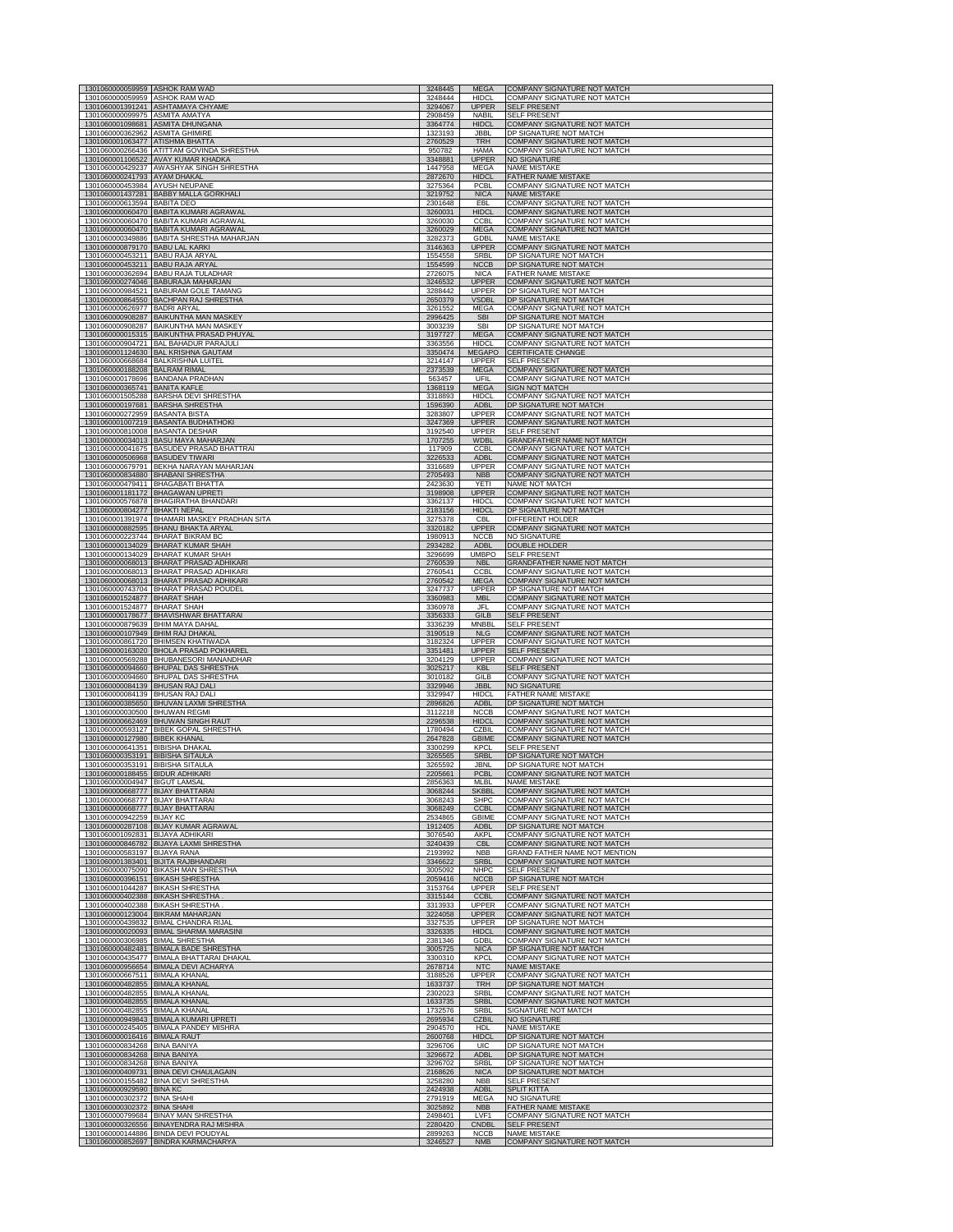| 1301060000059959 ASHOK RAM WAD                                       |                                                                        |                    |                              |                                                                   |
|----------------------------------------------------------------------|------------------------------------------------------------------------|--------------------|------------------------------|-------------------------------------------------------------------|
|                                                                      | 1301060000059959 ASHOK RAM WAD                                         | 3248445<br>3248444 | <b>MEGA</b><br><b>HIDCL</b>  | <b>COMPANY SIGNATURE NOT MATCH</b><br>COMPANY SIGNATURE NOT MATCH |
| 1301060000099975 ASMITA AMATYA                                       | 1301060001391241 ASHTAMAYA CHYAME                                      | 3294067<br>2908459 | <b>UPPER</b><br><b>NABIL</b> | <b>SELF PRESENT</b><br><b>SELF PRESENT</b>                        |
| 1301060001098681                                                     | <b>ASMITA DHUNGAI</b>                                                  | 3364774            | <b>HIDCI</b>                 | <b>COMPANY SIGNATURE NOT MATCH</b>                                |
| 1301060000362962                                                     | <b>ASMITA GHIMIRE</b>                                                  | 1323193            | JBBL                         | DP SIGNATURE NOT MATCH                                            |
| 1301060001063477 ATISHMA BHATTA                                      | ATITTAM GOVINDA SHRESTHA                                               | 2760529            | <b>TRH</b>                   | COMPANY SIGNATURE NOT MATCH                                       |
| 1301060000266436                                                     |                                                                        | 950782             | <b>HAMA</b>                  | COMPANY SIGNATURE NOT MATCH                                       |
| 1301060001106522                                                     | AVAY KUMAR KHADKA                                                      | 3348881            | <b>UPPER</b>                 | <b>NO SIGNATURE</b>                                               |
| 1301060000241793 AYAM DHAKAL                                         | 1301060000429237 AWASHYAK SINGH SHRESTHA                               | 1447958<br>2872670 | MEGA<br><b>HIDCL</b>         | <b>NAME MISTAKE</b><br><b>FATHER NAME MISTAKE</b>                 |
| 1301060000453984                                                     | AYUSH NEUPANE                                                          | 3275364            | PCBL                         | COMPANY SIGNATURE NOT MATCH                                       |
| 1301060001437281                                                     | <b>BABBY MALLA GORKHALI</b>                                            | 3219752            | <b>NICA</b>                  | <b>NAME MISTAKE</b>                                               |
| 1301060000613594                                                     | <b>BABITA DEO</b>                                                      | 2301648            | EBL                          | COMPANY SIGNATURE NOT MATCH                                       |
| 1301060000060470                                                     | <b>BABITA KUMARI AGRAWAL</b>                                           | 3260031            | <b>HIDCL</b>                 | COMPANY SIGNATURE NOT MATCH                                       |
| 1301060000060470                                                     | <b>BABITA KUMARI AGRAWAL</b><br>1301060000060470 BABITA KUMARI AGRAWAL | 3260030            | <b>CCBL</b><br><b>MEGA</b>   | COMPANY SIGNATURE NOT MATCH<br>COMPANY SIGNATURE NOT MATCH        |
|                                                                      | 1301060000349886 BABITA SHRESTHA MAHARJAN                              | 3260029<br>3282373 | GDBL                         | <b>NAME MISTAKE</b>                                               |
| 1301060000879170 BABU LAL KARKI                                      | <b>BABU RAJA ARYAL</b>                                                 | 3146363            | <b>UPPER</b>                 | COMPANY SIGNATURE NOT MATCH                                       |
| 1301060000453211                                                     |                                                                        | 1554558            | SRBL                         | DP SIGNATURE NOT MATCH                                            |
| 1301060000453211                                                     | <b>BABU RAJA ARYAL</b>                                                 | 1554599            | <b>NCCB</b>                  | DP SIGNATURE NOT MATCH                                            |
| 1301060000362694                                                     | <b>BABU RAJA TULADHAR</b>                                              | 2726075            | <b>NICA</b>                  | FATHER NAME MISTAKE                                               |
| 1301060000274046                                                     | BABURAJA MAHARJAN                                                      | 3246532            | <b>UPPER</b>                 | COMPANY SIGNATURE NOT MATCH                                       |
| 1301060000984521                                                     | <b>BABURAM GOLE TAMANG</b>                                             | 3288442            | <b>UPPER</b>                 | DP SIGNATURE NOT MATCH                                            |
|                                                                      | 1301060000864550 BACHPAN RAJ SHRESTHA                                  | 2650379            | VSDBL                        | DP SIGNATURE NOT MATCH                                            |
| 1301060000626977 BADRI ARYAL                                         | 1301060000908287 BAIKUNTHA MAN MASKEY                                  | 3261552<br>2996425 | MEGA<br><b>SBI</b>           | COMPANY SIGNATURE NOT MATCH<br>DP SIGNATURE NOT MATCH             |
| 1301060000015315                                                     | 1301060000908287 BAIKUNTHA MAN MASKEY                                  | 3003239            | <b>SBI</b>                   | DP SIGNATURE NOT MATCH                                            |
|                                                                      | <b>BAIKUNTHA PRASAD PHUYAL</b>                                         | 3197727            | <b>MEGA</b>                  | COMPANY SIGNATURE NOT MATCH                                       |
| 1301060001124630                                                     | 1301060000904721 BAL BAHADUR PARAJULI                                  | 3363556            | <b>HIDCL</b>                 | COMPANY SIGNATURE NOT MATCH                                       |
|                                                                      | <b>BAL KRISHNA GAUTAM</b>                                              | 3350474            | MEGAPO                       | <b>CERTIFICATE CHANGE</b>                                         |
| 1301060000188208                                                     | 1301060000668684 BALKRISHNA LUITEL                                     | 3214147            | <b>UPPER</b>                 | <b>SELF PRESENT</b>                                               |
|                                                                      | <b>BALRAM RIMAL</b>                                                    | 2373539            | <b>MEGA</b>                  | COMPANY SIGNATURE NOT MATCH                                       |
|                                                                      | 1301060000178696 BANDANA PRADHAN                                       | 563457             | UFIL                         | COMPANY SIGNATURE NOT MATCH                                       |
| 1301060000365741 BANITA KAFLE                                        | BARSHA DEVI SHRESTHA                                                   | 1368119            | <b>MEGA</b>                  | <b>SIGN NOT MATCH</b>                                             |
| 1301060001505288                                                     |                                                                        | 3318893            | <b>HIDCL</b>                 | COMPANY SIGNATURE NOT MATCH                                       |
| 1301060000197681                                                     | <b>BARSHA SHRESTHA</b>                                                 | 1596390            | <b>ADBL</b>                  | DP SIGNATURE NOT MATCH                                            |
| 1301060000272959 BASANTA BISTA                                       |                                                                        | 3283807            | UPPER                        | COMPANY SIGNATURE NOT MATCH                                       |
| 1301060000810008 BASANTA DESHAR                                      | 1301060001007219 BASANTA BUDHATHOKI                                    | 3247369<br>3192540 | <b>UPPER</b><br><b>UPPER</b> | COMPANY SIGNATURE NOT MATCH<br><b>SELF PRESENT</b>                |
| 1301060000034013                                                     | <b>BASU MAYA MAHARJAN</b><br>1301060000041675 BASUDEV PRASAD BHATTRAI  | 1707255<br>117909  | WDBL                         | <b>GRANDFATHER NAME NOT MATCH</b><br>COMPANY SIGNATURE NOT MATCH  |
| 1301060000506968 BASUDEV TIWARI                                      |                                                                        | 3226533            | <b>CCBL</b><br><b>ADBL</b>   | COMPANY SIGNATURE NOT MATCH                                       |
| 1301060000834880                                                     | 1301060000679791 BEKHA NARAYAN MAHARJAN                                | 3316689            | <b>UPPER</b>                 | COMPANY SIGNATURE NOT MATCH                                       |
|                                                                      | <b>BHABANI SHRESTHA</b>                                                | 2705493            | <b>NBB</b>                   | COMPANY SIGNATURE NOT MATCH                                       |
| 1301060000479411                                                     | <b>BHAGABATI BHATTA</b>                                                | 2423630            | YETI                         | NAME NOT MATCH                                                    |
| 1301060001181172                                                     | <b>BHAGAWAN UPRETI</b>                                                 | 3198908            | <b>UPPER</b>                 | <b>COMPANY SIGNATURE NOT MATCH</b>                                |
| 1301060000576878                                                     | <b>BHAGIRATHA BHANDARI</b>                                             | 3362137            | <b>HIDCI</b>                 | COMPANY SIGNATURE NOT MATCH                                       |
| 1301060000804277                                                     | <b>BHAKTI NEPAL</b>                                                    | 2183156            | <b>HIDCL</b>                 | DP SIGNATURE NOT MATCH                                            |
| 1301060001391974                                                     | BHAMARI MASKEY PRADHAN SITA                                            | 3275378            | <b>CBL</b>                   | DIFFERENT HOLDER                                                  |
| 1301060000882595                                                     | <b>BHANU BHAKTA ARYAL</b>                                              | 3320182            | <b>UPPER</b>                 | COMPANY SIGNATURE NOT MATCH                                       |
| 1301060000223744                                                     | <b>BHARAT BIKRAM BC</b>                                                | 1980913            | <b>NCCB</b>                  | <b>NO SIGNATURE</b>                                               |
| 1301060000134029                                                     | <b>BHARAT KUMAR SHAH</b>                                               | 2934282            | <b>ADBL</b>                  | DOUBLE HOLDER                                                     |
| 1301060000134029                                                     | <b>BHARAT KUMAR SHAH</b>                                               | 3296699            | <b>UMBPO</b>                 | <b>SELF PRESENT</b>                                               |
| 1301060000068013                                                     | <b>BHARAT PRASAD ADHIKAR</b>                                           | 2760539            | <b>NBL</b>                   | GRANDFATHER NAME NOT MATCH                                        |
| 1301060000068013                                                     | <b>BHARAT PRASAD ADHIKARI</b>                                          | 2760541            | <b>CCBL</b>                  | COMPANY SIGNATURE NOT MATCH                                       |
| 1301060000068013                                                     | <b>BHARAT PRASAD ADHIKARI</b>                                          | 2760542            | <b>MEGA</b>                  | COMPANY SIGNATURE NOT MATCH                                       |
| 1301060000743704                                                     | <b>BHARAT PRASAD POUDEL</b>                                            | 3247737            | UPPER                        | DP SIGNATURE NOT MATCH                                            |
| 1301060001524877                                                     | <b>BHARAT SHAH</b>                                                     | 3360983            | <b>MBL</b>                   | COMPANY SIGNATURE NOT MATCH                                       |
| 1301060001524877 BHARAT SHAH                                         | <b>BHAVISHWAR BHATTARAI</b>                                            | 3360978            | JFL                          | COMPANY SIGNATURE NOT MATCH                                       |
| 1301060000178677                                                     |                                                                        | 3356333            | GILB                         | SELF PRESENT                                                      |
| 1301060000879639                                                     | <b>BHIM MAYA DAHAL</b>                                                 | 3336239            | MNBBL                        | <b>SELF PRESENT</b>                                               |
| 1301060000107949                                                     | <b>BHIM RAJ DHAKAL</b>                                                 | 3190519            | <b>NLG</b>                   | COMPANY SIGNATURE NOT MATCH                                       |
|                                                                      | 1301060000861720 BHIMSEN KHATIWADA                                     | 3182324            | UPPER                        | COMPANY SIGNATURE NOT MATCH                                       |
|                                                                      | 1301060000163020 BHOLA PRASAD POKHARE                                  | 3351481            | <b>UPPER</b>                 | <b>SELF PRESENT</b>                                               |
| 1301060000569288                                                     | BHUBANESORI MANANDHAR                                                  | 3204129            |                              |                                                                   |
|                                                                      |                                                                        |                    | <b>UPPER</b>                 | COMPANY SIGNATURE NOT MATCH                                       |
|                                                                      | 1301060000094660 BHUPAL DAS SHRESTHA                                   | 3025217            | <b>KBL</b>                   | <b>SELF PRESENT</b>                                               |
|                                                                      | 1301060000094660 BHUPAL DAS SHRESTHA                                   | 3010182            | GILB                         | COMPANY SIGNATURE NOT MATCH                                       |
| 1301060000084139 BHUSAN RAJ DALI                                     | <b>BHUSAN RAJ DALI</b>                                                 | 3329946            | <b>JBBL</b>                  | <b>NO SIGNATURE</b>                                               |
| 1301060000084139                                                     |                                                                        | 3329947            | HIDCL                        | FATHER NAME MISTAKE                                               |
| 1301060000385650                                                     | <b>BHUVAN LAXMI SHRESTHA</b><br><b>BHUWAN REGMI</b>                    | 2896826<br>3112218 | <b>ADBL</b><br><b>NCCB</b>   | DP SIGNATURE NOT MATCH                                            |
| 1301060000030500<br>1301060000662469                                 | <b>BHUWAN SINGH RAUT</b>                                               | 2296538            | <b>HIDCL</b>                 | COMPANY SIGNATURE NOT MATCH<br><b>COMPANY SIGNATURE NOT MATCH</b> |
| 1301060000593127                                                     | <b>BIBEK GOPAL SHRESTHA</b>                                            | 1780494            | CZBIL                        | COMPANY SIGNATURE NOT MATCH                                       |
| 1301060000127980 BIBEK KHANAL                                        |                                                                        | 2647828            | <b>GBIME</b>                 | <b>COMPANY SIGNATURE NOT MATCH</b>                                |
| 1301060000641351 BIBISHA DHAKAL                                      |                                                                        | 3300299            | KPCL                         | <b>SELF PRESENT</b>                                               |
| 1301060000353191 BIBISHA SITAULA                                     |                                                                        | 3265565            | <b>SRBL</b>                  | DP SIGNATURE NOT MATCH                                            |
| 1301060000353191 BIBISHA SITAULA                                     |                                                                        | 3265592            | <b>JBNL</b>                  | DP SIGNATURE NOT MATCH                                            |
| 1301060000188455 BIDUR ADHIKARI                                      |                                                                        | 2205661            | <b>PCBL</b>                  | COMPANY SIGNATURE NOT MATCH                                       |
|                                                                      |                                                                        | 3068244            | <b>SKBBL</b>                 |                                                                   |
| 1301060000668777 BIJAY BHATTARAI<br>1301060000668777 BIJAY BHATTARAI |                                                                        | 3068243            | <b>SHPC</b>                  | COMPANY SIGNATURE NOT MATCH<br>COMPANY SIGNATURE NOT MATCH        |
| 1301060000668777 BIJAY BHATTARAI                                     |                                                                        | 3068249            | <b>CCBL</b>                  | <b>COMPANY SIGNATURE NOT MATCH</b>                                |
| 1301060000942259 BIJAY KC                                            |                                                                        | 2534865            | <b>GBIME</b>                 | COMPANY SIGNATURE NOT MATCH                                       |
| 1301060001092831 BIJAYA ADHIKARI                                     | 1301060000287108 BIJAY KUMAR AGRAWAL                                   | 1912405<br>3076540 | <b>ADBL</b><br>AKPI          | DP SIGNATURE NOT MATCH<br><b>COMPANY SIGNATURE NOT MATCH</b>      |
| 1301060000846782                                                     | <b>BIJAYA LAXMI SHRESTHA</b>                                           | 3240439            | <b>CBL</b>                   | <b>COMPANY SIGNATURE NOT MATCH</b>                                |
| 1301060000583197 BIJAYA RANA                                         |                                                                        | 2193992            | <b>NBB</b>                   | GRAND FATHER NAME NOT MENTION                                     |
| 1301060001383401                                                     | <b>BIJITA RAJBHANDARI</b>                                              | 3346622            | <b>SRBL</b>                  | COMPANY SIGNATURE NOT MATCH                                       |
|                                                                      | 1301060000075090 BIKASH MAN SHRESTHA                                   | 3005092            | NHPC                         | <b>SELF PRESENT</b>                                               |
| 1301060000396151                                                     | <b>BIKASH SHRESTHA</b>                                                 | 2059416            | <b>NCCB</b>                  | DP SIGNATURE NOT MATCH                                            |
| 1301060000402388 BIKASH SHRESTHA                                     | 1301060001044287 BIKASH SHRESTHA                                       | 3153764<br>3315144 | <b>UPPER</b><br><b>CCBL</b>  | <b>SELF PRESENT</b><br>COMPANY SIGNATURE NOT MATCH                |
| 1301060000123004                                                     | 1301060000402388 BIKASH SHRESTHA                                       | 3313933            | <b>UPPER</b>                 | COMPANY SIGNATURE NOT MATCH                                       |
|                                                                      | <b>BIKRAM MAHARJAN</b>                                                 | 3224058            | <b>UPPER</b>                 | COMPANY SIGNATURE NOT MATCH                                       |
| 1301060000439832                                                     | <b>BIMAL CHANDRA RIJAI</b>                                             | 3327535            | <b>UPPER</b>                 | DP SIGNATURE NOT MATCH                                            |
| 1301060000020093                                                     | <b>BIMAL SHARMA MARASIN</b>                                            | 3326335            | <b>HIDCL</b>                 | <b>COMPANY SIGNATURE NOT MATCH</b>                                |
| 1301060000306985                                                     | <b>BIMAL SHRESTHA</b>                                                  | 2381346            | GDBL                         | <b>COMPANY SIGNATURE NOT MATCH</b>                                |
| 1301060000482481                                                     | <b>BIMALA BADE SHRESTHA</b>                                            | 3005725            | <b>NICA</b>                  | DP SIGNATURE NOT MATCH                                            |
| 1301060000435477                                                     | <b>BIMALA BHATTARAI DHAKAI</b>                                         | 3300310            | <b>KPCL</b>                  | COMPANY SIGNATURE NOT MATCH                                       |
| 1301060000956654                                                     | <b>BIMALA DEVI ACHARYA</b>                                             | 2678714            | <b>NTC</b>                   | <b>NAME MISTAKE</b>                                               |
| 1301060000667511 BIMALA KHANAL                                       |                                                                        | 3188526            | UPPER                        | COMPANY SIGNATURE NOT MATCH                                       |
| 1301060000482855 BIMALA KHANAL                                       | <b>BIMALA KHANAL</b>                                                   | 1633737            | <b>TRH</b>                   | DP SIGNATURE NOT MATCH                                            |
| 1301060000482855                                                     |                                                                        | 2302023            | SRBL                         | COMPANY SIGNATURE NOT MATCH                                       |
| 1301060000482855                                                     | <b>BIMALA KHANAL</b>                                                   | 1633735            | SRBL                         | COMPANY SIGNATURE NOT MATCH                                       |
| 1301060000482855                                                     | <b>BIMALA KHANAL</b>                                                   | 1732576            | SRBL                         | SIGNATURE NOT MATCH                                               |
| 1301060000949843                                                     | <b>BIMALA KUMARI UPRETI</b>                                            | 2695934            | <b>CZBIL</b>                 | <b>NO SIGNATURE</b>                                               |
| 1301060000245405                                                     | <b>BIMALA PANDEY MISHRA</b>                                            | 2904570            | HDL                          | <b>NAME MISTAKE</b>                                               |
| 1301060000016416 BIMALA RAUT                                         |                                                                        | 2600768            | <b>HIDCL</b>                 | DP SIGNATURE NOT MATCH                                            |
| 1301060000834268 BINA BANIYA                                         |                                                                        | 3296706            | UIC                          | DP SIGNATURE NOT MATCH                                            |
| 1301060000834268 BINA BANIYA                                         |                                                                        | 3296672            | <b>ADBL</b>                  | DP SIGNATURE NOT MATCH                                            |
| 1301060000834268                                                     | <b>BINA BANIYA</b>                                                     | 3296702            | SRBL                         | DP SIGNATURE NOT MATCH                                            |
| 1301060000409731                                                     | <b>BINA DEVI CHAULAGAIN</b>                                            | 2168626            | <b>NICA</b>                  | DP SIGNATURE NOT MATCH                                            |
| 1301060000929590 BINA KC                                             | 1301060000155482 BINA DEVI SHRESTHA                                    | 3258280<br>2424938 | <b>NBB</b><br><b>ADBL</b>    | <b>SELF PRESENT</b><br><b>SPLIT KITTA</b>                         |
| 1301060000302372                                                     | <b>BINA SHAHI</b>                                                      | 2791919            | <b>MEGA</b><br><b>NBB</b>    | <b>NO SIGNATURE</b>                                               |
| 1301060000302372                                                     | <b>BINA SHAHI</b>                                                      | 3025892            | LVF1                         | FATHER NAME MISTAKE                                               |
| 1301060000799684                                                     | <b>BINAY MAN SHRESTHA</b>                                              | 2498401            |                              | COMPANY SIGNATURE NOT MATCH                                       |
|                                                                      | 1301060000326556 BINAYENDRA RAJ MISHRA                                 | 2280420            | <b>CNDBL</b>                 | <b>SELF PRESENT</b>                                               |
|                                                                      | 1301060000144886 BINDA DEVI POUDYAL                                    | 2899263            | <b>NCCB</b>                  | <b>NAME MISTAKE</b>                                               |
|                                                                      | 1301060000852697 BINDRA KARMACHARYA                                    | 3246527            | <b>NMB</b>                   | COMPANY SIGNATURE NOT MATCH                                       |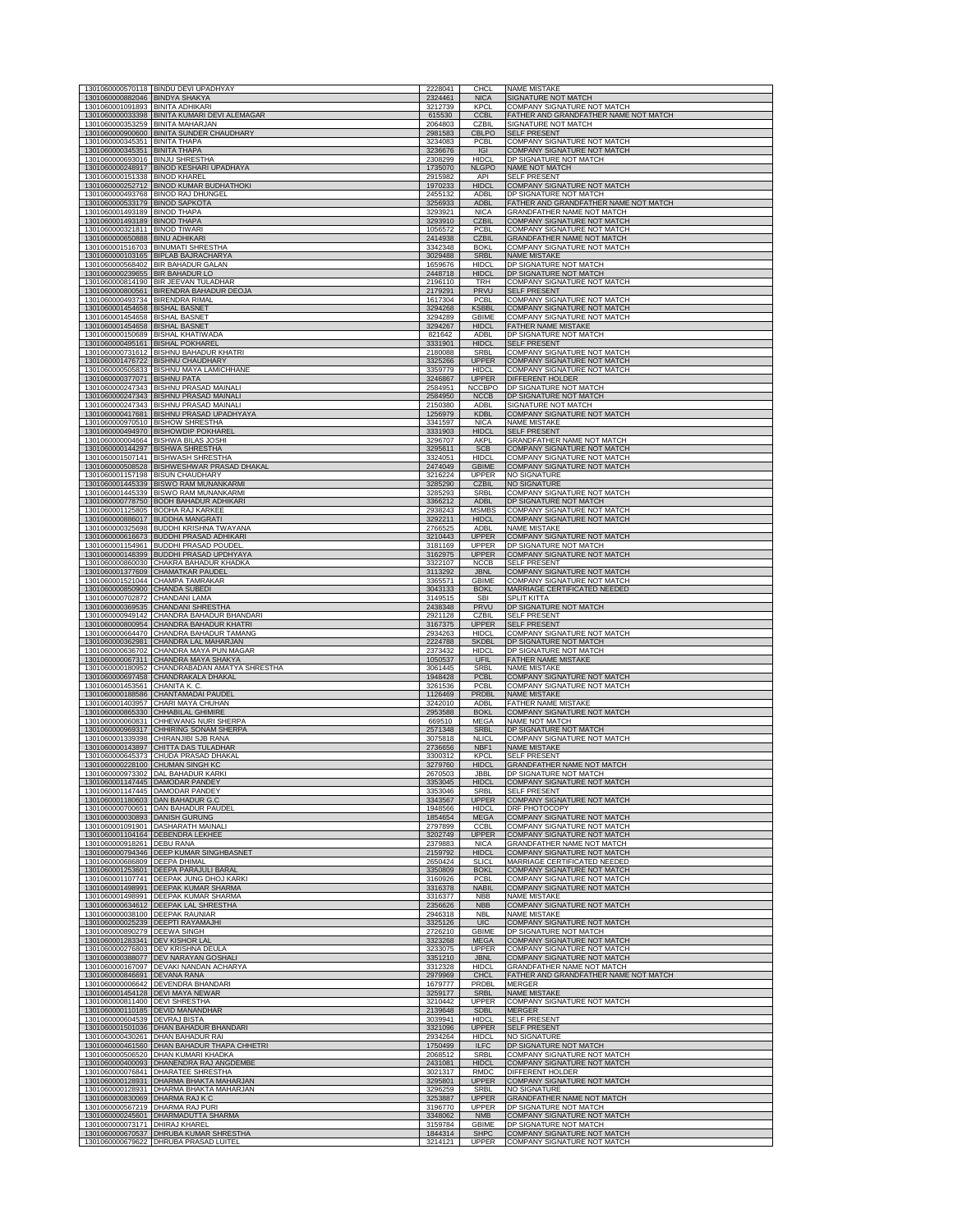|                                                                | 1301060000570118 BINDU DEVI UPADHYAY                                               | 2228041            | <b>CHCL</b>                   | <b>NAME MISTAKE</b>                                                  |
|----------------------------------------------------------------|------------------------------------------------------------------------------------|--------------------|-------------------------------|----------------------------------------------------------------------|
| 1301060000882046 BINDYA SHAKYA                                 |                                                                                    | 2324461            | <b>NICA</b>                   | SIGNATURE NOT MATCH                                                  |
| 1301060001091893<br>1301060000033398                           | <b>BINITA ADHIKAR</b><br>BINITA KUMARI DEVI ALEMAGAR                               | 3212739<br>615530  | <b>KPCI</b><br><b>CCBI</b>    | COMPANY SIGNATURE NOT MATCH<br>FATHER AND GRANDFATHER NAME NOT MATCH |
| 1301060000353259 BINITA MAHARJAN                               |                                                                                    | 2064803            | C <sub>7</sub> BII            | SIGNATURE NOT MATCH                                                  |
|                                                                | 1301060000900600 BINITA SUNDER CHAUDHARY                                           | 2981583            | CBLPO                         | SELF PRESENT                                                         |
| 1301060000345351 BINITA THAPA<br>1301060000345351 BINITA THAPA |                                                                                    | 3234083<br>3236676 | PCBL<br><b>IGI</b>            | COMPANY SIGNATURE NOT MATCH<br>COMPANY SIGNATURE NOT MATCH           |
| 1301060000693016 BINJU SHRESTHA                                |                                                                                    | 2308299            | <b>HIDCI</b>                  | DP SIGNATURE NOT MATCH                                               |
| 1301060000248917<br>1301060000151338                           | <b>BINOD KESHARI UPADHAYA</b><br><b>BINOD KHAREL</b>                               | 1735070<br>2915982 | <b>NLGPO</b><br>API           | NAME NOT MATCH<br><b>SELF PRESENT</b>                                |
| 1301060000252712                                               | <b>BINOD KUMAR BUDHATHOKI</b>                                                      | 1970233            | <b>HIDCL</b>                  | COMPANY SIGNATURE NOT MATCH                                          |
| 1301060000533179 BINOD SAPKOTA                                 | 1301060000493768 BINOD RAJ DHUNGEL                                                 | 2455132<br>3256933 | <b>ADBL</b><br><b>ADBL</b>    | DP SIGNATURE NOT MATCH<br>FATHER AND GRANDFATHER NAME NOT MATCH      |
| 1301060001493189 BINOD THAPA                                   |                                                                                    | 3293921            | <b>NICA</b>                   | GRANDFATHER NAME NOT MATCH                                           |
| 1301060001493189 BINOD THAPA                                   |                                                                                    | 3293910            | <b>CZBIL</b>                  | COMPANY SIGNATURE NOT MATCH                                          |
| 1301060000321811 BINOD TIWARI<br>1301060000650888              | <b>BINU ADHIKARI</b>                                                               | 1056572<br>2414938 | PCBL<br><b>CZBIL</b>          | COMPANY SIGNATURE NOT MATCH<br><b>GRANDFATHER NAME NOT MATCH</b>     |
|                                                                | 1301060001516703 BINUMATI SHRESTHA                                                 | 3342348            | <b>BOKI</b>                   | COMPANY SIGNATURE NOT MATCH                                          |
| 1301060000103165                                               | <b>BIPLAB BAJRACHARYA</b><br>1301060000568402 BIR BAHADUR GALAN                    | 3029488<br>1659676 | <b>SRBL</b><br><b>HIDCL</b>   | <b>NAME MISTAKE</b><br>DP SIGNATURE NOT MATCH                        |
| 1301060000239655 BIR BAHADUR LO                                |                                                                                    | 2448718            | <b>HIDCL</b>                  | DP SIGNATURE NOT MATCH                                               |
|                                                                | 1301060000814190 BIR JEEVAN TULADHAR                                               | 2196110            | TRH                           | COMPANY SIGNATURE NOT MATCH                                          |
| 1301060000493734 BIRENDRA RIMAL                                | 1301060000800561 BIRENDRA BAHADUR DEOJA                                            | 2179291<br>1617304 | PRVU<br>PCBL                  | <b>SELF PRESENT</b><br>COMPANY SIGNATURE NOT MATCH                   |
| 1301060001454658                                               | <b>BISHAL BASNET</b>                                                               | 3294268            | <b>KSBBL</b>                  | <b>COMPANY SIGNATURE NOT MATCH</b>                                   |
| 1301060001454658<br>1301060001454658                           | <b>BISHAL BASNET</b><br><b>BISHAL BASNET</b>                                       | 3294289<br>3294267 | <b>GBIME</b><br><b>HIDC</b>   | COMPANY SIGNATURE NOT MATCH<br><b>FATHER NAME MISTAL</b>             |
| 1301060000150689                                               | <b>BISHAL KHATIWADA</b>                                                            | 821642             | ADBL                          | DP SIGNATURE NOT MATCH                                               |
| 1301060000495161<br>1301060000731612                           | <b>BISHAL POKHAREL</b><br><b>BISHNU BAHADUR KHATRI</b>                             | 3331901<br>2180088 | <b>HIDCL</b><br>SRBL          | <b>SELF PRESENT</b><br>COMPANY SIGNATURE NOT MATCH                   |
|                                                                | 1301060001476722 BISHNU CHAUDHARY                                                  | 3325266            | <b>UPPER</b>                  | COMPANY SIGNATURE NOT MATCH                                          |
|                                                                | 1301060000505833 BISHNU MAYA LAMICHHANE                                            | 3359779            | <b>HIDCL</b>                  | COMPANY SIGNATURE NOT MATCH                                          |
| 1301060000377071 BISHNU PATA                                   | 1301060000247343 BISHNU PRASAD MAINALI                                             | 3246867<br>2584951 | <b>UPPER</b><br><b>NCCBPO</b> | DIFFERENT HOLDER<br>DP SIGNATURE NOT MATCH                           |
| 1301060000247343                                               | <b>BISHNU PRASAD MAINALI</b>                                                       | 2584950            | <b>NCCB</b>                   | DP SIGNATURE NOT MATCH                                               |
|                                                                | 1301060000247343 BISHNU PRASAD MAINALI<br>1301060000417681 BISHNU PRASAD UPADHYAYA | 2150380<br>1256979 | ADBL<br><b>KDBL</b>           | SIGNATURE NOT MATCH<br>COMPANY SIGNATURE NOT MATCH                   |
|                                                                | 1301060000970510 BISHOW SHRESTHA                                                   | 3341597            | <b>NICA</b>                   | <b>NAME MISTAKE</b>                                                  |
|                                                                | 1301060000494970 BISHOWDIP POKHAREL                                                | 3331903            | <b>HIDCL</b>                  | <b>SELF PRESENT</b>                                                  |
|                                                                | 1301060000004664 BISHWA BILAS JOSHI<br>1301060000144297 BISHWA SHRESTHA            | 3296707<br>3295611 | AKPL<br><b>SCB</b>            | GRANDFATHER NAME NOT MATCH<br>COMPANY SIGNATURE NOT MATCH            |
|                                                                | 1301060001507141 BISHWASH SHRESTHA                                                 | 3324051            | <b>HIDCL</b>                  | COMPANY SIGNATURE NOT MATCH                                          |
| 1301060000508528<br>1301060001157198 BISUN CHAUDHARY           | BISHWESHWAR PRASAD DHAKAL                                                          | 2474049<br>3216224 | <b>GBIME</b><br><b>UPPER</b>  | COMPANY SIGNATURE NOT MATCH<br><b>NO SIGNATURE</b>                   |
|                                                                | 1301060001445339 BISWO RAM MUNANKARMI                                              | 3285290            | <b>CZBIL</b>                  | <b>NO SIGNATURE</b>                                                  |
|                                                                | 1301060001445339 BISWO RAM MUNANKARMI<br>1301060000778750 BODH BAHADUR ADHIKARI    | 3285293<br>3366212 | SRBL<br><b>ADBL</b>           | COMPANY SIGNATURE NOT MATCH<br>DP SIGNATURE NOT MATCH                |
|                                                                | 1301060001125805 BODHA RAJ KARKEE                                                  | 2938243            | <b>MSMBS</b>                  | COMPANY SIGNATURE NOT MATCH                                          |
|                                                                | 1301060000886017 BUDDHA MANGRATI                                                   | 3292211            | <b>HIDCL</b>                  | COMPANY SIGNATURE NOT MATCH                                          |
| 1301060000325698                                               | <b>BUDDHI KRISHNA TWAYANA</b><br>1301060000616673 BUDDHI PRASAD ADHIKARI           | 2766525<br>3210443 | <b>ADBI</b><br><b>UPPER</b>   | <b>NAME MISTAKE</b><br>COMPANY SIGNATURE NOT MATCH                   |
|                                                                | 1301060001154961 BUDDHI PRASAD POUDEL                                              | 3181169            | <b>UPPER</b>                  | DP SIGNATURE NOT MATCH                                               |
| 1301060000148399<br>1301060000860030                           | <b>BUDDHI PRASAD UPDHYAYA</b><br>CHAKRA BAHADUR KHADKA                             | 3162975<br>3322107 | <b>UPPER</b><br><b>NCCB</b>   | COMPANY SIGNATURE NOT MATCH<br><b>SELF PRESENT</b>                   |
| 1301060001377609                                               | <b>CHAMATKAR PAUDEL</b>                                                            | 3113292            | <b>JBNL</b>                   | <b>COMPANY SIGNATURE NOT MATCH</b>                                   |
| 1301060000850900 CHANDA SUBEDI                                 | 1301060001521044 CHAMPA TAMRAKAR                                                   | 3365571<br>3043133 | <b>GBIME</b><br><b>BOKL</b>   | COMPANY SIGNATURE NOT MATCH<br>MARRIAGE CERTIFICATED NEEDED          |
| 1301060000702872                                               | CHANDANI LAMA                                                                      | 3149515            | <b>SBI</b>                    | <b>SPLIT KITTA</b>                                                   |
| 1301060000369535<br>1301060000949142                           | CHANDANI SHRESTHA<br>CHANDRA BAHADUR BHANDARI                                      | 2438348<br>2921128 | PRVU<br>CZBIL                 | DP SIGNATURE NOT MATCH<br><b>SELF PRESENT</b>                        |
|                                                                |                                                                                    |                    |                               |                                                                      |
| 1301060000800954                                               | CHANDRA BAHADUR KHATRI                                                             | 3167375            | <b>UPPER</b>                  | <b>SELF PRESENT</b>                                                  |
| 1301060000664470                                               | CHANDRA BAHADUR TAMANG                                                             | 2934263            | <b>HIDCI</b>                  | COMPANY SIGNATURE NOT MATCH                                          |
| 1301060000362981<br>1301060000636702                           | CHANDRA LAL MAHARJAN<br>CHANDRA MAYA PUN MAGAR                                     | 2224788<br>2373432 | <b>SKDBL</b><br><b>HIDCL</b>  | DP SIGNATURE NOT MATCH<br>DP SIGNATURE NOT MATCH                     |
|                                                                | 1301060000067311 CHANDRA MAYA SHAKYA                                               | 1050537            | UFIL                          | <b>FATHER NAME MISTAKE</b>                                           |
| 1301060000180952<br>1301060000697458                           | CHANDRABADAN AMATYA SHRESTHA<br>CHANDRAKALA DHAKAL                                 | 3061445<br>1948428 | SRBL<br><b>PCBL</b>           | <b>NAME MISTAKE</b><br>COMPANY SIGNATURE NOT MATCH                   |
| 1301060001453561                                               | CHANITA K. C.                                                                      | 3261536            | <b>PCBL</b>                   | COMPANY SIGNATURE NOT MATCH                                          |
| 1301060000188586<br>1301060001403957                           | CHANTAMADAI PAUDEL<br>CHARI MAYA CHUHAN                                            | 1126469<br>3242010 | PRDBL<br><b>ADBL</b>          | <b>NAME MISTAKE</b><br><b>FATHER NAME MISTAKE</b>                    |
| 1301060000865330                                               | <b>CHHABILAL GHIMIRE</b>                                                           | 2953588            | <b>BOKL</b>                   | COMPANY SIGNATURE NOT MATCH                                          |
|                                                                | 1301060000060831 CHHEWANG NURI SHERPA<br>1301060000969317 CHHIRING SONAM SHERPA    | 669510             | <b>MEGA</b>                   | NAME NOT MATCH<br>DP SIGNATURE NOT MATCH                             |
|                                                                | 1301060001339398 CHIRANJIBI SJB RANA                                               | 2571348<br>3075818 | <b>SRBL</b><br><b>NLICL</b>   | COMPANY SIGNATURE NOT MATCH                                          |
| 1301060000143897<br>1301060000645373                           | CHITTA DAS TULADHAR<br>CHUDA PRASAD DHAKAL                                         | 2736656<br>3300312 | NBF1<br><b>KPCL</b>           | <b>NAME MISTAKE</b><br><b>SELF PRESENT</b>                           |
|                                                                | 1301060000228100 CHUMAN SINGH KC                                                   | 3279760            | <b>HIDCL</b>                  | <b>GRANDFATHER NAME NOT MATCH</b>                                    |
| 1301060001147445 DAMODAR PANDEY                                | 1301060000973302 DAL BAHADUR KARKI                                                 | 2670503<br>3353045 | JBBL<br><b>HIDCI</b>          | DP SIGNATURE NOT MATCH<br>COMPANY SIGNATURE NOT MATO                 |
| 1301060001147445 DAMODAR PANDEY                                |                                                                                    | 3353046            | SRBL                          | <b>SELF PRESENT</b>                                                  |
| 1301060001180603 DAN BAHADUR G.C                               |                                                                                    | 3343567            | <b>UPPER</b><br><b>HIDCL</b>  | <b>COMPANY SIGNATURE NOT MATCH</b>                                   |
| 1301060000030893                                               | 1301060000700651 DAN BAHADUR PAUDEL<br><b>DANISH GURUNG</b>                        | 1948566<br>1854654 | <b>MEGA</b>                   | DRF PHOTOCOPY<br>COMPANY SIGNATURE NOT MATCH                         |
| 1301060001091901                                               | <b>DASHARATH MAINALI</b><br><b>DEBENDRA LEKHEE</b>                                 | 2797899            | <b>CCBL</b>                   | COMPANY SIGNATURE NOT MATCH<br><b>COMPANY SIGNATURE NOT MATCH</b>    |
| 1301060001104164<br>1301060000918261                           | <b>DEBU RANA</b>                                                                   | 3202749<br>2379883 | <b>UPPER</b><br><b>NICA</b>   | GRANDFATHER NAME NOT MATCH                                           |
| 1301060000794346                                               | <b>DEEP KUMAR SINGHBASNET</b>                                                      | 2159792<br>2650424 | <b>HIDCL</b>                  | COMPANY SIGNATURE NOT MATCH                                          |
| 1301060000686809<br>1301060001253601                           | <b>DEEPA DHIMAL</b><br><b>DEEPA PARAJULI BARAL</b>                                 | 3350809            | <b>SLICL</b><br><b>BOKL</b>   | MARRIAGE CERTIFICATED NEEDED<br>COMPANY SIGNATURE NOT MATCH          |
|                                                                | 1301060001107741 DEEPAK JUNG DHOJ KARKI                                            | 3160926            | PCBL                          | COMPANY SIGNATURE NOT MATCH                                          |
| 1301060001498991<br>1301060001498991                           | <b>DEEPAK KUMAR SHARMA</b><br><b>DEEPAK KUMAR SHARMA</b>                           | 3316378<br>3316377 | <b>NABIL</b><br><b>NBB</b>    | COMPANY SIGNATURE NOT MATCH<br><b>NAME MISTAKE</b>                   |
| 1301060000634612                                               | DEEPAK LAL SHRESTHA                                                                | 2356626            | <b>NBB</b>                    | COMPANY SIGNATURE NOT MATCH                                          |
| 1301060000038100 DEEPAK RAUNIAR<br>1301060000025239            | <b>DEEPTI RAYAMAJHI</b>                                                            | 2946318<br>3325126 | <b>NBL</b><br>UIC             | <b>NAME MISTAKE</b><br><b>COMPANY SIGNATURE NOT MATCH</b>            |
| 1301060000890279                                               | <b>DEEWA SINGH</b>                                                                 | 2726210            | <b>GBIME</b>                  | DP SIGNATURE NOT MATCH                                               |
| 1301060001283341 DEV KISHOR LAL                                | 1301060000276803 DEV KRISHNA DEULA                                                 | 3323268<br>3233075 | <b>MEGA</b><br><b>UPPER</b>   | COMPANY SIGNATURE NOT MATCH<br>COMPANY SIGNATURE NOT MATCH           |
|                                                                | 1301060000388077 DEV NARAYAN GOSHALI                                               | 3351210            | <b>JBNL</b>                   | COMPANY SIGNATURE NOT MATCH                                          |
| 1301060000846691                                               | 1301060000167097 DEVAKI NANDAN ACHARYA<br><b>DEVANA RANA</b>                       | 3312328<br>2979969 | <b>HIDCL</b><br><b>CHCL</b>   | GRANDFATHER NAME NOT MATCH<br>FATHER AND GRANDFATHER NAME NOT MATCH  |
| 1301060000006642                                               | DEVENDRA BHANDARI                                                                  | 1679777            | PRDBL                         | <b>MERGER</b>                                                        |
| 1301060001454128<br>1301060000811400 DEVI SHRESTHA             | DEVI MAYA NEWAR                                                                    | 3259177<br>3210442 | SRBL<br><b>UPPER</b>          | <b>NAME MISTAKE</b><br>COMPANY SIGNATURE NOT MATCH                   |
| 1301060000110185                                               | <b>DEVID MANANDHAR</b>                                                             | 2139648            | <b>SDBL</b>                   | <b>MERGER</b>                                                        |
| 1301060000604539 DEVRAJ BISTA                                  |                                                                                    | 3039941<br>3321096 | <b>HIDCL</b><br><b>UPPER</b>  | <b>SELF PRESENT</b><br><b>SELF PRESENT</b>                           |
| 1301060000430261                                               | 1301060001501036 DHAN BAHADUR BHANDARI<br><b>DHAN BAHADUR RAI</b>                  | 2934264            | <b>HIDCL</b>                  | <b>NO SIGNATURE</b>                                                  |
| 1301060000461560                                               | DHAN BAHADUR THAPA CHHETRI                                                         | 1750499            | <b>ILFC</b><br><b>SRBL</b>    | DP SIGNATURE NOT MATCH                                               |
| 1301060000506520<br>1301060000400093                           | DHAN KUMARI KHADKA<br>DHANENDRA RAJ ANGDEMBE                                       | 2068512<br>2431081 | <b>HIDCL</b>                  | COMPANY SIGNATURE NOT MATCH<br><b>COMPANY SIGNATURE NOT MATCH</b>    |
| 1301060000076841                                               | <b>DHARATEE SHRESTHA</b>                                                           | 3021317            | RMDC                          | <b>DIFFERENT HOLDER</b>                                              |
| 1301060000128931<br>1301060000128931                           | DHARMA BHAKTA MAHARJAN<br>DHARMA BHAKTA MAHARJAN                                   | 3295801<br>3296259 | <b>UPPER</b><br><b>SRBL</b>   | <b>COMPANY SIGNATURE NOT MATCH</b><br><b>NO SIGNATURE</b>            |
| 1301060000830069                                               | DHARMA RAJ K C<br><b>DHARMA RAJ PURI</b>                                           | 3253887            | <b>UPPER</b><br><b>UPPER</b>  | GRANDFATHER NAME NOT MATCH<br>DP SIGNATURE NOT MATCH.                |
| 1301060000567219<br>1301060000245601                           | DHARMADUTTA SHARMA                                                                 | 3196770<br>3348062 | <b>NMB</b>                    | COMPANY SIGNATURE NOT MATCH                                          |
| 1301060000073171<br>1301060000670537                           | DHIRAJ KHAREL<br>DHRUBA KUMAR SHRESTHA                                             | 3159784<br>1844314 | <b>GBIME</b><br><b>SHPC</b>   | DP SIGNATURE NOT MATCH<br>COMPANY SIGNATURE NOT MATCH                |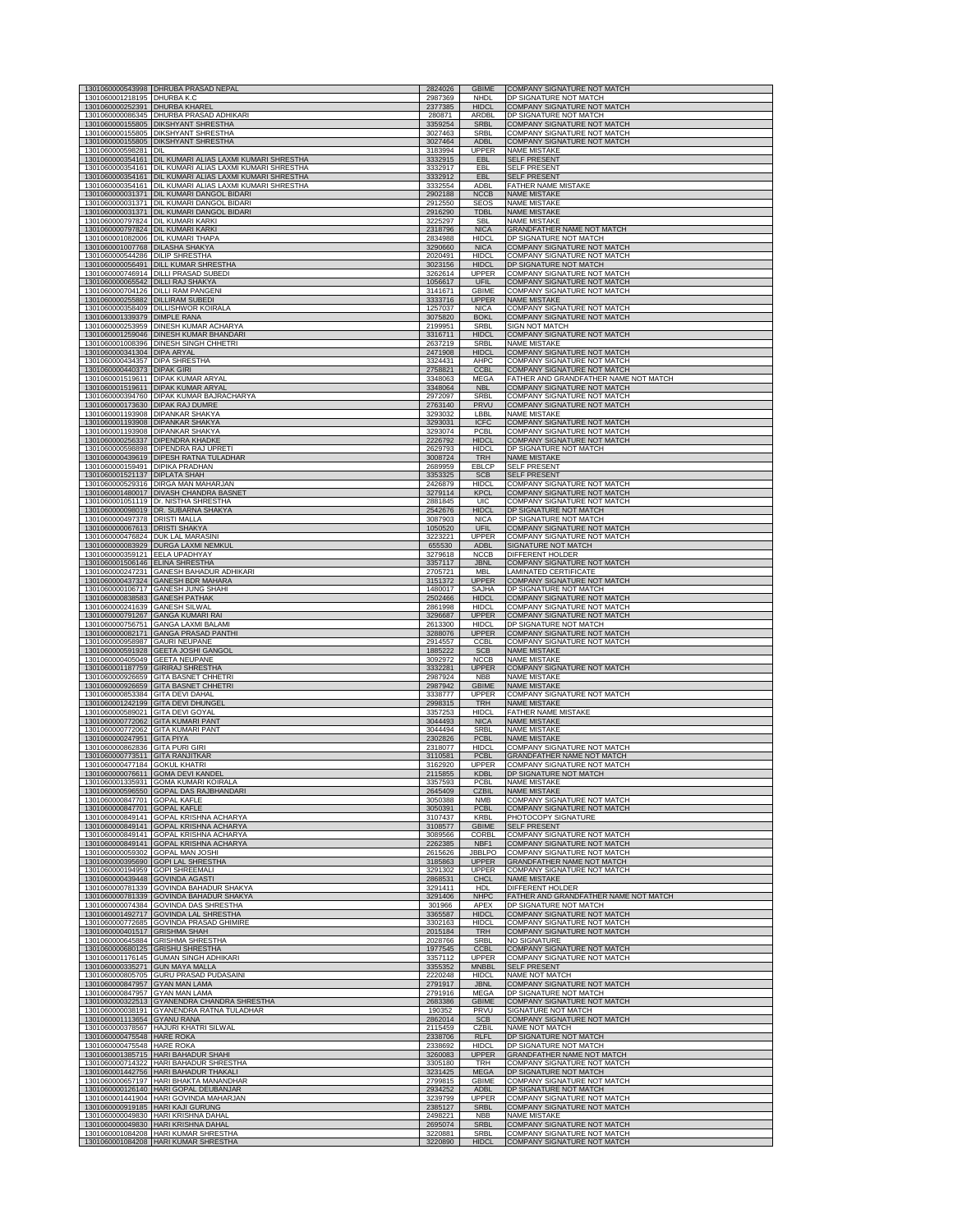|                                                                    | 1301060000543998 DHRUBA PRASAD NEPAL                                                              | 2824026            | <b>GBIME</b>                 | COMPANY SIGNATURE NOT MATCH                                          |
|--------------------------------------------------------------------|---------------------------------------------------------------------------------------------------|--------------------|------------------------------|----------------------------------------------------------------------|
| 1301060001218195 DHURBA K.C<br>1301060000252391 DHURBA KHAREL      |                                                                                                   | 2987369<br>2377385 | NHDL<br><b>HIDCL</b>         | DP SIGNATURE NOT MATCH<br>COMPANY SIGNATURE NOT MATCH                |
|                                                                    | 1301060000086345 DHURBA PRASAD ADHIKARI                                                           | 280871             | ARDBL                        | DP SIGNATURE NOT MATCH                                               |
| 1301060000155805                                                   | <b>DIKSHYANT SHRESTHA</b><br>1301060000155805 DIKSHYANT SHRESTHA                                  | 3359254<br>3027463 | <b>SRBL</b><br>SRBI          | <b>COMPANY SIGNATURE NOT MATCH</b><br>COMPANY SIGNATURE NOT MATCH    |
| 1301060000598281 DIL                                               | 1301060000155805 DIKSHYANT SHRESTHA                                                               | 3027464<br>3183994 | <b>ADBL</b><br><b>UPPER</b>  | <b>COMPANY SIGNATURE NOT MATCH</b><br><b>NAME MISTAKE</b>            |
|                                                                    | 1301060000354161 DIL KUMARI ALIAS LAXMI KUMARI SHRESTHA                                           | 3332915            | EBL                          | <b>SELF PRESENT</b>                                                  |
| 1301060000354161                                                   | 1301060000354161 DIL KUMARI ALIAS LAXMI KUMARI SHRESTHA<br>DIL KUMARI ALIAS LAXMI KUMARI SHRESTHA | 3332917<br>3332912 | FBI.<br><b>EBL</b>           | <b>SELF PRESENT</b><br><b>SELF PRESENT</b>                           |
|                                                                    | 1301060000354161 DIL KUMARI ALIAS LAXMI KUMARI SHRESTHA                                           | 3332554            | ADBL                         | FATHER NAME MISTAKE                                                  |
|                                                                    | 1301060000031371 DIL KUMARI DANGOL BIDARI<br>1301060000031371 DIL KUMARI DANGOL BIDARI            | 2902188<br>2912550 | <b>NCCB</b><br><b>SFOS</b>   | <b>NAME MISTAKE</b><br><b>NAME MISTAKE</b>                           |
|                                                                    | 1301060000031371 DIL KUMARI DANGOL BIDARI<br>1301060000797824 DIL KUMARI KARKI                    | 2916290            | <b>TDBL</b>                  | <b>NAME MISTAKE</b><br><b>NAME MISTAKE</b>                           |
|                                                                    | 1301060000797824 DIL KUMARI KARKI                                                                 | 3225297<br>2318796 | <b>SBL</b><br><b>NICA</b>    | GRANDFATHER NAME NOT MATCH                                           |
|                                                                    | 1301060001082006 DIL KUMARI THAPA<br>1301060001007768 DILASHA SHAKYA                              | 2834988<br>3290660 | <b>HIDCL</b><br><b>NICA</b>  | DP SIGNATURE NOT MATCH<br><b>COMPANY SIGNATURE NOT MATCH</b>         |
| 1301060000544286 DILIP SHRESTHA                                    |                                                                                                   | 2020491            | <b>HIDCL</b>                 | COMPANY SIGNATURE NOT MATCH                                          |
|                                                                    | 1301060000056491 DILL KUMAR SHRESTHA<br>1301060000746914 DILLI PRASAD SUBEDI                      | 3023156<br>3262614 | <b>HIDCL</b><br><b>UPPER</b> | DP SIGNATURE NOT MATCH<br>COMPANY SIGNATURE NOT MATCH                |
|                                                                    | 1301060000065542 DILLI RAJ SHAKYA<br>1301060000704126 DILLI RAM PANGENI                           | 1056617<br>3141671 | UFIL<br><b>GBIME</b>         | COMPANY SIGNATURE NOT MATCH<br>COMPANY SIGNATURE NOT MATCH           |
| 1301060000255882 DILLIRAM SUBEDI                                   |                                                                                                   | 3333716            | <b>UPPER</b>                 | <b>NAME MISTAKE</b>                                                  |
| 1301060001339379 DIMPLE RANA                                       | 1301060000358409 DILLISHWOR KOIRALA                                                               | 1257037<br>3075820 | <b>NICA</b><br><b>BOKL</b>   | COMPANY SIGNATURE NOT MATCH<br><b>COMPANY SIGNATURE NOT MATCH</b>    |
|                                                                    | 1301060000253959 DINESH KUMAR ACHARYA                                                             | 2199951            | SRBL                         | <b>SIGN NOT MATCH</b>                                                |
|                                                                    | 1301060001259046 DINESH KUMAR BHANDAR<br>1301060001008396 DINESH SINGH CHHETRI                    | 3316711<br>2637219 | <b>HIDCI</b><br><b>SRBL</b>  | COMPANY SIGNATURE NOT MATCH<br><b>NAME MISTAKE</b>                   |
| 1301060000341304 DIPA ARYAL<br>1301060000434357 DIPA SHRESTHA      |                                                                                                   | 2471908<br>3324431 | <b>HIDCL</b><br>AHPC         | COMPANY SIGNATURE NOT MATCH<br>COMPANY SIGNATURE NOT MATCH           |
| 1301060000440373 DIPAK GIRI                                        |                                                                                                   | 2758821            | <b>CCBL</b>                  | COMPANY SIGNATURE NOT MATCH                                          |
|                                                                    | 1301060001519611 DIPAK KUMAR ARYAL<br>1301060001519611 DIPAK KUMAR ARYAL                          | 3348063<br>3348064 | MEGA<br><b>NBL</b>           | FATHER AND GRANDFATHER NAME NOT MATCH<br>COMPANY SIGNATURE NOT MATCH |
|                                                                    | 1301060000394760 DIPAK KUMAR BAJRACHARYA                                                          | 2972097            | SRBL                         | COMPANY SIGNATURE NOT MATCH                                          |
|                                                                    | 1301060000173630 DIPAK RAJ DUMRE<br>1301060001193908 DIPANKAR SHAKYA                              | 2763140<br>3293032 | PRVU<br>LBBL                 | COMPANY SIGNATURE NOT MATCH<br><b>NAME MISTAKE</b>                   |
|                                                                    | 1301060001193908 DIPANKAR SHAKYA<br>1301060001193908 DIPANKAR SHAKYA                              | 3293031<br>3293074 | <b>ICFC</b><br>PCBL          | COMPANY SIGNATURE NOT MATCH<br><b>COMPANY SIGNATURE NOT MATCH</b>    |
|                                                                    | 1301060000256337 DIPENDRA KHADKE                                                                  | 2226792            | <b>HIDCL</b>                 | COMPANY SIGNATURE NOT MATCH                                          |
| 1301060000439619                                                   | 1301060000598898 DIPENDRA RAJ UPRETI<br><b>DIPESH RATNA TULADHAR</b>                              | 2629793<br>3008724 | <b>HIDCL</b><br>TRH          | DP SIGNATURE NOT MATCH<br><b>NAME MISTAKE</b>                        |
| 1301060000159491<br>1301060001521137                               | <b>DIPIKA PRADHAN</b><br><b>DIPLATA SHAH</b>                                                      | 2689959<br>3353325 | EBLCP<br><b>SCB</b>          | <b>SELF PRESENT</b><br><b>SELF PRESENT</b>                           |
|                                                                    | 1301060000529316 DIRGA MAN MAHARJAN                                                               | 2426879            | <b>HIDCL</b>                 | COMPANY SIGNATURE NOT MATCH                                          |
|                                                                    | 1301060001480017 DIVASH CHANDRA BASNET<br>1301060001051119 Dr. NISTHA SHRESTHA                    | 3279114<br>2881845 | <b>KPCL</b><br><b>UIC</b>    | COMPANY SIGNATURE NOT MATCH<br>COMPANY SIGNATURE NOT MATCH           |
|                                                                    | 1301060000098019 DR. SUBARNA SHAKYA                                                               | 2542676            | <b>HIDCL</b>                 | DP SIGNATURE NOT MATCH                                               |
| 1301060000497378 DRISTI MALLA<br>1301060000067613 DRISTI SHAKYA    |                                                                                                   | 3087903<br>1050520 | <b>NICA</b><br>UFIL          | DP SIGNATURE NOT MATCH<br>COMPANY SIGNATURE NOT MATCH                |
|                                                                    | 1301060000476824 DUK LAL MARASINI<br>1301060000083929 DURGA LAXMI NEMKUL                          | 3223221<br>655530  | UPPER<br><b>ADBL</b>         | <b>COMPANY SIGNATURE NOT MATCH</b><br>SIGNATURE NOT MATCH            |
| 1301060000359121 EELA UPADHYAY                                     |                                                                                                   | 3279618            | <b>NCCB</b>                  | DIFFERENT HOLDER                                                     |
| 1301060001506146 ELINA SHRESTHA                                    | 1301060000247231 GANESH BAHADUR ADHIKARI                                                          | 3357117<br>2705721 | JBNL<br><b>MBL</b>           | COMPANY SIGNATURE NOT MATCH<br><b>LAMINATED CERTIFICATE</b>          |
|                                                                    | 1301060000437324 GANESH BDR MAHARA                                                                | 3151372            | <b>UPPER</b>                 | COMPANY SIGNATURE NOT MATCH                                          |
| 1301060000838583 GANESH PATHAK                                     | 1301060000106717 GANESH JUNG SHAHI                                                                | 1480017<br>2502466 | SAJHA<br><b>HIDCL</b>        | DP SIGNATURE NOT MATCH<br>COMPANY SIGNATURE NOT MATCH                |
| 1301060000241639<br>1301060000791267                               | <b>GANESH SILWAL</b><br><b>GANGA KUMARI RAI</b>                                                   | 2861998<br>3296687 | <b>HIDCL</b><br><b>UPPER</b> | COMPANY SIGNATURE NOT MATCH<br>COMPANY SIGNATURE NOT MATCH           |
| 1301060000756751                                                   | <b>GANGA LAXMI BALAMI</b>                                                                         | 2613300            | <b>HIDCL</b>                 | DP SIGNATURE NOT MATCH                                               |
| 1301060000958987                                                   | 1301060000082171 GANGA PRASAD PANTHI<br><b>GAURI NEUPANE</b>                                      | 3288076<br>2914557 | <b>UPPER</b><br>CCBI         | COMPANY SIGNATURE NOT MATCH<br>COMPANY SIGNATURE NOT MATCH           |
| 1301060000591928<br>1301060000405049 GEETA NEUPANE                 | <b>GEETA JOSHI GANGOL</b>                                                                         | 1885222<br>3092972 | <b>SCB</b><br><b>NCCB</b>    | <b>NAME MISTAKE</b><br><b>NAME MISTAKE</b>                           |
|                                                                    | 1301060001187759 GIRIRAJ SHRESTHA                                                                 | 3332281            | <b>UPPER</b>                 | COMPANY SIGNATURE NOT MATCH                                          |
| 1301060000926659<br>1301060000926659                               | <b>GITA BASNET CHHETRI</b><br><b>GITA BASNET CHHETRI</b>                                          | 2987924<br>2987942 | <b>NBB</b><br><b>GBIME</b>   | <b>NAME MISTAKE</b><br><b>NAME MISTAKE</b>                           |
| 1301060000853384 GITA DEVI DAHAL                                   |                                                                                                   | 3338777            | <b>UPPER</b>                 | COMPANY SIGNATURE NOT MATCH                                          |
| 1301060000589021 GITA DEVI GOYAL                                   | 1301060001242199 GITA DEVI DHUNGEL                                                                | 2998315<br>3357253 | TRH<br><b>HIDCL</b>          | <b>NAME MISTAKE</b><br><b>FATHER NAME MISTAKE</b>                    |
|                                                                    | 1301060000772062 GITA KUMARI PANT<br>1301060000772062 GITA KUMARI PANT                            | 3044493<br>3044494 | <b>NICA</b><br>SRBL          | <b>NAME MISTAKE</b><br><b>NAME MISTAKE</b>                           |
| 1301060000247951 GITA PIYA                                         |                                                                                                   | 2302826            | PCBL                         | <b>NAME MISTAKE</b>                                                  |
| 1301060000862836 GITA PURI GIRI<br>1301060000773511 GITA RANJITKAR |                                                                                                   | 2318077<br>3110581 | <b>HIDCL</b><br>PCBL         | COMPANY SIGNATURE NOT MATCH<br><b>GRANDFATHER NAME NOT MATCH</b>     |
| 1301060000477184 GOKUL KHATRI                                      |                                                                                                   | 3162920            | <b>UPPER</b>                 | COMPANY SIGNATURE NOT MATCH                                          |
|                                                                    | 1301060000076611 GOMA DEVI KANDEL<br>35031 GOMA KUMARI K                                          | 2115855            | <b>KDBL</b><br><b>PCRI</b>   | DP SIGNATURE NOT MATCH<br><b>NAME MP</b>                             |
| 1301060000847701 GOPAL KAFLE                                       | 1301060000596550 GOPAL DAS RAJBHANDARI                                                            | 2645409<br>3050388 | <b>CZBIL</b><br><b>NMB</b>   | <b>NAME MISTAKE</b><br>COMPANY SIGNATURE NOT MATCH                   |
| 1301060000847701 GOPAL KAFLE                                       |                                                                                                   | 3050391            | <b>PCBL</b>                  | COMPANY SIGNATURE NOT MATCH                                          |
|                                                                    | 1301060000849141 GOPAL KRISHNA ACHARYA<br>1301060000849141 GOPAL KRISHNA ACHARYA                  | 3107437<br>3108577 | <b>KRBL</b><br><b>GBIME</b>  | PHOTOCOPY SIGNATURE<br><b>SELF PRESENT</b>                           |
|                                                                    | 1301060000849141 GOPAL KRISHNA ACHARYA<br>1301060000849141 GOPAL KRISHNA ACHARYA                  | 3089566<br>2262385 | CORBL<br>NBF1                | COMPANY SIGNATURE NOT MATCH<br><b>COMPANY SIGNATURE NOT MATCH</b>    |
|                                                                    | 1301060000059302 GOPAL MAN JOSHI                                                                  | 2615626            | JBBLPO                       | COMPANY SIGNATURE NOT MATCH                                          |
| 1301060000194959 GOPI SHREEMALI                                    | 1301060000395690 GOPI LAL SHRESTHA                                                                | 3185863<br>3291302 | <b>UPPER</b><br><b>UPPER</b> | GRANDFATHER NAME NOT MATCH<br>COMPANY SIGNATURE NOT MATCH            |
| 1301060000439448 GOVINDA AGASTI                                    |                                                                                                   | 2868531            | <b>CHCL</b>                  | <b>NAME MISTAKE</b>                                                  |
| 1301060000781339                                                   | 1301060000781339 GOVINDA BAHADUR SHAKYA<br><b>GOVINDA BAHADUR SHAKYA</b>                          | 3291411<br>3291406 | HDL<br><b>NHPC</b>           | DIFFERENT HOLDER<br>FATHER AND GRANDFATHER NAME NOT MATCH            |
|                                                                    | 1301060000074384 GOVINDA DAS SHRESTHA<br>1301060001492717 GOVINDA LAL SHRESTHA                    | 301966<br>3365587  | APEX<br><b>HIDCL</b>         | DP SIGNATURE NOT MATCH<br><b>COMPANY SIGNATURE NOT MATCH</b>         |
|                                                                    | 1301060000772685 GOVINDA PRASAD GHIMIRE                                                           | 3302163            | <b>HIDCL</b>                 | <b>COMPANY SIGNATURE NOT MATCH</b>                                   |
| 1301060000401517                                                   | <b>GRISHMA SHAH</b><br>1301060000645884 GRISHMA SHRESTHA                                          | 2015184<br>2028766 | <b>TRH</b><br><b>SRBL</b>    | COMPANY SIGNATURE NOT MATCH<br><b>NO SIGNATURE</b>                   |
|                                                                    | 1301060000680125 GRISHU SHRESTHA<br>1301060001176145 GUMAN SINGH ADHIKARI                         | 1977545<br>3357112 | <b>CCBL</b><br><b>UPPER</b>  | COMPANY SIGNATURE NOT MATCH<br>COMPANY SIGNATURE NOT MATCH           |
|                                                                    | 1301060000335271 GUN MAYA MALLA                                                                   | 3355352            | <b>MNBBL</b>                 | <b>SELF PRESENT</b>                                                  |
| 1301060000847957 GYAN MAN LAMA                                     | 1301060000805705 GURU PRASAD PUDASAINI                                                            | 2220248<br>2791917 | <b>HIDCL</b><br><b>JBNL</b>  | NAME NOT MATCH<br>COMPANY SIGNATURE NOT MATCH                        |
| 1301060000847957 GYAN MAN LAMA                                     |                                                                                                   | 2791916            | MEGA                         | DP SIGNATURE NOT MATCH                                               |
|                                                                    | 1301060000322513 GYANENDRA CHANDRA SHRESTHA<br>1301060000038191 GYANENDRA RATNA TULADHAR          | 2683386<br>190352  | GBIME<br>PRVU                | COMPANY SIGNATURE NOT MATCH<br>SIGNATURE NOT MATCH                   |
| 1301060001113654 GYANU RANA                                        | 1301060000378567 HAJURI KHATRI SILWAL                                                             | 2862014<br>2115459 | <b>SCB</b><br>CZBIL          | COMPANY SIGNATURE NOT MATCH<br>NAME NOT MATCH                        |
| 1301060000475548 HARE ROKA                                         |                                                                                                   | 2338706            | <b>RLFL</b>                  | DP SIGNATURE NOT MATCH                                               |
| 1301060000475548 HARE ROKA<br>1301060001385715                     | <b>HARI BAHADUR SHAHI</b>                                                                         | 2338692<br>3260083 | <b>HIDCL</b><br><b>UPPER</b> | DP SIGNATURE NOT MATCH<br>GRANDFATHER NAME NOT MATCH                 |
|                                                                    | 1301060000714322 HARI BAHADUR SHRESTHA<br>1301060001442756 HARI BAHADUR THAKALI                   | 3305180<br>3231425 | <b>TRH</b><br><b>MEGA</b>    | COMPANY SIGNATURE NOT MATCH<br>DP SIGNATURE NOT MATCH                |
| 1301060000657197 HARI BHAKTA MANANDHAR                             |                                                                                                   | 2799815            | GBIME                        | COMPANY SIGNATURE NOT MATCH                                          |
|                                                                    |                                                                                                   |                    |                              |                                                                      |
|                                                                    | 1301060000126140 HARI GOPAL DEUBANJAR<br>1301060001441904 HARI GOVINDA MAHARJAN                   | 2934252<br>3239799 | ADBL<br><b>UPPER</b>         | DP SIGNATURE NOT MATCH<br>COMPANY SIGNATURE NOT MATCH                |
|                                                                    | 1301060000919185 HARI KAJI GURUNG                                                                 | 2385127            | SRBL                         | COMPANY SIGNATURE NOT MATCH                                          |
|                                                                    | 1301060000049830 HARI KRISHNA DAHAI<br>1301060000049830 HARI KRISHNA DAHAI                        | 2498221<br>2695074 | <b>NBB</b><br><b>SRBL</b>    | <b>NAME MISTAKE</b><br>COMPANY SIGNATURE NOT MATCH                   |
|                                                                    | 1301060001084208 HARI KUMAR SHRESTHA<br>1301060001084208 HARI KUMAR SHRESTHA                      | 3220881<br>3220890 | <b>SRBL</b><br><b>HIDCI</b>  | COMPANY SIGNATURE NOT MATCH<br>COMPANY SIGNATURE NOT MATCH           |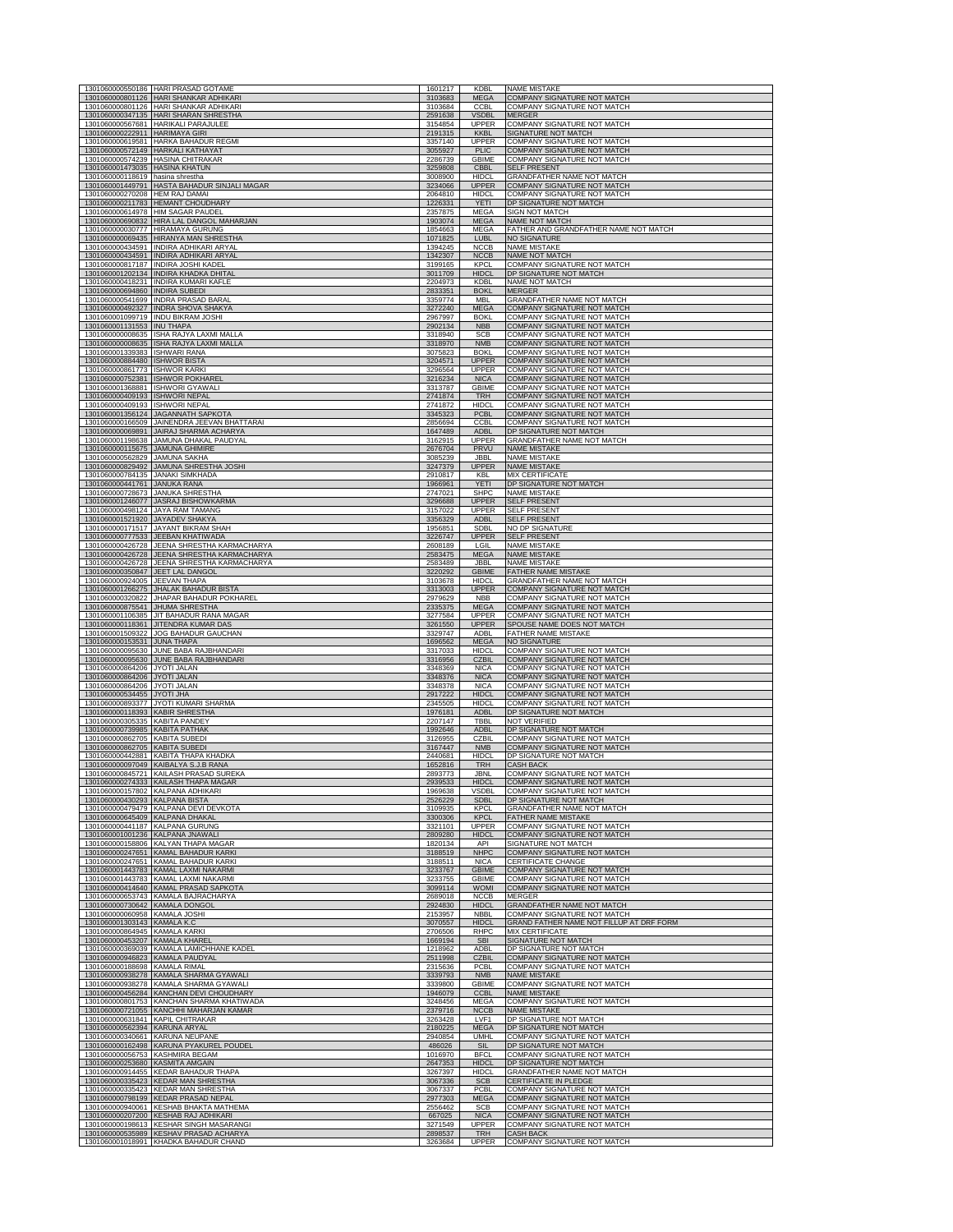|                                                                  | 1301060000550186 HARI PRASAD GOTAME<br>1301060000801126 HARI SHANKAR ADHIKARI         | 1601217<br>3103683 | <b>KDBI</b><br><b>MEGA</b>   | <b>NAME MISTAKE</b>                                               |
|------------------------------------------------------------------|---------------------------------------------------------------------------------------|--------------------|------------------------------|-------------------------------------------------------------------|
|                                                                  | 1301060000801126 HARI SHANKAR ADHIKARI                                                | 3103684            | CCBL                         | COMPANY SIGNATURE NOT MATCH<br>COMPANY SIGNATURE NOT MATCH        |
| 1301060000347135                                                 | <b>HARI SHARAN SHRE</b><br>1301060000567681 HARIKALI PARAJULEE                        | 2591638<br>3154854 | <b>VSDBI</b><br><b>UPPER</b> | COMPANY SIGNATURE NOT MATCH                                       |
| 1301060000222911 HARIMAYA GIRI                                   |                                                                                       | 2191315            | <b>KKBL</b>                  | SIGNATURE NOT MATCH                                               |
|                                                                  | 1301060000619581 HARKA BAHADUR REGMI<br>1301060000572149 HARKALI KATHAYAT             | 3357140<br>3055927 | <b>UPPER</b><br><b>PLIC</b>  | <b>COMPANY SIGNATURE NOT MATCH</b><br>COMPANY SIGNATURE NOT MATCH |
| 1301060001473035 HASINA KHATUN                                   | 1301060000574239 HASINA CHITRAKAR                                                     | 2286739<br>3259808 | GBIME<br>CBBL                | COMPANY SIGNATURE NOT MATCH<br><b>SELF PRESENT</b>                |
| 1301060000118619 hasina shrestha                                 |                                                                                       | 3008900            | <b>HIDCL</b>                 | GRANDFATHER NAME NOT MATCH                                        |
| 1301060000270208 HEM RAJ DAMAI                                   | 1301060001449791 HASTA BAHADUR SINJALI MAGAR                                          | 3234066<br>2064810 | UPPER<br><b>HIDCL</b>        | <b>COMPANY SIGNATURE NOT MATCH</b><br>COMPANY SIGNATURE NOT MATCH |
|                                                                  | 1301060000211783 HEMANT CHOUDHARY                                                     | 1226331            | YETI                         | DP SIGNATURE NOT MATCH                                            |
|                                                                  | 1301060000614978 HIM SAGAR PAUDEL<br>1301060000690832 HIRA LAL DANGOL MAHARJAN        | 2357875<br>1903074 | <b>MEGA</b><br><b>MEGA</b>   | SIGN NOT MATCH<br>NAME NOT MATCH                                  |
|                                                                  | 1301060000030777 HIRAMAYA GURUNG<br>1301060000069435 HIRANYA MAN SHRESTHA             | 1854663<br>1071825 | MEGA<br>LUBL                 | FATHER AND GRANDFATHER NAME NOT MATCH<br><b>NO SIGNATURE</b>      |
|                                                                  | 1301060000434591 INDIRA ADHIKARI ARYAL                                                | 1394245            | <b>NCCB</b>                  | <b>NAME MISTAKE</b>                                               |
|                                                                  | 1301060000434591 INDIRA ADHIKARI ARYAL<br>1301060000817187 INDIRA JOSHI KADEL         | 1342307<br>3199165 | <b>NCCB</b><br>KPCL          | NAME NOT MATCH<br>COMPANY SIGNATURE NOT MATCH                     |
|                                                                  | 1301060001202134 INDIRA KHADKA DHITAL<br>1301060000418231 INDIRA KUMARI KAFLE         | 3011709            | <b>HIDCL</b>                 | DP SIGNATURE NOT MATCH<br>NAME NOT MATCH                          |
| 1301060000694860 INDIRA SUBEDI                                   |                                                                                       | 2204973<br>2833351 | <b>KDBL</b><br><b>BOKL</b>   | <b>MERGER</b>                                                     |
|                                                                  | 1301060000541699 INDRA PRASAD BARAL<br>1301060000492327 INDRA SHOVA SHAKYA            | 3359774<br>3272240 | <b>MBL</b><br><b>MEGA</b>    | GRANDFATHER NAME NOT MATCH<br>COMPANY SIGNATURE NOT MATCH         |
|                                                                  | 1301060001099719 INDU BIKRAM JOSHI                                                    | 2967997            | <b>BOKI</b>                  | COMPANY SIGNATURE NOT MATCH                                       |
| 1301060001131553 INU THAPA                                       | 1301060000008635 ISHA RAJYA LAXMI MALLA                                               | 2902134<br>3318940 | <b>NBB</b><br><b>SCB</b>     | COMPANY SIGNATURE NOT MATCH<br>COMPANY SIGNATURE NOT MATCH        |
|                                                                  | 1301060000008635 ISHA RAJYA LAXMI MALLA                                               | 3318970            | <b>NMB</b><br><b>BOKI</b>    | COMPANY SIGNATURE NOT MATCH                                       |
| 1301060001339383 ISHWARI RANA<br>1301060000884480 ISHWOR BISTA   |                                                                                       | 3075823<br>3204571 | <b>UPPER</b>                 | COMPANY SIGNATURE NOT MATCH<br><b>COMPANY SIGNATURE NOT MATCH</b> |
| 1301060000861773 ISHWOR KARKI                                    | 1301060000752381 ISHWOR POKHAREL                                                      | 3296564<br>3216234 | <b>UPPER</b><br><b>NICA</b>  | COMPANY SIGNATURE NOT MATCH<br>COMPANY SIGNATURE NOT MATCH        |
|                                                                  | 1301060001368881 ISHWORI GYAWALI                                                      | 3313787            | <b>GBIME</b>                 | COMPANY SIGNATURE NOT MATCH                                       |
| 1301060000409193 ISHWORI NEPAL<br>1301060000409193 ISHWORI NEPAL |                                                                                       | 2741874<br>2741872 | <b>TRH</b><br><b>HIDCL</b>   | COMPANY SIGNATURE NOT MATCH<br>COMPANY SIGNATURE NOT MATCH        |
|                                                                  | 1301060001356124 JAGANNATH SAPKOTA                                                    | 3345323            | PCBL<br><b>CCBL</b>          | COMPANY SIGNATURE NOT MATCH<br>COMPANY SIGNATURE NOT MATCH        |
|                                                                  | 1301060000166509 JAINENDRA JEEVAN BHATTARAI<br>1301060000069891 JAIRAJ SHARMA ACHARYA | 2856694<br>1647489 | <b>ADBL</b>                  | DP SIGNATURE NOT MATCH                                            |
| 1301060000115675 JAMUNA GHIMIRE                                  | 1301060001198638 JAMUNA DHAKAL PAUDYAL                                                | 3162915<br>2676704 | <b>UPPER</b><br>PRVU         | GRANDFATHER NAME NOT MATCH<br><b>NAME MISTAKE</b>                 |
| 1301060000562829 JAMUNA SAKHA                                    |                                                                                       | 3085239            | <b>JBBL</b>                  | <b>NAME MISTAKE</b>                                               |
|                                                                  | 1301060000829492 JAMUNA SHRESTHA JOSHI<br>1301060000784135 JANAKI SIMKHADA            | 3247379<br>2910817 | <b>UPPER</b><br>KBL          | <b>NAME MISTAKE</b><br><b>MIX CERTIFICATE</b>                     |
| 1301060000441761 JANUKA RANA                                     | 1301060000728673 JANUKA SHRESTHA                                                      | 1966961<br>2747021 | YETI<br><b>SHPC</b>          | DP SIGNATURE NOT MATCH<br><b>NAME MISTAKE</b>                     |
|                                                                  | 1301060001246077 JASRAJ BISHOWKARMA                                                   | 3296688            | <b>UPPER</b>                 | <b>SELF PRESENT</b>                                               |
|                                                                  | 1301060000498124 JAYA RAM TAMANG<br>1301060001521920 JAYADEV SHAKYA                   | 3157022<br>3356329 | <b>UPPER</b><br><b>ADBL</b>  | <b>SELF PRESENT</b><br><b>SELF PRESENT</b>                        |
|                                                                  | 1301060000171517 JAYANT BIKRAM SHAH                                                   | 1956851            | <b>SDBL</b>                  | NO DP SIGNATURE                                                   |
|                                                                  | 1301060000777533 JEEBAN KHATIWADA<br>1301060000426728 JEENA SHRESTHA KARMACHARYA      | 3226747<br>2608189 | <b>UPPER</b><br>LGIL         | <b>SELF PRESENT</b><br><b>NAME MISTAKE</b>                        |
|                                                                  | 1301060000426728 JEENA SHRESTHA KARMACHARYA                                           | 2583475            | <b>MEGA</b>                  | <b>NAME MISTAKE</b>                                               |
|                                                                  | 1301060000426728 JEENA SHRESTHA KARMACHARYA<br>1301060000350847 JEET LAL DANGOL       | 2583489<br>3220292 | JBBL<br><b>GBIME</b>         | <b>NAME MISTAKE</b><br>FATHER NAME MISTAKE                        |
| 1301060000924005 JEEVAN THAPA                                    | 1301060001266275 JHALAK BAHADUR BISTA                                                 | 3103678<br>3313003 | <b>HIDCL</b><br><b>UPPER</b> | GRANDFATHER NAME NOT MATCH<br>COMPANY SIGNATURE NOT MATCH         |
|                                                                  | 1301060000320822 JHAPAR BAHADUR POKHAREL                                              | 2979629            | <b>NBB</b>                   | COMPANY SIGNATURE NOT MATCH                                       |
|                                                                  | 1301060000875541 JHUMA SHRESTHA                                                       | 2335375            | <b>MEGA</b>                  | <b>COMPANY SIGNATURE NOT MATCH</b>                                |
|                                                                  | 1301060001106385 JIT BAHADUR RANA MAGAR                                               | 3277584            | <b>UPPER</b>                 | COMPANY SIGNATURE NOT MATCH                                       |
|                                                                  | 1301060000118361 JITENDRA KUMAR DAS                                                   | 3261550            | UPPER                        | SPOUSE NAME DOES NOT MATCH                                        |
| 1301060000153531 JUNA THAPA                                      | 1301060001509322 JOG BAHADUR GAUCHAN                                                  | 3329747<br>1696562 | ADBL<br><b>MEGA</b>          | <b>FATHER NAME MISTAKE</b><br><b>NO SIGNATURE</b>                 |
|                                                                  | 1301060000095630 JUNE BABA RAJBHANDARI                                                | 3317033            | <b>HIDCL</b>                 | COMPANY SIGNATURE NOT MATCH                                       |
| 1301060000864206 JYOTI JALAN                                     | 1301060000095630 JUNE BABA RAJBHANDARI                                                | 3316956<br>3348369 | <b>CZBIL</b><br><b>NICA</b>  | COMPANY SIGNATURE NOT MATCH<br>COMPANY SIGNATURE NOT MATCH        |
| 1301060000864206 JYOTI JALAN<br>1301060000864206 JYOTI JALAN     |                                                                                       | 3348376<br>3348378 | <b>NICA</b><br><b>NICA</b>   | COMPANY SIGNATURE NOT MATCH<br>COMPANY SIGNATURE NOT MATCH        |
| 1301060000534455 JYOTI JHA                                       |                                                                                       | 2917222            | <b>HIDCL</b>                 | COMPANY SIGNATURE NOT MATCH                                       |
| 1301060000118393 KABIR SHRESTHA                                  | 1301060000893377 JYOTI KUMARI SHARMA                                                  | 2345505<br>1976181 | <b>HIDCL</b><br><b>ADBL</b>  | COMPANY SIGNATURE NOT MATCH<br>DP SIGNATURE NOT MATCH             |
| 1301060000305335 KABITA PANDEY<br>1301060000739985 KABITA PATHAK |                                                                                       | 2207147            | TBBL                         | <b>NOT VERIFIED</b>                                               |
| 1301060000862705 KABITA SUBEDI                                   |                                                                                       | 1992646<br>3126955 | <b>ADBL</b><br>CZBIL         | DP SIGNATURE NOT MATCH<br><b>COMPANY SIGNATURE NOT MATCH</b>      |
| 1301060000862705 KABITA SUBEDI                                   | 1301060000442881 KABITA THAPA KHADKA                                                  | 3167447<br>2440681 | <b>NMB</b><br><b>HIDCL</b>   | COMPANY SIGNATURE NOT MATCH<br>DP SIGNATURE NOT MATCH             |
|                                                                  | 1301060000097049 KAIBALYA S.J.B RANA                                                  | 1652816            | <b>TRH</b>                   | <b>CASH BACK</b>                                                  |
|                                                                  | 1301060000845721 KAILASH PRASAD SUREKA<br>KAIL A'                                     | 2893773            | JBNL                         | COMPANY SIGNATURE NOT MATCH<br><b>OMDANY SIGNATURE</b>            |
| 1301060000430293 KALPANA BISTA                                   | 1301060000157802 KALPANA ADHIKARI                                                     | 1969638<br>2526229 | <b>VSDBI</b><br><b>SDBL</b>  | COMPANY SIGNATURE NOT MATCH<br>DP SIGNATURE NOT MATCH             |
|                                                                  | 1301060000479479 KALPANA DEVI DEVKOTA                                                 | 3109935            | <b>KPCL</b>                  | GRANDFATHER NAME NOT MATCH                                        |
| 1301060000645409 KALPANA DHAKAL                                  | 1301060000441187 KALPANA GURUNG                                                       | 3300306<br>3321101 | <b>KPCL</b><br>UPPER         | FATHER NAME MISTAKE<br>COMPANY SIGNATURE NOT MATCH                |
|                                                                  | 1301060001001236 KALPANA JNAWALI<br>1301060000158806 KALYAN THAPA MAGAR               | 2809280<br>1820134 | <b>HIDCL</b><br>API          | <b>COMPANY SIGNATURE NOT MATCH</b><br>SIGNATURE NOT MATCH         |
|                                                                  | 1301060000247651 KAMAL BAHADUR KARK                                                   | 3188519            | <b>NHPC</b>                  | COMPANY SIGNATURE NOT MATCH                                       |
|                                                                  | 1301060000247651 KAMAL BAHADUR KARKI<br>1301060001443783 KAMAL LAXMI NAKARMI          | 3188511<br>3233767 | <b>NICA</b><br><b>GBIME</b>  | <b>CERTIFICATE CHANGE</b><br>COMPANY SIGNATURE NOT MATCH          |
|                                                                  | 1301060001443783 KAMAL LAXMI NAKARMI                                                  | 3233755            | <b>GBIME</b>                 | COMPANY SIGNATURE NOT MATCH                                       |
|                                                                  | 1301060000414640 KAMAL PRASAD SAPKOTA<br>1301060000653743 KAMALA BAJRACHARYA          | 3099114<br>2689018 | <b>WOMI</b><br><b>NCCB</b>   | COMPANY SIGNATURE NOT MATCH<br><b>MERGER</b>                      |
| 1301060000730642 KAMALA DONGOL<br>1301060000060958 KAMALA JOSHI  |                                                                                       | 2924830<br>2153957 | <b>HIDCL</b><br><b>NBBI</b>  | <b>GRANDFATHER NAME NOT MATCH</b><br>COMPANY SIGNATURE NOT MATCH  |
| 1301060001303143 KAMALA K.                                       |                                                                                       | 3070557            | <b>HIDC</b>                  | GRAND FATHER NAME NOT FILLUP AT DRF FORM                          |
| 1301060000864945 KAMALA KARKI<br>1301060000453207 KAMALA KHAREI  |                                                                                       | 2706506<br>1669194 | <b>RHPC</b><br><b>SBI</b>    | <b>MIX CERTIFICATE</b><br>SIGNATURE NOT MATCH                     |
|                                                                  | 1301060000369039 KAMALA LAMICHHANE KADEL                                              | 1218962            | ADBL<br><b>CZBIL</b>         | DP SIGNATURE NOT MATCH                                            |
| 1301060000188698 KAMALA RIMAL                                    | 1301060000946823 KAMALA PAUDYAL                                                       | 2511998<br>2315636 | PCBL                         | COMPANY SIGNATURE NOT MATCH<br>COMPANY SIGNATURE NOT MATCH        |
|                                                                  | 1301060000938278 KAMALA SHARMA GYAWALI<br>1301060000938278 KAMALA SHARMA GYAWALI      | 3339793<br>3339800 | <b>NMB</b><br><b>GBIME</b>   | <b>NAME MISTAKE</b><br>COMPANY SIGNATURE NOT MATCH                |
|                                                                  | 1301060000456284 KANCHAN DEVI CHOUDHAR'                                               | 1946079            | <b>CCBL</b>                  | <b>NAME MISTAKE</b>                                               |
|                                                                  | 1301060000801753 KANCHAN SHARMA KHATIWADA<br>1301060000721055 KANCHHI MAHARJAN KAMAR  | 3248456<br>2379716 | MEGA<br><b>NCCB</b>          | COMPANY SIGNATURE NOT MATCH<br><b>NAME MISTAKE</b>                |
|                                                                  | 1301060000631841 KAPIL CHITRAKAR                                                      | 3263428            | LVF1<br><b>MEGA</b>          | DP SIGNATURE NOT MATCH<br>DP SIGNATURE NOT MATCH                  |
| 1301060000562394 KARUNA ARYAL                                    | 1301060000340661 KARUNA NEUPANE                                                       | 2180225<br>2940854 | <b>UMHL</b>                  | COMPANY SIGNATURE NOT MATCH                                       |
|                                                                  | 1301060000162498 KARUNA PYAKUREL POUDEL<br>1301060000056753 KASHMIRA BEGAM            | 486026<br>1016970  | SIL<br><b>BFCL</b>           | DP SIGNATURE NOT MATCH<br>COMPANY SIGNATURE NOT MATCH             |
| 1301060000253680 KASMITA AMGAIN                                  |                                                                                       | 2647353            | HIDCL                        | DP SIGNATURE NOT MATCH                                            |
|                                                                  | 1301060000914455 KEDAR BAHADUR THAPA<br>1301060000335423 KEDAR MAN SHRESTHA           | 3267397<br>3067336 | <b>HIDCL</b><br><b>SCB</b>   | GRANDFATHER NAME NOT MATCH<br><b>CERTIFICATE IN PLEDGE</b>        |
|                                                                  | 1301060000335423 KEDAR MAN SHRESTHA<br>1301060000798199 KEDAR PRASAD NEPAL            | 3067337<br>2977303 | PCBL<br><b>MEGA</b>          | COMPANY SIGNATURE NOT MATCH<br>COMPANY SIGNATURE NOT MATCH        |
|                                                                  | 1301060000940061 KESHAB BHAKTA MATHEMA                                                | 2556462            | SCB                          | COMPANY SIGNATURE NOT MATCH                                       |
|                                                                  | 1301060000207200 KESHAB RAJ ADHIKARI<br>1301060000198613 KESHAR SINGH MASARANGI       | 667025<br>3271549  | <b>NICA</b><br>UPPER         | COMPANY SIGNATURE NOT MATCH<br>COMPANY SIGNATURE NOT MATCH        |
|                                                                  | 1301060000535989 KESHAV PRASAD ACHARYA<br>1301060001018991 KHADKA BAHADUR CHAND       | 2898537<br>3263684 | <b>TRH</b><br>UPPER          | <b>CASH BACK</b><br>COMPANY SIGNATURE NOT MATCH                   |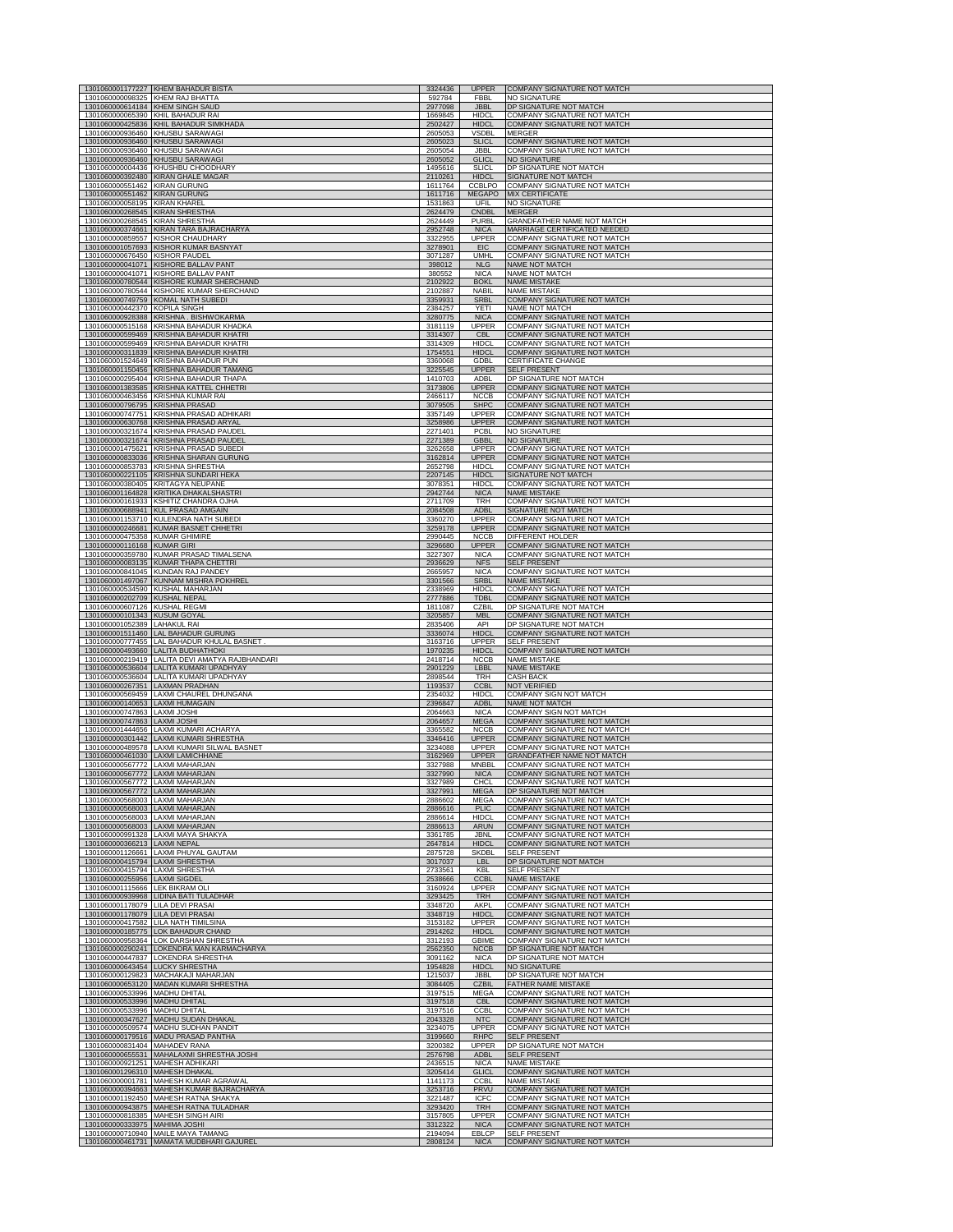|                                                                      | 1301060001177227 KHEM BAHADUR BISTA                                                | 3324436            | <b>UPPER</b>                 | COMPANY SIGNATURE NOT MATCH                                              |
|----------------------------------------------------------------------|------------------------------------------------------------------------------------|--------------------|------------------------------|--------------------------------------------------------------------------|
| 1301060000098325 KHEM RAJ BHATTA<br>1301060000614184 KHEM SINGH SAUD |                                                                                    | 592784<br>2977098  | <b>FBBL</b><br><b>JBBL</b>   | <b>NO SIGNATURE</b><br>DP SIGNATURE NOT MATCH                            |
| 1301060000065390 KHIL BAHADUR RAI                                    | 1301060000425836 KHIL BAHADUR SIMKHADA                                             | 1669845            | <b>HIDCL</b><br><b>HIDCL</b> | COMPANY SIGNATURE NOT MATCH<br><b>COMPANY SIGNATURE NOT MATCH</b>        |
| 1301060000936460                                                     | KHUSBU SARAWAGI                                                                    | 2502427<br>2605053 | <b>VSDBL</b>                 | <b>MERGER</b>                                                            |
| 1301060000936460                                                     | <b>KHUSBU SARAWAGI</b><br>1301060000936460 KHUSBU SARAWAGI                         | 2605023<br>2605054 | <b>SLICL</b><br>JBBL         | COMPANY SIGNATURE NOT MATCH<br>COMPANY SIGNATURE NOT MATCH               |
| 1301060000936460                                                     | <b>KHUSBU SARAWAGI</b>                                                             | 2605052            | <b>GLICL</b>                 | <b>NO SIGNATURE</b>                                                      |
|                                                                      | 1301060000004436 KHUSHBU CHOODHARY<br>1301060000392480 KIRAN GHALE MAGAR           | 1495616<br>2110261 | <b>SLICL</b><br><b>HIDCL</b> | DP SIGNATURE NOT MATCH<br>SIGNATURE NOT MATCH                            |
| 1301060000551462                                                     | <b>KIRAN GURUNG</b>                                                                | 1611764            | CCBLPO                       | COMPANY SIGNATURE NOT MATCH                                              |
| 1301060000551462<br>1301060000058195                                 | <b>KIRAN GURUNG</b><br><b>KIRAN KHAREI</b>                                         | 1611716<br>1531863 | <b>MEGAPO</b><br>UFIL        | MIX CERTIFICATE<br><b>NO SIGNATURE</b>                                   |
| 1301060000268545<br>1301060000268545                                 | <b>KIRAN SHRESTHA</b><br><b>KIRAN SHRESTHA</b>                                     | 2624479<br>2624449 | CNDBL<br><b>PURBL</b>        | <b>MERGER</b><br>GRANDFATHER NAME NOT MATCH                              |
| 1301060000374661                                                     | KIRAN TARA BAJRACHARYA                                                             | 2952748            | <b>NICA</b>                  | MARRIAGE CERTIFICATED NEEDED                                             |
| 1301060000859557                                                     | <b>KISHOR CHAUDHARY</b><br>1301060001057693 KISHOR KUMAR BASNYAT                   | 3322955<br>3278901 | <b>UPPER</b><br>EIC          | COMPANY SIGNATURE NOT MATCH<br><b>COMPANY SIGNATURE NOT MATCH</b>        |
| 1301060000676450 KISHOR PAUDEL                                       |                                                                                    | 3071287            | <b>UMHI</b>                  | COMPANY SIGNATURE NOT MATCH                                              |
| 1301060000041071<br>1301060000041071                                 | <b>KISHORE BALLAV PANT</b><br>KISHORE BALLAV PANT                                  | 398012<br>380552   | <b>NLG</b><br><b>NICA</b>    | <b>NAME NOT MATCH</b><br>NAME NOT MATCH                                  |
| 1301060000780544<br>1301060000780544                                 | KISHORE KUMAR SHERCHAND<br><b>KISHORE KUMAR SHERCHAND</b>                          | 2102922<br>2102887 | <b>BOKL</b><br><b>NABIL</b>  | <b>NAME MISTAKE</b><br><b>NAME MISTAKE</b>                               |
| 1301060000749759                                                     | <b>KOMAL NATH SUBEDI</b>                                                           | 3359931            | <b>SRBL</b>                  | COMPANY SIGNATURE NOT MATCH                                              |
| 1301060000442370 KOPILA SINGH                                        | 1301060000928388 KRISHNA. BISHWOKARMA                                              | 2384257<br>3280775 | YETI<br><b>NICA</b>          | NAME NOT MATCH<br><b>COMPANY SIGNATURE NOT MATCH</b>                     |
|                                                                      | 1301060000515168 KRISHNA BAHADUR KHADKA                                            | 3181119            | <b>UPPER</b>                 | <b>COMPANY SIGNATURE NOT MATCH</b>                                       |
| 1301060000599469                                                     | <b>KRISHNA BAHADUR KHATRI</b><br>1301060000599469 KRISHNA BAHADUR KHATRI           | 3314307<br>3314309 | CBI<br><b>HIDCL</b>          | <b>COMPANY SIGNATURE NOT MATCH</b><br>COMPANY SIGNATURE NOT MATCH        |
| 1301060000311839<br>1301060001524649                                 | KRISHNA BAHADUR KHATRI<br>KRISHNA BAHADUR PUN                                      | 1754551<br>3360068 | <b>HIDCL</b><br>GDBL         | COMPANY SIGNATURE NOT MATCH<br><b>CERTIFICATE CHANGE</b>                 |
| 1301060001150456                                                     | KRISHNA BAHADUR TAMANG                                                             | 3225545            | <b>UPPER</b>                 | <b>SELF PRESENT</b>                                                      |
| 1301060000295404<br>1301060001383585                                 | <b>KRISHNA BAHADUR THAPA</b><br><b>KRISHNA KATTEL CHHETRI</b>                      | 1410703<br>3173806 | <b>ADBL</b><br><b>UPPER</b>  | DP SIGNATURE NOT MATCH<br>COMPANY SIGNATURE NOT MATCH                    |
|                                                                      | 1301060000463456 KRISHNA KUMAR RAI                                                 | 2466117            | <b>NCCB</b>                  | COMPANY SIGNATURE NOT MATCH                                              |
| 1301060000796795<br>1301060000747751                                 | <b>KRISHNA PRASAD</b><br><b>KRISHNA PRASAD ADHIKARI</b>                            | 3079505<br>3357149 | <b>SHPC</b><br><b>UPPER</b>  | COMPANY SIGNATURE NOT MATCH<br>COMPANY SIGNATURE NOT MATCH               |
| 1301060000630768<br>1301060000321674                                 | KRISHNA PRASAD ARYAL<br><b>KRISHNA PRASAD PAUDEL</b>                               | 3258986<br>2271401 | UPPER<br>PCBL                | COMPANY SIGNATURE NOT MATCH<br><b>NO SIGNATURE</b>                       |
| 1301060000321674                                                     | <b>KRISHNA PRASAD PAUDEL</b>                                                       | 2271389            | <b>GBBL</b>                  | <b>NO SIGNATURE</b>                                                      |
| 1301060001475621<br>1301060000833036                                 | <b>KRISHNA PRASAD SUBEDI</b><br><b>KRISHNA SHARAN GURUNG</b>                       | 3262658<br>3162814 | <b>UPPER</b><br><b>UPPER</b> | <b>COMPANY SIGNATURE NOT MATCH</b><br><b>COMPANY SIGNATURE NOT MATCH</b> |
|                                                                      | 1301060000853783 KRISHNA SHRESTHA                                                  | 2652798            | <b>HIDCL</b>                 | COMPANY SIGNATURE NOT MATCH                                              |
| 1301060000221105<br>1301060000380405                                 | KRISHNA SUNDARI HEKA<br><b>KRITAGYA NEUPANE</b>                                    | 2207145<br>3078351 | <b>HIDCL</b><br>HIDCL        | SIGNATURE NOT MATCH<br>COMPANY SIGNATURE NOT MATCH                       |
| 1301060001164828<br>1301060000161933                                 | KRITIKA DHAKALSHASTRI                                                              | 2942744<br>2711709 | <b>NICA</b>                  | <b>NAME MISTAKE</b><br>COMPANY SIGNATURE NOT MATCH                       |
| 1301060000688941                                                     | <b>KSHITIZ CHANDRA OJHA</b><br><b>KUL PRASAD AMGAIN</b>                            | 2084508            | TRH<br><b>ADBL</b>           | SIGNATURE NOT MATCH                                                      |
| 1301060001153710                                                     | <b>KULENDRA NATH SUBEDI</b><br>1301060000246681 KUMAR BASNET CHHETRI               | 3360270<br>3259178 | UPPER<br><b>UPPER</b>        | COMPANY SIGNATURE NOT MATCH<br><b>COMPANY SIGNATURE NOT MATCH</b>        |
| 1301060000475358 KUMAR GHIMIRE                                       |                                                                                    | 2990445            | <b>NCCB</b>                  | DIFFERENT HOLDER                                                         |
| 1301060000116168 KUMAR GIRI                                          | 1301060000359780 KUMAR PRASAD TIMALSENA                                            | 3296680<br>3227307 | <b>UPPER</b><br><b>NICA</b>  | COMPANY SIGNATURE NOT MATCH<br>COMPANY SIGNATURE NOT MATCH               |
| 1301060000083135                                                     | <b>KUMAR THAPA CHETTRI</b>                                                         | 2936629            | <b>NFS</b>                   | <b>SELF PRESENT</b>                                                      |
| 1301060000841045<br>1301060001497067                                 | <b>KUNDAN RAJ PANDEY</b><br>KUNNAM MISHRA POKHREL                                  | 2665957<br>3301566 | <b>NICA</b><br><b>SRBL</b>   | COMPANY SIGNATURE NOT MATCH<br><b>NAME MISTAKE</b>                       |
| 1301060000534590<br>1301060000202709                                 | <b>KUSHAL MAHARJAN</b><br><b>KUSHAL NEPAL</b>                                      | 2338969<br>2777886 | <b>HIDCL</b><br><b>TDBL</b>  | COMPANY SIGNATURE NOT MATCH<br>COMPANY SIGNATURE NOT MATCH               |
| 1301060000607126 KUSHAL REGMI                                        |                                                                                    | 1811087            | CZBIL                        | DP SIGNATURE NOT MATCH                                                   |
|                                                                      |                                                                                    |                    |                              |                                                                          |
| 1301060000101343 KUSUM GOYAL                                         |                                                                                    | 3205857<br>2835406 | <b>MBL</b><br>API            | COMPANY SIGNATURE NOT MATCH                                              |
| 1301060001052389 LAHAKUL RAI<br>1301060001511460                     | LAL BAHADUR GURUNG                                                                 | 3336074            | <b>HIDCL</b>                 | DP SIGNATURE NOT MATCH<br>COMPANY SIGNATURE NOT MATCH                    |
| 1301060000777455<br>1301060000493660                                 | LAL BAHADUR KHULAL BASNET<br><b>LALITA BUDHATHOKI</b>                              | 3163716<br>1970235 | UPPER<br><b>HIDCL</b>        | SELF PRESENT<br>COMPANY SIGNATURE NOT MATCH                              |
| 1301060000219419                                                     | LALITA DEVI AMATYA RAJBHANDARI                                                     | 2418714            | <b>NCCB</b>                  | <b>NAME MISTAKE</b>                                                      |
|                                                                      | 1301060000536604 LALITA KUMARI UPADHYAY<br>1301060000536604 LALITA KUMARI UPADHYAY | 2901229<br>2898544 | LBBL<br><b>TRH</b>           | <b>NAME MISTAKE</b><br><b>CASH BACK</b>                                  |
| 1301060000267351 LAXMAN PRADHAN                                      | 1301060000569459 LAXMI CHAUREL DHUNGANA                                            | 1193537<br>2354032 | <b>CCBL</b><br><b>HIDCL</b>  | <b>NOT VERIFIED</b><br>COMPANY SIGN NOT MATCH                            |
| 1301060000140653                                                     | <b>LAXMI HUMAGAIN</b>                                                              | 2396847            | <b>ADBL</b>                  | NAME NOT MATCH                                                           |
| 1301060000747863                                                     | <b>LAXMI JOSHI</b>                                                                 | 2064663<br>2064657 | <b>NICA</b><br><b>MEGA</b>   | COMPANY SIGN NOT MATCH<br>COMPANY SIGNATURE NO                           |
| 1301060001444656                                                     | LAXMI KUMARI ACHARYA                                                               | 3365582            | <b>NCCB</b>                  | <b>COMPANY SIGNATURE NOT MATCH</b>                                       |
| 1301060000301442                                                     | LAXMI KUMARI SHRESTH/<br>1301060000489578 LAXMI KUMARI SILWAL BASNET               | 3346416<br>3234088 | <b>UPPER</b><br>UPPER        | <b>COMPANY SIGNATURE NOT MATCH</b><br>COMPANY SIGNATURE NOT MATCH        |
|                                                                      | 1301060000461030 LAXMI LAMICHHANE                                                  | 3162969            | <b>UPPER</b>                 | <b>GRANDFATHER NAME NOT MATCH</b>                                        |
| 1301060000567772 LAXMI MAHARJAN<br>1301060000567772 LAXMI MAHARJAN   |                                                                                    | 3327988<br>3327990 | MNBBL<br><b>NICA</b>         | COMPANY SIGNATURE NOT MATCH<br>COMPANY SIGNATURE NOT MATCH               |
| 1301060000567772 ILAXMI MAHARJAN<br>1301060000567772                 | LAXMI MAHARJAN                                                                     | 3327989<br>3327991 | сна<br><b>MEGA</b>           | COMPANY SIGNATURE NOT MA<br>DP SIGNATURE NOT MATCH                       |
| 1301060000568003 LAXMI MAHARJAN                                      |                                                                                    | 2886602            | MEGA                         | COMPANY SIGNATURE NOT MATCH                                              |
| 1301060000568003 LAXMI MAHARJAN<br>1301060000568003 LAXMI MAHARJAN   |                                                                                    | 2886616<br>2886614 | <b>PLIC</b><br><b>HIDCL</b>  | COMPANY SIGNATURE NOT MATCH<br>COMPANY SIGNATURE NOT MATCH               |
| 1301060000568003 LAXMI MAHARJAN                                      | 1301060000991328 LAXMI MAYA SHAKYA                                                 | 2886613<br>3361785 | <b>ARUN</b><br><b>JBNL</b>   | COMPANY SIGNATURE NOT MATCH<br>COMPANY SIGNATURE NOT MATCH               |
| 1301060000366213 LAXMI NEPAL                                         |                                                                                    | 2647814            | <b>HIDCL</b>                 | COMPANY SIGNATURE NOT MATCH                                              |
| 1301060000415794                                                     | 1301060001126661 LAXMI PHUYAL GAUTAM<br><b>LAXMI SHRESTHA</b>                      | 2875728<br>3017037 | SKDBL<br><b>LBL</b>          | <b>SELF PRESENT</b><br>DP SIGNATURE NOT MATCH                            |
| 1301060000415794 LAXMI SHRESTHA                                      | <b>LAXMI SIGDEL</b>                                                                | 2733561            | KBL<br><b>CCBL</b>           | <b>SELF PRESENT</b><br><b>NAME MISTAKE</b>                               |
| 1301060000255956<br>1301060001115666                                 | LEK BIKRAM OLI                                                                     | 2538666<br>3160924 | UPPER                        | COMPANY SIGNATURE NOT MATCH                                              |
| 1301060001178079 LILA DEVI PRASAI                                    | 1301060000939968 LIDINA BATI TULADHAR                                              | 3293425<br>3348720 | <b>TRH</b><br>AKPL           | COMPANY SIGNATURE NOT MATCH<br>COMPANY SIGNATURE NOT MATCH               |
| 1301060001178079 LILA DEVI PRASAI                                    |                                                                                    | 3348719            | <b>HIDCL</b>                 | <b>COMPANY SIGNATURE NOT MATCH</b>                                       |
| 1301060000417582                                                     | LILA NATH TIMILSINA<br>1301060000185775 LOK BAHADUR CHAND                          | 3153182<br>2914262 | UPPER<br><b>HIDCL</b>        | COMPANY SIGNATURE NOT MATCH<br>COMPANY SIGNATURE NOT MATCH               |
|                                                                      | 1301060000958364 LOK DARSHAN SHRESTHA<br>1301060000290241 LOKENDRA MAN KARMACHARYA | 3312193<br>2562350 | <b>GBIME</b><br><b>NCCB</b>  | <b>COMPANY SIGNATURE NOT MATCH</b><br>DP SIGNATURE NOT MATCH             |
|                                                                      | 1301060000447837 LOKENDRA SHRESTHA                                                 | 3091162            | <b>NICA</b>                  | DP SIGNATURE NOT MATCH                                                   |
| 1301060000643454 LUCKY SHRESTHA                                      | 1301060000129823 MACHAKAJI MAHARJAN                                                | 1954828<br>1215037 | <b>HIDCL</b><br><b>JBBL</b>  | NO SIGNATURE<br>DP SIGNATURE NOT MATCH                                   |
|                                                                      | 1301060000653120 MADAN KUMARI SHRESTHA                                             | 3084405<br>3197515 | <b>CZBIL</b><br><b>MFGA</b>  | <b>FATHER NAME MISTAKE</b>                                               |
| 1301060000533996 MADHU DHITAL<br>1301060000533996                    | <b>MADHU DHITAL</b>                                                                | 3197518            | CBL                          | COMPANY SIGNATURE NOT MATCH<br><b>COMPANY SIGNATURE NOT MATCH</b>        |
| 1301060000533996 MADHU DHITAL<br>1301060000347627                    | MADHU SUDAN DHAKAL                                                                 | 3197516<br>2043328 | <b>CCBL</b><br><b>NTC</b>    | COMPANY SIGNATURE NOT MATCH<br>COMPANY SIGNATURE NOT MATCH               |
|                                                                      | 1301060000509574 MADHU SUDHAN PANDIT                                               | 3234075            | <b>UPPER</b>                 | COMPANY SIGNATURE NOT MATCH                                              |
| 1301060000831404 MAHADEV RANA                                        | 1301060000179516 MADU PRASAD PANTHA                                                | 3199660<br>3200382 | <b>RHPC</b><br><b>UPPER</b>  | <b>SELF PRESENT</b><br>DP SIGNATURE NOT MATCH                            |
|                                                                      | 1301060000655531 MAHALAXMI SHRESTHA JOSHI                                          | 2576798            | <b>ADBL</b><br><b>NICA</b>   | <b>SELF PRESENT</b>                                                      |
| 1301060000921251 MAHESH ADHIKARI<br>1301060001296310 MAHESH DHAKAL   |                                                                                    | 2436515<br>3205414 | <b>GLICL</b>                 | <b>NAME MISTAKE</b><br>COMPANY SIGNATURE NOT MATCH                       |
| 1301060000394663                                                     | 1301060000001781 MAHESH KUMAR AGRAWAL<br>MAHESH KUMAR BAJRACHARYA                  | 1141173<br>3253716 | <b>CCBL</b><br>PRVU          | <b>NAME MISTAKE</b><br>COMPANY SIGNATURE NOT MATCH                       |
|                                                                      | 1301060001192450 MAHESH RATNA SHAKYA                                               | 3221487            | <b>ICEC</b>                  | COMPANY SIGNATURE NOT MATCH                                              |
|                                                                      | 1301060000943875 MAHESH RATNA TULADHAR<br>1301060000818385 MAHESH SINGH AIRI       | 3293420<br>3157805 | <b>TRH</b><br><b>UPPER</b>   | COMPANY SIGNATURE NOT MATCH<br>COMPANY SIGNATURE NOT MATCH               |
| 1301060000333975 MAHIMA JOSHI                                        | 1301060000710940 MAILE MAYA TAMANG                                                 | 3312322<br>2194094 | <b>NICA</b><br><b>EBLCP</b>  | COMPANY SIGNATURE NOT MATCH<br><b>SELF PRESENT</b>                       |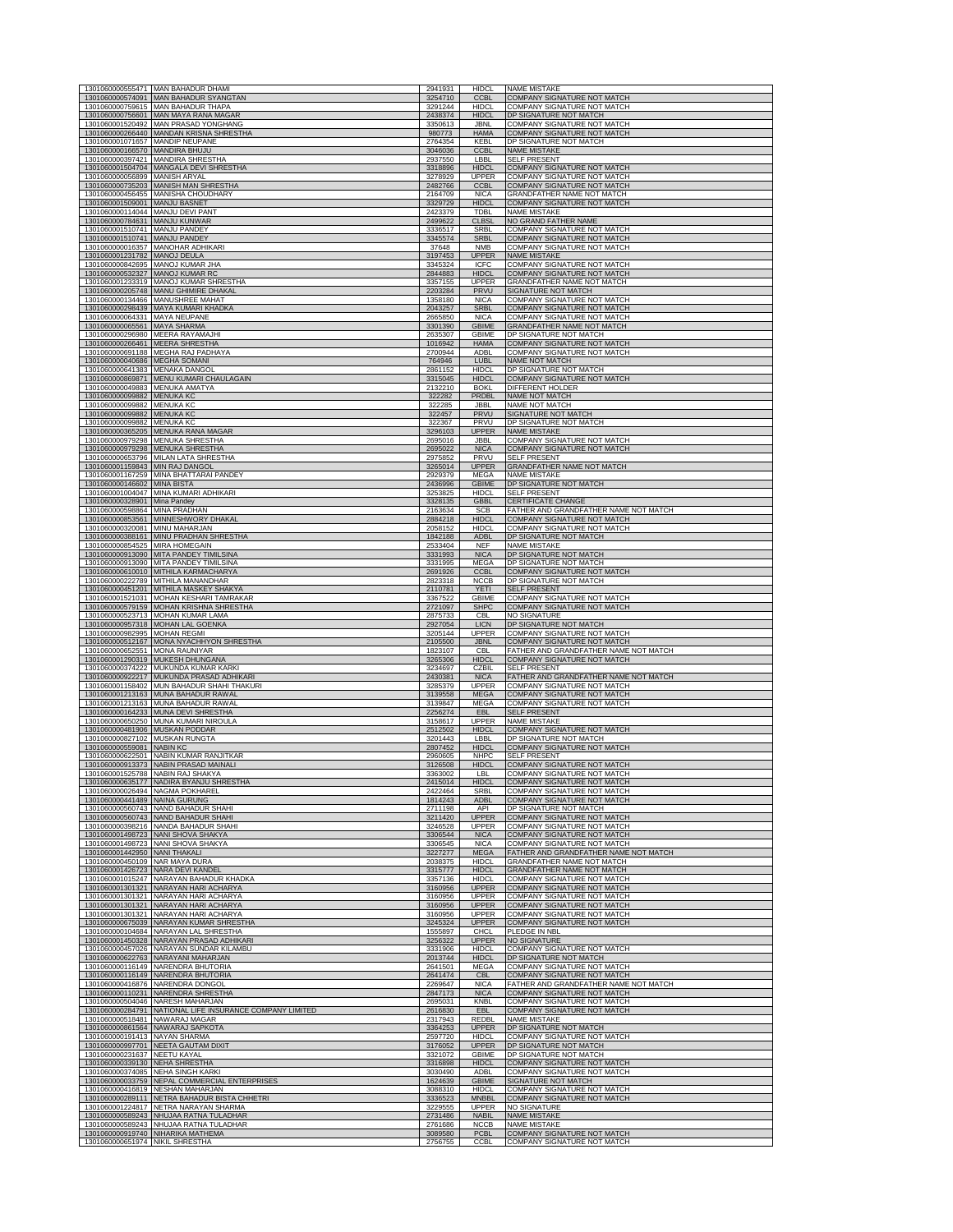|                           | 1301060000555471 MAN BAHADUR DHAMI                                                                             |                    |                                           |                                                                          |
|---------------------------|----------------------------------------------------------------------------------------------------------------|--------------------|-------------------------------------------|--------------------------------------------------------------------------|
|                           | 1301060000574091 MAN BAHADUR SYANGTAN                                                                          | 2941931<br>3254710 | <b>HIDCL</b><br><b>CCBL</b>               | <b>NAME MISTAKE</b><br><b>COMPANY SIGNATURE NOT MATCH</b>                |
|                           | 1301060000759615 MAN BAHADUR THAPA<br>1301060000756601 MAN MAYA RANA MAGAR                                     | 3291244<br>2438374 | <b>HIDCI</b><br><b>HIDCI</b>              | <b>COMPANY SIGNATURE NOT MATCH</b><br>DP SIGNATURE NOT MATCH             |
|                           | 1301060001520492 MAN PRASAD YONGHANG<br>1301060000266440 MANDAN KRISNA SHRESTHA                                | 3350613<br>980773  | JBNI<br><b>HAMA</b>                       | COMPANY SIGNATURE NOT MATCH<br>COMPANY SIGNATURE NOT MATCH               |
|                           | 1301060001071657 MANDIP NEUPANE<br>1301060000166570 MANDIRA BHUJU                                              | 2764354<br>3046036 | <b>KFBI</b><br><b>CCBL</b>                | DP SIGNATURE NOT MATCH<br><b>NAME MISTAKE</b>                            |
|                           | 1301060000397421 MANDIRA SHRESTHA<br>1301060001504704 MANGALA DEVI SHRESTHA                                    | 2937550<br>3318896 | LBBL<br><b>HIDCL</b>                      | SELF PRESENT<br><b>COMPANY SIGNATURE NOT MATCH</b>                       |
| 1301060000735203          | 1301060000056899 MANISH ARYAL                                                                                  | 3278929            | <b>UPPER</b>                              | COMPANY SIGNATURE NOT MATCH                                              |
|                           | MANISH MAN SHRESTHA<br>1301060000456455 MANISHA CHOUDHARY                                                      | 2482766<br>2164709 | CCBL<br><b>NICA</b>                       | COMPANY SIGNATURE NOT MATCH<br>GRANDFATHER NAME NOT MATCH                |
|                           | 1301060001509001 MANJU BASNET<br>1301060000114044 MANJU DEVI PANT                                              | 3329729<br>2423379 | <b>HIDCL</b><br>TDBI                      | COMPANY SIGNATURE NOT MATCH<br><b>NAME MISTAKE</b>                       |
|                           | 1301060000784631 MANJU KUNWAR<br>1301060001510741 MANJU PANDEY                                                 | 2499622<br>3336517 | <b>CLBSL</b><br><b>SRBL</b>               | NO GRAND FATHER NAME<br>COMPANY SIGNATURE NOT MATCH                      |
|                           | 1301060001510741 MANJU PANDEY<br>1301060000016357 MANOHAR ADHIKARI                                             | 3345574<br>37648   | <b>SRBL</b><br><b>NMB</b>                 | COMPANY SIGNATURE NOT MATCH<br>COMPANY SIGNATURE NOT MATCH               |
|                           | 1301060001231782 MANOJ DEULA                                                                                   | 3197453            | <b>UPPER</b>                              | <b>NAME MISTAKE</b>                                                      |
|                           | 1301060000842695 MANOJ KUMAR JHA<br>1301060000532327 MANOJ KUMAR RC                                            | 3345324<br>2844883 | <b>ICFC</b><br><b>HIDCL</b>               | COMPANY SIGNATURE NOT MATCH<br>COMPANY SIGNATURE NOT MATCH               |
|                           | 1301060001233319 MANOJ KUMAR SHRESTHA<br>1301060000205748 MANU GHIMIRE DHAKAL                                  | 3357155<br>2203284 | UPPER<br>PRVU                             | <b>GRANDFATHER NAME NOT MATCH</b><br>SIGNATURE NOT MATCH                 |
|                           | 1301060000134466 MANUSHREE MAHAT<br>1301060000298439 MAYA KUMARI KHADKA                                        | 1358180<br>2043257 | <b>NICA</b><br><b>SRBL</b>                | COMPANY SIGNATURE NOT MATCH<br>COMPANY SIGNATURE NOT MATCH               |
|                           | 1301060000064331 MAYA NEUPANE                                                                                  | 2665850            | <b>NICA</b>                               | COMPANY SIGNATURE NOT MATCH                                              |
|                           | 1301060000065561 MAYA SHARMA<br>1301060000296980 MEERA RAYAMAJHI                                               | 3301390<br>2635307 | <b>GBIME</b><br><b>GBIME</b>              | <b>GRANDFATHER NAME NOT MATCH</b><br>DP SIGNATURE NOT MATCH              |
|                           | 1301060000266461 MEERA SHRESTHA<br>1301060000691188 MEGHA RAJ PADHAYA                                          | 1016942<br>2700944 | <b>HAMA</b><br>ADBL                       | COMPANY SIGNATURE NOT MATCH<br><b>COMPANY SIGNATURE NOT MATCH</b>        |
|                           | 1301060000040686 MEGHA SOMANI<br>1301060000641383 MENAKA DANGOL                                                | 764946<br>2861152  | LUBL<br><b>HIDCL</b>                      | NAME NOT MATCH<br>DP SIGNATURE NOT MATCH                                 |
|                           | 1301060000869871 MENU KUMARI CHAULAGAIN<br>1301060000049883 MENUKA AMATYA                                      | 3315045            | <b>HIDCL</b>                              | COMPANY SIGNATURE NOT MATCH                                              |
|                           | 1301060000099882 MENUKA KC                                                                                     | 2132210<br>322282  | <b>BOKL</b><br>PRDBL                      | DIFFERENT HOLDER<br>NAME NOT MATCH                                       |
|                           | 1301060000099882 MENUKA KC<br>1301060000099882 MENUKA KC                                                       | 322285<br>322457   | <b>JBBL</b><br>PRVU                       | NAME NOT MATCH<br>SIGNATURE NOT MATCH                                    |
|                           | 1301060000099882 MENUKA KC<br>1301060000365205 MENUKA RANA MAGAR                                               | 322367<br>3296103  | PRVU<br><b>UPPER</b>                      | DP SIGNATURE NOT MATCH<br><b>NAME MISTAKE</b>                            |
|                           | 1301060000979298 MENUKA SHRESTHA<br>1301060000979298 MENUKA SHRESTHA                                           | 2695016            | <b>JBBL</b>                               | <b>COMPANY SIGNATURE NOT MATCH</b><br><b>COMPANY SIGNATURE NOT MATCH</b> |
|                           | 1301060000653796 MILAN LATA SHRESTHA                                                                           | 2695022<br>2975852 | <b>NICA</b><br>PRVU                       | SELF PRESENT                                                             |
|                           | 1301060001159843 MIN RAJ DANGOL<br>1301060001167259 MINA BHATTARAI PANDEY                                      | 3265014<br>2929379 | <b>UPPER</b><br><b>MEGA</b>               | GRANDFATHER NAME NOT MATCH<br><b>NAME MISTAKE</b>                        |
|                           | 1301060000146602 MINA BISTA<br>1301060001004047 MINA KUMARI ADHIKARI                                           | 2436996<br>3253825 | GBIME<br><b>HIDCL</b>                     | DP SIGNATURE NOT MATCH<br><b>SELF PRESENT</b>                            |
|                           | 1301060000328901 Mina Pandey                                                                                   | 3328135            | <b>GBBL</b>                               | <b>CERTIFICATE CHANGE</b>                                                |
|                           | 1301060000598864 MINA PRADHAN<br>1301060000853561 MINNESHWORY DHAKAL                                           | 2163634<br>2884218 | <b>SCB</b><br><b>HIDCL</b>                | FATHER AND GRANDFATHER NAME NOT MATCH<br>COMPANY SIGNATURE NOT MATCH     |
|                           | 1301060000320081 MINU MAHARJAN<br>1301060000388161 MINU PRADHAN SHRESTHA                                       | 2058152<br>1842188 | <b>HIDCL</b><br><b>ADBL</b>               | <b>COMPANY SIGNATURE NOT MATCH</b><br>DP SIGNATURE NOT MATCH             |
|                           | 1301060000854525 MIRA HOMEGAIN<br>1301060000913090 MITA PANDEY TIMILSINA                                       | 2533404<br>3331993 | <b>NEF</b><br><b>NICA</b>                 | NAME MISTAKE<br>DP SIGNATURE NOT MATCH                                   |
|                           | 1301060000913090 MITA PANDEY TIMILSINA                                                                         | 3331995            | MEGA                                      | DP SIGNATURE NOT MATCH                                                   |
|                           | 1301060000610010 MITHILA KARMACHARYA<br>1301060000222789 MITHILA MANANDHAR                                     | 2691926<br>2823318 | <b>CCBL</b><br><b>NCCB</b>                | COMPANY SIGNATURE NOT MATCH<br>DP SIGNATURE NOT MATCH                    |
|                           | 1301060000451201 MITHILA MASKEY SHAKYA<br>1301060001521031 MOHAN KESHARI TAMRAKAR                              | 2110781<br>3367522 | <b>YETI</b><br><b>GBIME</b>               | <b>SELF PRESENT</b><br>COMPANY SIGNATURE NOT MATCH                       |
|                           | 1301060000579159 MOHAN KRISHNA SHRESTHA<br>1301060000523713 MOHAN KUMAR LAMA                                   | 2721097            | SHPC<br><b>CBL</b>                        | COMPANY SIGNATURE NOT MATCH<br>NO SIGNATURE                              |
|                           | 1301060000957318 MOHAN LAL GOENKA                                                                              | 2875733<br>2927054 | <b>LICN</b>                               | DP SIGNATURE NOT MATCH                                                   |
|                           | 1301060000982995 MOHAN REGMI<br>1301060000512167 MONA NYACHHYON SHRESTHA                                       | 3205144<br>2105500 | UPPER<br><b>JBNL</b>                      | <b>COMPANY SIGNATURE NOT MATCH</b><br>COMPANY SIGNATURE NOT MATCH        |
|                           | 1301060000652551 MONA RAUNIYAR<br>1301060001290319 MUKESH DHUNGANA                                             | 1823107<br>3265306 | CBI<br><b>HIDCI</b>                       | FATHER AND GRANDFATHER NAME NOT MATCH<br>COMPANY SIGNATURE NOT MATCH     |
|                           | 1301060000374222 MUKUNDA KUMAR KARKI<br>1301060000922217 MUKUNDA PRASAD ADHIKARI                               | 3234697<br>2430381 | CZBIL<br><b>NICA</b>                      | <b>SELF PRESENT</b><br>FATHER AND GRANDFATHER NAME NOT MATCH             |
|                           | 1301060001158402 MUN BAHADUR SHAHI THAKURI                                                                     | 3285379            | <b>UPPER</b>                              | <b>COMPANY SIGNATURE NOT MATCH</b>                                       |
|                           | 1301060001213163 MUNA BAHADUR RAWAL<br>1301060001213163 MUNA BAHADUR RAWAL                                     | 3139558<br>3139847 | <b>MEGA</b><br>MEGA                       | COMPANY SIGNATURE NOT MATCH<br>COMPANY SIGNATURE NOT MATCH               |
|                           | 1301060000164233 MUNA DEVI SHRESTHA<br>1301060000650250 MUNA KUMARI NIROULA                                    | 2256274<br>3158617 | EBL<br><b>UPPER</b>                       | <b>SELF PRESENT</b><br><b>NAME MISTAKE</b>                               |
|                           | 1301060000481906 MUSKAN PODDAR<br>1301060000827102 MUSKAN RUNGTA                                               | 2512502<br>3201443 | <b>HIDCL</b><br>LBBL                      | <b>COMPANY SIGNATURE NOT MATCH</b><br>DP SIGNATURE NOT MATCH             |
| 1301060000559081 NABIN KC |                                                                                                                | 2807452            | <b>HIDCL</b>                              | COMPANY SIGNATURE NOT MATCH                                              |
|                           | 1301060000622501 NABIN KUMAR RANJITKAR<br>1301060000913373 NABIN PRASAD MAINALI                                | 2960605<br>3126508 | <b>NHPC</b><br><b>HIDCL</b>               | SELF PRESENT<br>COMPANY SIGNATURE NOT MATCH                              |
|                           | 1301060001525788 NABIN RAJ SHAKYA<br>1301060000635177 NADIRA BYANJU SHI                                        | 3363002<br>2415014 | LBL<br>HID(                               | <b>COMPANY SIGNATURE NOT MATCH</b><br>COMPANY SIGNATURE NOT MATCI        |
|                           | 1301060000026494 NAGMA POKHAREL<br>1301060000441489 NAINA GURUNG                                               | 2422464<br>1814243 | SRBL<br><b>ADBL</b>                       | COMPANY SIGNATURE NOT MATCH<br><b>COMPANY SIGNATURE NOT MATCH</b>        |
|                           | 1301060000560743 NAND BAHADUR SHAHI<br>1301060000560743 NAND BAHADUR SHAHI                                     | 2711198<br>3211420 | API<br><b>UPPER</b>                       | DP SIGNATURE NOT MATCH<br><b>COMPANY SIGNATURE NOT MATCH</b>             |
|                           | 1301060000398216 NANDA BAHADUR SHAHI                                                                           | 3246528            | UPPER                                     | COMPANY SIGNATURE NOT MATCH                                              |
|                           | 1301060001498723 NANI SHOVA SHAKYA<br>1301060001498723 NANI SHOVA SHAKYA                                       | 3306544<br>3306545 | <b>NICA</b><br><b>NICA</b>                | COMPANY SIGNATURE NOT MATCH<br>COMPANY SIGNATURE NOT MATCH               |
|                           | 1301060001442950 NANI THAKALI<br>1301060000450109 NAR MAYA DURA                                                | 3227277<br>2038375 | <b>MEGA</b><br><b>HIDCL</b>               | FATHER AND GRANDFATHER NAME NOT MATCH<br>GRANDFATHER NAME NOT MATCH      |
|                           | 1301060001426723 NARA DEVI KANDEL<br>1301060001015247 NARAYAN BAHADUR KHADKA                                   | 3315777<br>3357136 | <b>HIDCL</b><br><b>HIDCL</b>              | <b>GRANDFATHER NAME NOT MATCH</b><br>COMPANY SIGNATURE NOT MATCH         |
|                           | 1301060001301321 NARAYAN HARI ACHARYA<br>1301060001301321 NARAYAN HARI ACHARYA                                 | 3160956<br>3160956 | <b>UPPER</b><br><b>UPPER</b>              | <b>COMPANY SIGNATURE NOT MATCH</b><br>COMPANY SIGNATURE NOT MATCH        |
|                           | 1301060001301321 NARAYAN HARI ACHARYA                                                                          | 3160956            | <b>UPPER</b>                              | COMPANY SIGNATURE NOT MATCH                                              |
|                           | 1301060001301321 NARAYAN HARI ACHARYA<br>1301060000675039 NARAYAN KUMAR SHRESTHA                               | 3160956<br>3245324 | UPPER<br><b>UPPER</b>                     | COMPANY SIGNATURE NOT MATCH<br>COMPANY SIGNATURE NOT MATCH               |
|                           |                                                                                                                | 1555897            | <b>CHCL</b>                               |                                                                          |
|                           | 1301060000104684 NARAYAN LAL SHRESTHA                                                                          |                    |                                           | PLEDGE IN NBL                                                            |
|                           | 1301060001450328 NARAYAN PRASAD ADHIKARI<br>1301060000457026 NARAYAN SUNDAR KILAMBU                            | 3256322<br>3331906 | <b>UPPER</b><br><b>HIDCI</b>              | <b>NO SIGNATURE</b><br>COMPANY SIGNATURE NOT MATCH                       |
|                           | 1301060000622763 NARAYANI MAHARJAN<br>1301060000116149 NARENDRA BHUTORIA                                       | 2013744<br>2641501 | <b>HIDCL</b><br><b>MEGA</b>               | DP SIGNATURE NOT MATCH<br>COMPANY SIGNATURE NOT MATCH                    |
|                           | 1301060000116149 NARENDRA BHUTORIA<br>1301060000416876 NARENDRA DONGOL                                         | 2641474<br>2269647 | <b>CBL</b><br><b>NICA</b>                 | COMPANY SIGNATURE NOT MATCH<br>FATHER AND GRANDFATHER NAME NOT MATCH     |
| 1301060000110231          | NARENDRA SHRESTHA<br>1301060000504046 NARESH MAHARJAN                                                          | 2847173<br>2695031 | <b>NICA</b><br>KNBI                       | COMPANY SIGNATURE NOT MATCH<br>COMPANY SIGNATURE NOT MATCH               |
|                           | 1301060000284791 NATIONAL LIFE INSURANCE COMPANY LIMITED                                                       | 2616830            | <b>EBL</b>                                | COMPANY SIGNATURE NOT MATCH                                              |
|                           | 1301060000518481 NAWARAJ MAGAR<br>1301060000861564 NAWARAJ SAPKOTA                                             | 2317943<br>3364253 | <b>REDBI</b><br><b>UPPER</b>              | <b>NAME MISTAKE</b><br>DP SIGNATURE NOT MATCH                            |
|                           | 1301060000191413 NAYAN SHARMA<br>1301060000997701 NEETA GAUTAM DIXIT                                           | 2597720<br>3176052 | <b>HIDCL</b><br><b>UPPER</b>              | COMPANY SIGNATURE NOT MATCH<br>DP SIGNATURE NOT MATCH                    |
|                           | 1301060000231637 NEETU KAYAL<br>1301060000339130 NEHA SHRESTHA                                                 | 3321072<br>3316898 | GBIMF<br><b>HIDCL</b>                     | DP SIGNATURE NOT MATCH<br>COMPANY SIGNATURE NOT MATCH                    |
|                           | 1301060000374085 NEHA SINGH KARKI                                                                              | 3030490            | <b>ADBI</b>                               | COMPANY SIGNATURE NOT MATCH                                              |
|                           | 1301060000033759 NEPAL COMMERCIAL ENTERPRISES<br>1301060000416819 NESHAN MAHARJAN                              | 1624639<br>3088310 | <b>GBIME</b><br><b>HIDCI</b>              | SIGNATURE NOT MATCH<br>COMPANY SIGNATURE NOT MATCH                       |
|                           | 1301060000289111 NETRA BAHADUR BISTA CHHETRI<br>1301060001224817 NETRA NARAYAN SHARMA                          | 3336523<br>3229555 | <b>MNBBL</b><br>UPPER                     | <b>COMPANY SIGNATURE NOT MATCH</b><br><b>NO SIGNATURE</b>                |
|                           | 1301060000589243 NHUJAA RATNA TULADHAR                                                                         | 2731486<br>2761686 | <b>NABIL</b>                              | <b>NAME MISTAKE</b><br><b>NAME MISTAKE</b>                               |
|                           | 1301060000589243 NHUJAA RATNA TULADHAR<br>1301060000919740 NIHARIKA MATHEMA<br>1301060000651974 NIKIL SHRESTHA | 3089580<br>2756755 | <b>NCCB</b><br><b>PCBL</b><br><b>CCBL</b> | COMPANY SIGNATURE NOT MATCH<br><b>COMPANY SIGNATURE NOT MATCH</b>        |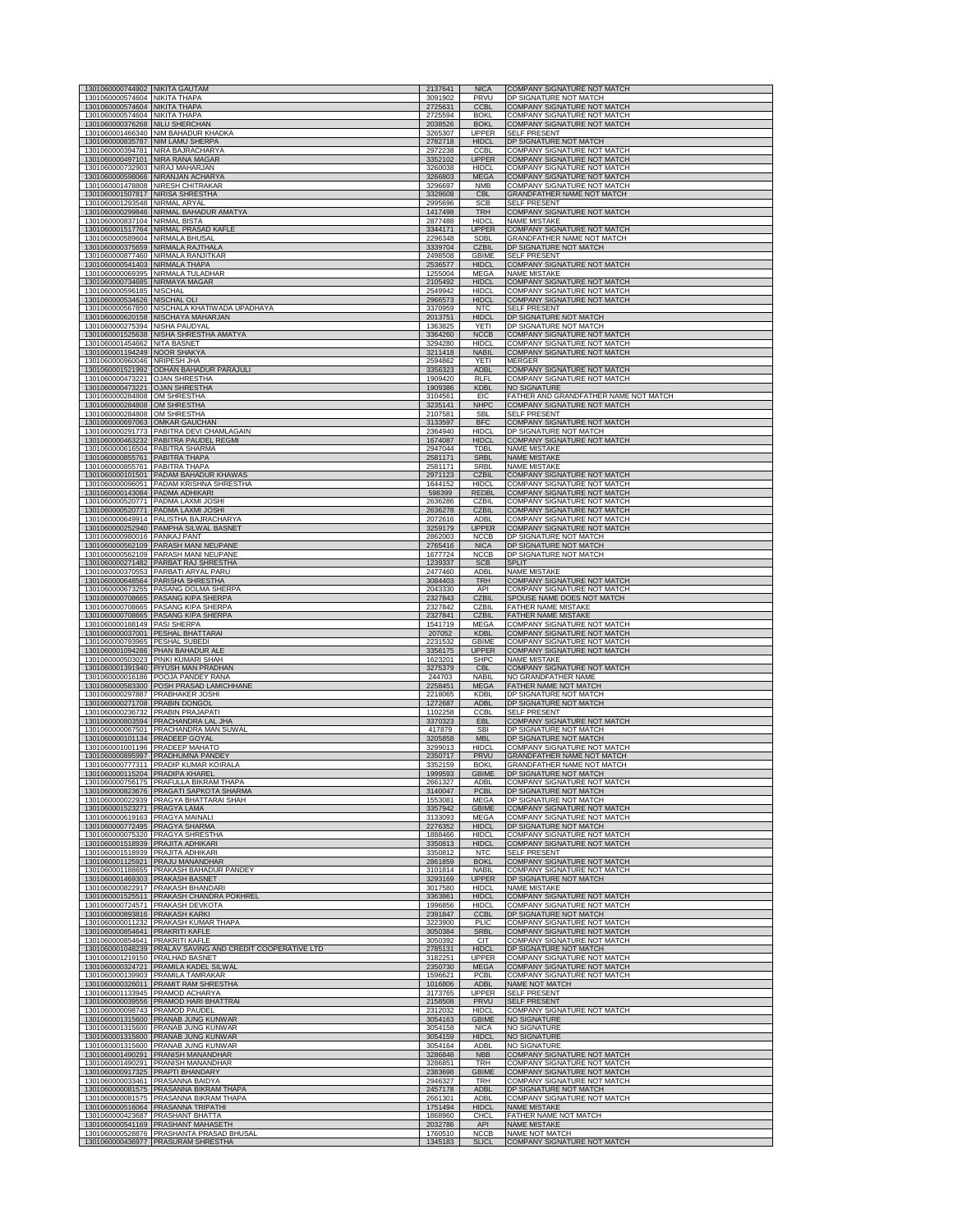| 1301060000574604 NIKITA THAPA                                       | 1301060000744902 NIKITA GAUTAM                                                     | 2137641<br>3091902            | <b>NICA</b><br>PRVU                        | COMPANY SIGNATURE NOT MATCH<br>DP SIGNATURE NOT MATCH                            |
|---------------------------------------------------------------------|------------------------------------------------------------------------------------|-------------------------------|--------------------------------------------|----------------------------------------------------------------------------------|
| 1301060000574604                                                    | <b>NIKITA THAP</b>                                                                 |                               | <b>CCBI</b>                                | <b>MPANY SIGNATURE NO</b>                                                        |
| 1301060000574604 NIKITA THAPA<br>1301060000376268 NILU SHERCHAN     |                                                                                    | 2725594<br>2038526            | <b>BOKI</b><br><b>BOKL</b>                 | COMPANY SIGNATURE NOT MATCH<br><b>COMPANY SIGNATURE NOT MATCH</b>                |
| 1301060000835787 NIM LAMU SHERPA                                    | 1301060001466340 NIM BAHADUR KHADKA                                                | 3265307<br>2782718            | <b>UPPER</b><br><b>HIDCL</b>               | <b>SELF PRESENT</b><br>DP SIGNATURE NOT MATCH                                    |
|                                                                     | 1301060000394781 NIRA BAJRACHARYA<br>1301060000497101 NIRA RANA MAGAR              | 2972238<br>3352102            | CCBL<br><b>UPPER</b>                       | COMPANY SIGNATURE NOT MATCH<br>COMPANY SIGNATURE NOT MATCH                       |
| 1301060000732903                                                    | NIRAJ MAHARJAN                                                                     | 3260038                       | <b>HIDCI</b>                               | COMPANY SIGNATURE NOT MATCH                                                      |
| 1301060000598066                                                    | NIRANJAN ACHARYA<br>1301060001478808 NIRESH CHITRAKAR                              | 3266803<br>3296697            | <b>MEGA</b><br><b>NMB</b>                  | COMPANY SIGNATURE NOT MATCH<br>COMPANY SIGNATURE NOT MATCH                       |
| 1301060001507817 NIRISA SHRESTHA<br>1301060001293548 NIRMAL ARYAL   |                                                                                    | 3328608<br>2995696            | <b>CBL</b><br><b>SCB</b>                   | GRANDFATHER NAME NOT MATCH<br><b>SELF PRESENT</b>                                |
| 1301060000837104 NIRMAL BISTA                                       | 1301060000299846 NIRMAL BAHADUR AMATYA                                             | 1417498<br>2877488            | <b>TRH</b><br><b>HIDCL</b>                 | COMPANY SIGNATURE NOT MATCH<br><b>NAME MISTAKE</b>                               |
| 1301060000589604 NIRMALA BHUSAL                                     | 1301060001517764 NIRMAL PRASAD KAFLE                                               | 3344171<br>2296348            | <b>UPPER</b><br>SDBL                       | COMPANY SIGNATURE NOT MATCH<br><b>GRANDFATHER NAME NOT MATCH</b>                 |
| 1301060000375659                                                    | NIRMALA RAJTHALA                                                                   | 3339704                       | <b>CZBIL</b>                               | DP SIGNATURE NOT MATCH                                                           |
| 1301060000541403 NIRMALA THAPA                                      | 1301060000877460 NIRMALA RANJITKAR                                                 | 2498508<br>2536577            | GBIME<br><b>HIDCL</b>                      | <b>SELF PRESENT</b><br>COMPANY SIGNATURE NOT MATCH                               |
| 1301060000734685 NIRMAYA MAGAR                                      | 1301060000069395 NIRMALA TULADHAR                                                  | 1255004<br>2105492            | <b>MEGA</b><br><b>HIDCL</b>                | <b>NAME MISTAKE</b><br>COMPANY SIGNATURE NOT MATCH                               |
| 1301060000596185 NISCHAL<br>1301060000534626 NISCHAL OLI            |                                                                                    | 2549942<br>2966573            | <b>HIDCL</b><br><b>HIDCL</b>               | COMPANY SIGNATURE NOT MATCH<br>COMPANY SIGNATURE NOT MATCH                       |
|                                                                     | 1301060000567850 NISCHALA KHATIWADA UPADHAYA<br>1301060000620158 NISCHAYA MAHARJAN | 3370959<br>2013751            | <b>NTC</b><br><b>HIDCL</b>                 | <b>SELF PRESENT</b><br>DP SIGNATURE NOT MATCH                                    |
| 1301060000275394 NISHA PAUDYAL                                      | 1301060001525638 NISHA SHRESTHA AMATYA                                             | 1363825<br>3364260            | <b>YETI</b><br><b>NCCB</b>                 | DP SIGNATURE NOT MATCH<br><b>COMPANY SIGNATURE NOT MATCH</b>                     |
| 1301060001454662 NITA BASNET                                        |                                                                                    | 3294280                       | <b>HIDCI</b>                               | COMPANY SIGNATURE NOT MATCH                                                      |
| 1301060001194249 NOOR SHAKYA<br>1301060000960046 NRIPESH JHA        |                                                                                    | 3211418<br>2594862            | <b>NABIL</b><br>YETI                       | <b>COMPANY SIGNATURE NOT MATCH</b><br><b>MERGER</b>                              |
| 1301060000473221 OJAN SHRESTHA                                      | 1301060001521992 ODHAN BAHADUR PARAJULI                                            | 3356323<br>1909420            | <b>ADBL</b><br>RI FI                       | COMPANY SIGNATURE NOT MATCH<br>COMPANY SIGNATURE NOT MATCH                       |
| 1301060000473221 OJAN SHRESTHA<br>1301060000284808 OM SHRESTHA      |                                                                                    | 1909386<br>3104561            | <b>KDBL</b><br>EIC                         | NO SIGNATURE<br>FATHER AND GRANDFATHER NAME NOT MATCH                            |
| 1301060000284808 OM SHRESTHA<br>1301060000284808 OM SHRESTHA        |                                                                                    | 3235141<br>2107581            | <b>NHPC</b><br><b>SBI</b>                  | COMPANY SIGNATURE NOT MATCH<br><b>SELF PRESENT</b>                               |
| 1301060000697063 OMKAR GAUCHAN                                      | 1301060000291773 PABITRA DEVI CHAMLAGAIN                                           | 3133597<br>2364940            | <b>BFC</b><br><b>HIDCI</b>                 | <b>COMPANY SIGNATURE NOT MATCH</b><br>DP SIGNATURE NOT MATCH                     |
|                                                                     | 1301060000463232 PABITRA PAUDEL REGMI                                              | 1674087                       | <b>HIDCL</b>                               | COMPANY SIGNATURE NOT MATCH                                                      |
| 1301060000616504 PABITRA SHARMA<br>1301060000855761 PABITRA THAPA   |                                                                                    | 2947044<br>2581171            | <b>TDBI</b><br><b>SRBL</b>                 | <b>NAME MISTAKE</b><br><b>NAME MISTAKE</b>                                       |
| 1301060000855761 PABITRA THAPA                                      | 1301060000101501 PADAM BAHADUR KHAWAS                                              | 2581171<br>2971123            | <b>SRBI</b><br><b>CZBIL</b>                | <b>NAME MISTAKE</b><br><b>COMPANY SIGNATURE NOT MATCH</b>                        |
| 1301060000143084 PADMA ADHIKARI                                     | 1301060000096051 PADAM KRISHNA SHRESTHA                                            | 1644152<br>598399             | <b>HIDCL</b><br>REDBL                      | COMPANY SIGNATURE NOT MATCH<br><b>COMPANY SIGNATURE NOT MATCH</b>                |
|                                                                     | 1301060000520771 PADMA LAXMI JOSHI<br>1301060000520771 PADMA LAXMI JOSHI           | 2636286<br>2636278            | CZBIL<br><b>CZBIL</b>                      | COMPANY SIGNATURE NOT MATCH<br>COMPANY SIGNATURE NOT MATCH                       |
|                                                                     | 1301060000649914 PALISTHA BAJRACHARYA                                              | 2072616                       | <b>ADBL</b>                                | <b>COMPANY SIGNATURE NOT MATCH</b>                                               |
| 1301060000980016 PANKAJ PANT                                        | 1301060000252940 PAMPHA SILWAL BASNET                                              | 3259179<br>2862003            | <b>UPPER</b><br><b>NCCB</b>                | COMPANY SIGNATURE NOT MATCH<br>DP SIGNATURE NOT MATCH                            |
|                                                                     | 1301060000562109 PARASH MANI NEUPANE<br>1301060000562109 PARASH MANI NEUPANE       | 2765416<br>1677724            | <b>NICA</b><br><b>NCCB</b>                 | DP SIGNATURE NOT MATCH<br>DP SIGNATURE NOT MATCH                                 |
|                                                                     | 1301060000271482 PARBAT RAJ SHRESTHA<br>1301060000370553 PARBATI ARYAL PARU        | 1239337<br>2477460            | <b>SCB</b><br>ADBL                         | <b>SPLIT</b><br><b>NAME MISTAKE</b>                                              |
|                                                                     | 1301060000648564 PARISHA SHRESTHA<br>1301060000673255 PASANG DOLMA SHERPA          | 3084403<br>2043330            | <b>TRH</b><br>API                          | COMPANY SIGNATURE NOT MATCH<br>COMPANY SIGNATURE NOT MATCH                       |
|                                                                     | 1301060000708665 PASANG KIPA SHERPA<br>1301060000708665 PASANG KIPA SHERPA         | 2327843<br>2327842            | <b>CZBIL</b><br>CZBIL                      | SPOUSE NAME DOES NOT MATCH<br>FATHER NAME MISTAKE                                |
| 1301060000708665                                                    | PASANG KIPA SHERPA                                                                 | 2327841                       | <b>CZBIL</b>                               | FATHER NAME MISTAKE                                                              |
| 1301060000188149 PASI SHERPA                                        | 1301060000037001 PESHAL BHATTARAI                                                  | 1541719<br>207052             | MEGA<br><b>KDBL</b>                        | COMPANY SIGNATURE NOT MATCH<br>COMPANY SIGNATURE NOT MATCH                       |
| 1301060000793965 PESHAL SUBEDI                                      | 1301060001094286 PHAN BAHADUR ALE                                                  | 2231532<br>3356175            | <b>GBIME</b><br><b>UPPER</b>               | COMPANY SIGNATURE NOT MATCH<br>COMPANY SIGNATURE NOT MATCH                       |
| 1301060001391940 PIYUSH MAN PRADHAN                                 | 1301060000503023 PINKI KUMARI SHAH                                                 | 1623201<br>3275379            | <b>SHPC</b><br><b>CBL</b>                  | <b>NAME MISTAKE</b><br>COMPANY SIGNATURE NOT MATCH                               |
|                                                                     |                                                                                    |                               |                                            |                                                                                  |
|                                                                     | 1301060000016186 POOJA PANDEY RANA                                                 | 244703                        | <b>NABIL</b>                               | NO GRANDFATHER NAME                                                              |
|                                                                     | 1301060000583300 POSH PRASAD LAMICHHANE<br>1301060000297887 PRABHAKER JOSHI        | 2258451<br>2218065            | <b>MEGA</b><br><b>KDBL</b>                 | FATHER NAME NOT MATCH<br>DP SIGNATURE NOT MATCH                                  |
| 1301060000271708 PRABIN DONGOL<br>1301060000236732 PRABIN PRAJAPATI |                                                                                    | 1272687<br>1102258            | <b>ADBL</b><br><b>CCBL</b>                 | DP SIGNATURE NOT MATCH<br><b>SELF PRESENT</b>                                    |
|                                                                     | 1301060000803594 PRACHANDRA LAL JHA<br>1301060000067501 PRACHANDRA MAN SUWAL       | 3370323<br>417879             | <b>EBL</b><br><b>SBI</b>                   | COMPANY SIGNATURE NOT MATCH<br>DP SIGNATURE NOT MATCH                            |
| 1301060000101134 PRADEEP GOYAL                                      | 1301060001001196 PRADEEP MAHATO                                                    | 3205858<br>3299013            | <b>MBL</b><br><b>HIDCL</b>                 | DP SIGNATURE NOT MATCH<br>COMPANY SIGNATURE NOT MATCH                            |
| 1301060000895997                                                    | PRADHUMNA PANDEY<br>1301060000777311 PRADIP KUMAR KOIRALA                          | 2350717                       | PRVU                                       | <b>GRANDFATHER NAME NOT MATCH</b>                                                |
| 1301060000115204 PRADIPA KHAREL                                     | 1301060000756175 PRAFIJLLA BIKRAM THAP                                             | 3352159<br>1999593<br>2661327 | <b>BOKL</b><br><b>GBIME</b><br><b>ADRI</b> | GRANDFATHER NAME NOT MATCH<br>DP SIGNATURE NOT MATCH<br>COMPANY SIGNATURE NOT MA |
|                                                                     | 1301060000823676 PRAGATI SAPKOTA SHARMA                                            | 3140047                       | <b>PCBL</b>                                | DP SIGNATURE NOT MATCH                                                           |
| 1301060001523271 PRAGYA LAMA                                        | 1301060000022939 PRAGYA BHATTARAI SHAH                                             | 1553081<br>3357942            | <b>MEGA</b><br><b>GBIME</b>                | DP SIGNATURE NOT MATCH<br>COMPANY SIGNATURE NOT MATCH                            |
| 1301060000619163 PRAGYA MAINALI<br>1301060000772495                 | PRAGYA SHARMA                                                                      | 3133093<br>2276352            | <b>MEGA</b><br><b>HIDCL</b>                | COMPANY SIGNATURE NOT MATCH<br>DP SIGNATURE NOT MATCH                            |
| 1301060001518939                                                    | 1301060000075320 PRAGYA SHRESTHA<br>PRAJITA ADHIKARI                               | 1888466<br>3350813            | <b>HIDCL</b><br><b>HIDCL</b>               | COMPANY SIGNATURE NOT MATCH<br>COMPANY SIGNATURE NOT MATCH                       |
| 1301060001518939 PRAJITA ADHIKARI                                   | 1301060001125921 PRAJU MANANDHAR                                                   | 3350812<br>2861859            | NTC<br><b>BOKL</b>                         | SELF PRESENT<br><b>COMPANY SIGNATURE NOT MATCH</b>                               |
|                                                                     | 1301060001188655 PRAKASH BAHADUR PANDEY                                            | 3101814                       | <b>NABIL</b><br><b>UPPER</b>               | COMPANY SIGNATURE NOT MATCH                                                      |
| 1301060001469303 PRAKASH BASNET                                     | 1301060000822917 PRAKASH BHANDARI                                                  | 3293169<br>3017580            | <b>HIDCL</b>                               | DP SIGNATURE NOT MATCH<br><b>NAME MISTAKE</b>                                    |
| 1301060001525511                                                    | PRAKASH CHANDRA POKHREL<br>1301060000724571 PRAKASH DEVKOTA                        | 3363861<br>1996856            | <b>HIDCL</b><br><b>HIDCL</b>               | <b>COMPANY SIGNATURE NOT MATCH</b><br>COMPANY SIGNATURE NOT MATCH                |
| 1301060000893816<br>1301060000011232                                | <b>PRAKASH KARKI</b><br>PRAKASH KUMAR THAPA                                        | 2391847<br>3223900            | <b>CCBL</b><br>PLIC                        | DP SIGNATURE NOT MATCH<br><b>COMPANY SIGNATURE NOT MATCH</b>                     |
| 1301060000854641 PRAKRITI KAFLE<br>1301060000854641 PRAKRITI KAFLE  |                                                                                    | 3050384<br>3050392            | <b>SRBL</b><br>CIT                         | <b>COMPANY SIGNATURE NOT MATCH</b><br>COMPANY SIGNATURE NOT MATCH                |
|                                                                     | 1301060001048239 PRALAV SAVING AND CREDIT COOPERATIVE LTD                          | 2785131                       | <b>HIDCL</b><br><b>UPPER</b>               | DP SIGNATURE NOT MATCH                                                           |
| 1301060001219150 PRALHAD BASNET<br>1301060000139903                 | 1301060000324721 PRAMILA KADEL SILWAL                                              | 3182251<br>2350730            | <b>MEGA</b>                                | COMPANY SIGNATURE NOT MATCH<br>COMPANY SIGNATURE NOT MATCH                       |
| 1301060000326011                                                    | PRAMILA TAMRAKAR<br>PRAMIT RAM SHRESTHA                                            | 1596621<br>1016806            | PCBL<br><b>ADBL</b>                        | COMPANY SIGNATURE NOT MATCH<br>NAME NOT MATCH                                    |
| 1301060001133945<br>1301060000039556                                | PRAMOD ACHARYA<br>PRAMOD HARI BHATTRAI                                             | 3173765<br>2158508            | UPPER<br>PRVU                              | <b>SELF PRESENT</b><br><b>SELF PRESENT</b>                                       |
| 1301060000098743 PRAMOD PAUDEL                                      | 1301060001315600 PRANAB JUNG KUNWAR                                                | 2312032<br>3054163            | <b>HIDCL</b><br><b>GBIME</b>               | COMPANY SIGNATURE NOT MATCH<br>NO SIGNATURE                                      |
|                                                                     | 1301060001315600 PRANAB JUNG KUNWAR<br>1301060001315600 PRANAB JUNG KUNWAR         | 3054158<br>3054159            | <b>NICA</b><br><b>HIDCL</b>                | <b>NO SIGNATURE</b><br>NO SIGNATURE                                              |
| 1301060001315600                                                    | PRANAB JUNG KUNWAR<br>PRANISH MANANDHAR                                            | 3054164<br>3286848            | <b>ADBL</b>                                | NO SIGNATURE                                                                     |
| 1301060001490291                                                    | 1301060001490291 PRANISH MANANDHAR                                                 | 3286851                       | <b>NBB</b><br>TRH                          | COMPANY SIGNATURE NOT MATCH<br>COMPANY SIGNATURE NOT MATCH                       |
| 1301060000033461 PRASANNA BAIDYA                                    | 1301060000917325 PRAPTI BHANDARY                                                   | 2383698<br>2946327            | <b>GBIME</b><br>TRH                        | COMPANY SIGNATURE NOT MATCH<br>COMPANY SIGNATURE NOT MATCH                       |
| 1301060000081575                                                    | PRASANNA BIKRAM THAPA<br>1301060000081575 PRASANNA BIKRAM THAPA                    | 2457178<br>2661301            | adbl<br>ADBL                               | DP SIGNATURE NOT MATCH<br>COMPANY SIGNATURE NOT MATCH                            |
| 1301060000516064<br>1301060000423687                                | PRASANNA TRIPATHI<br>PRASHANT BHATTA                                               | 1751494<br>1868960            | <b>HIDCL</b><br>CHCL                       | <b>NAME MISTAKE</b><br>FATHER NAME NOT MATCH                                     |
| 1301060000541169<br>1301060000528876                                | PRASHANT MAHASETH<br>PRASHANTA PRASAD BHUSAI<br>1301060000436977 PRASURAM SHRESTHA | 2032786<br>1760510            | <b>API</b><br><b>NCCE</b>                  | NAME MISTAKE<br>NAME NOT MATCH<br><b>COMPANY SIGNATURE NOT MATCH</b>             |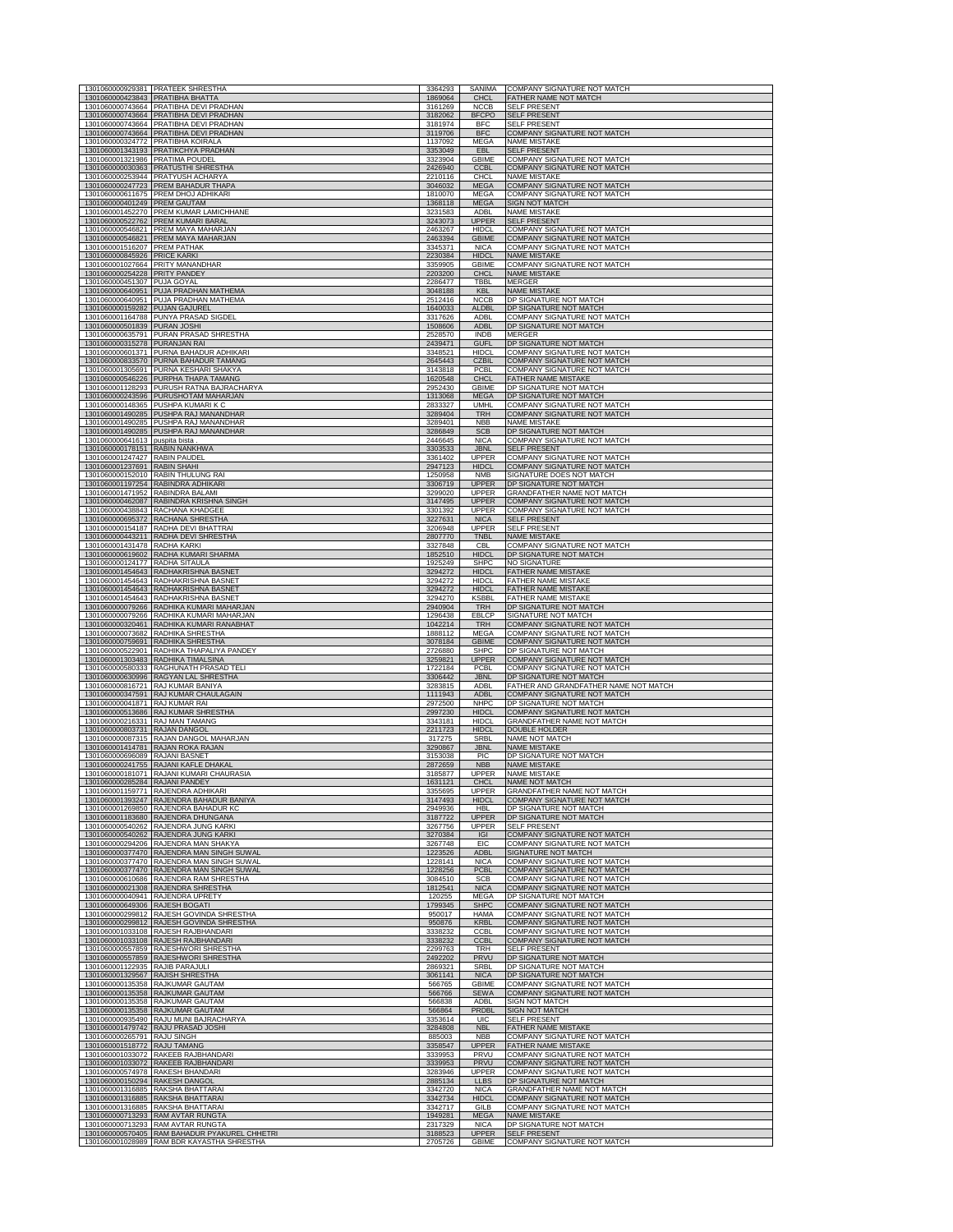|                                                                  | 1301060000929381 PRATEEK SHRESTHA<br>1301060000423843 PRATIBHA BHATTA                  | 3364293<br>1869064 | SANIMA<br><b>CHCL</b>        | COMPANY SIGNATURE NOT MATCH<br>FATHER NAME NOT MATCH              |
|------------------------------------------------------------------|----------------------------------------------------------------------------------------|--------------------|------------------------------|-------------------------------------------------------------------|
|                                                                  | 1301060000743664 PRATIBHA DEVI PRADHAN<br>1301060000743664 PRATIBHA DEVI PRADHAN       | 3161269<br>3182062 | <b>NCCB</b><br><b>BFCPO</b>  | <b>SELF PRESENT</b><br><b>SELF PRESENT</b>                        |
|                                                                  | 1301060000743664 PRATIBHA DEVI PRADHAN                                                 | 3181974            | <b>BFC</b>                   | <b>SELF PRESENT</b>                                               |
|                                                                  | 1301060000743664 PRATIBHA DEVI PRADHAN<br>1301060000324772 PRATIBHA KOIRALA            | 3119706<br>1137092 | <b>BFC</b><br>MFGA           | COMPANY SIGNATURE NOT MATCH<br><b>NAME MISTAKE</b>                |
|                                                                  | 1301060001343193 PRATIKCHYA PRADHAN                                                    | 3353049            | <b>EBL</b>                   | <b>SELF PRESENT</b>                                               |
| 1301060001321986 PRATIMA POUDEL                                  | 1301060000030363 PRATUSTHI SHRESTHA                                                    | 3323904<br>2426940 | <b>GBIME</b><br><b>CCBL</b>  | COMPANY SIGNATURE NOT MATCH<br>COMPANY SIGNATURE NOT MATCH        |
|                                                                  | 1301060000253944 PRATYUSH ACHARYA                                                      | 2210116            | CHCL                         | <b>NAME MISTAKE</b>                                               |
|                                                                  | 1301060000247723 PREM BAHADUR THAPA<br>1301060000611675 PREM DHOJ ADHIKARI             | 3046032<br>1810070 | <b>MEGA</b><br>MEGA          | <b>COMPANY SIGNATURE NOT MATCH</b><br>COMPANY SIGNATURE NOT MATCH |
| 1301060000401249 PREM GAUTAM                                     |                                                                                        | 1368118            | <b>MEGA</b>                  | <b>SIGN NOT MATCH</b>                                             |
|                                                                  | 1301060001452270 PREM KUMAR LAMICHHANE<br>1301060000522762 PREM KUMARI BARAL           | 3231583<br>3243073 | <b>ADBI</b><br><b>UPPER</b>  | <b>NAME MISTAKE</b><br><b>SELF PRESENT</b>                        |
|                                                                  | 1301060000546821 PREM MAYA MAHARJAN                                                    | 2463267            | <b>HIDCL</b>                 | COMPANY SIGNATURE NOT MATCH                                       |
| 1301060001516207 PREM PATHAK                                     | 1301060000546821 PREM MAYA MAHARJAN                                                    | 2463394<br>3345371 | <b>GBIME</b><br><b>NICA</b>  | <b>COMPANY SIGNATURE NOT MATCH</b><br>COMPANY SIGNATURE NOT MATCH |
| 1301060000845926 PRICE KARKI                                     |                                                                                        | 2230384            | <b>HIDCL</b>                 | <b>NAME MISTAKE</b>                                               |
| 1301060000254228 PRITY PANDEY                                    | 1301060001027664 PRITY MANANDHAR                                                       | 3359905<br>2203200 | <b>GBIME</b><br><b>CHCL</b>  | COMPANY SIGNATURE NOT MATCH<br><b>NAME MISTAKE</b>                |
| 1301060000451307 PUJA GOYAL                                      |                                                                                        | 2286477            | TBBL                         | <b>MERGER</b>                                                     |
|                                                                  | 1301060000640951 PUJA PRADHAN MATHEMA<br>1301060000640951 PUJA PRADHAN MATHEMA         | 3048188<br>2512416 | <b>KBL</b><br><b>NCCB</b>    | <b>NAME MISTAKE</b><br>DP SIGNATURE NOT MATCH                     |
| 1301060000159282 PUJAN GAJUREL                                   |                                                                                        | 1640033            | <b>ALDBL</b>                 | DP SIGNATURE NOT MATCH                                            |
| 1301060000501839 PURAN JOSHI                                     | 1301060001164788 PUNYA PRASAD SIGDEL                                                   | 3317626<br>1508606 | <b>ADBL</b><br><b>ADBL</b>   | <b>COMPANY SIGNATURE NOT MATCH</b><br>DP SIGNATURE NOT MATCH      |
|                                                                  | 1301060000635791 PURAN PRASAD SHRESTHA                                                 | 2528570            | <b>INDB</b>                  | <b>MERGER</b>                                                     |
| 1301060000315278 PURANJAN RAI                                    | 1301060000601371 PURNA BAHADUR ADHIKARI                                                | 2439471<br>3348521 | <b>GUFL</b><br><b>HIDCL</b>  | DP SIGNATURE NOT MATCH<br>COMPANY SIGNATURE NOT MATCH             |
|                                                                  | 1301060000833570 PURNA BAHADUR TAMANG<br>1301060001305691 PURNA KESHARI SHAKYA         | 2645443<br>3143818 | <b>CZBIL</b><br>PCBL         | COMPANY SIGNATURE NOT MATCH<br>COMPANY SIGNATURE NOT MATCH        |
|                                                                  | 1301060000546226 PURPHA THAPA TAMANG                                                   | 1620548            | <b>CHCL</b>                  | FATHER NAME MISTAKE                                               |
|                                                                  | 1301060001128293 PURUSH RATNA BAJRACHARYA<br>1301060000243596 PURUSHOTAM MAHARJAN      | 2952430<br>1313068 | <b>GBIME</b><br><b>MEGA</b>  | DP SIGNATURE NOT MATCH                                            |
|                                                                  | 1301060000148365 PUSHPA KUMARI K C                                                     | 2833327            | <b>UMHL</b>                  | DP SIGNATURE NOT MATCH<br>COMPANY SIGNATURE NOT MATCH             |
|                                                                  | 1301060001490285 PUSHPA RAJ MANANDHAR<br>1301060001490285 PUSHPA RAJ MANANDHAR         | 3289404<br>3289401 | <b>TRH</b><br><b>NBB</b>     | COMPANY SIGNATURE NOT MATCH<br><b>NAME MISTAKE</b>                |
|                                                                  | 1301060001490285 PUSHPA RAJ MANANDHAR                                                  | 3286849            | <b>SCB</b>                   | DP SIGNATURE NOT MATCH                                            |
| 1301060000641613 puspita bista<br>1301060000178151 RABIN NANKHWA |                                                                                        | 2446645<br>3303533 | <b>NICA</b><br><b>JBNL</b>   | COMPANY SIGNATURE NOT MATCH<br><b>SELF PRESENT</b>                |
| 1301060001247427 RABIN PAUDEL                                    |                                                                                        | 3361402            | <b>UPPER</b>                 | COMPANY SIGNATURE NOT MATCH                                       |
| 1301060001237691 RABIN SHAHI                                     | 1301060000152010 RABIN THULUNG RAI                                                     | 2947123<br>1250958 | <b>HIDCL</b><br><b>NMB</b>   | COMPANY SIGNATURE NOT MATCH<br>SIGNATURE DOES NOT MATCH           |
|                                                                  | 1301060001197254 RABINDRA ADHIKARI                                                     | 3306719            | <b>UPPER</b>                 | DP SIGNATURE NOT MATCH                                            |
|                                                                  | 1301060001471952 RABINDRA BALAMI<br>1301060000462087 RABINDRA KRISHNA SINGH            | 3299020<br>3147495 | <b>UPPER</b><br><b>UPPER</b> | GRANDFATHER NAME NOT MATCH<br>COMPANY SIGNATURE NOT MATCH         |
|                                                                  | 1301060000438843 RACHANA KHADGEE                                                       | 3301392            | <b>UPPER</b>                 | <b>COMPANY SIGNATURE NOT MATCH</b>                                |
|                                                                  | 1301060000695372 RACHANA SHRESTHA<br>1301060000154187 RADHA DEVI BHATTRAI              | 3227631<br>3206948 | <b>NICA</b><br><b>UPPER</b>  | <b>SELF PRESENT</b><br><b>SELF PRESENT</b>                        |
|                                                                  | 1301060000443211 RADHA DEVI SHRESTHA                                                   | 2807770            | <b>TNBL</b>                  | <b>NAME MISTAKE</b>                                               |
| 1301060001431478 RADHA KARKI                                     | 1301060000619602 RADHA KUMARI SHARMA                                                   | 3327848<br>1852510 | <b>CBL</b><br><b>HIDCL</b>   | COMPANY SIGNATURE NOT MATCH<br>DP SIGNATURE NOT MATCH             |
| 1301060000124177 RADHA SITAULA                                   |                                                                                        | 1925249            | <b>SHPC</b>                  | NO SIGNATURE                                                      |
|                                                                  | 1301060001454643 RADHAKRISHNA BASNET<br>1301060001454643 RADHAKRISHNA BASNET           | 3294272<br>3294272 | <b>HIDCL</b><br><b>HIDCI</b> | FATHER NAME MISTAKE<br><b>FATHER NAME MISTAKE</b>                 |
|                                                                  | 1301060001454643 RADHAKRISHNA BASNET                                                   | 3294272            | <b>HIDCL</b>                 | <b>FATHER NAME MISTAKE</b>                                        |
|                                                                  | 1301060001454643 RADHAKRISHNA BASNET<br>1301060000079266 RADHIKA KUMARI MAHARJAN       | 3294270<br>2940904 | <b>KSBBL</b><br><b>TRH</b>   | FATHER NAME MISTAKE<br>DP SIGNATURE NOT MATCH                     |
|                                                                  | 1301060000079266 RADHIKA KUMARI MAHARJAN                                               | 1296438            | <b>EBLCP</b>                 | SIGNATURE NOT MATCH                                               |
|                                                                  | 1301060000320461 RADHIKA KUMARI RANABHAT<br>1301060000073682 RADHIKA SHRESTHA          | 1042214<br>1888112 | <b>TRH</b><br>MEGA           | COMPANY SIGNATURE NOT MATCH<br>COMPANY SIGNATURE NOT MATCH        |
|                                                                  | 1301060000759691 RADHIKA SHRESTHA                                                      | 3078184            | <b>GBIME</b>                 | COMPANY SIGNATURE NOT MATCH                                       |
|                                                                  | 1301060000522901 RADHIKA THAPALIYA PANDEY<br>1301060001303483 RADHIKA TIMALSINA        | 2726880<br>3259821 | <b>SHPC</b><br><b>UPPER</b>  | DP SIGNATURE NOT MATCH<br>COMPANY SIGNATURE NOT MATCH             |
|                                                                  | 1301060000580333 RAGHUNATH PRASAD TELI                                                 | 1722184            | PCBL                         | COMPANY SIGNATURE NOT MATCH                                       |
|                                                                  | 1301060000630996 RAGYAN LAL SHRESTHA<br>1301060000816721 RAJ KUMAR BANIYA              | 3306442<br>3283815 | <b>JBNL</b><br><b>ADBI</b>   | DP SIGNATURE NOT MATCH<br>FATHER AND GRANDFATHER NAME NOT MATCH   |
|                                                                  | 1301060000347591 RAJ KUMAR CHAULAGAIN                                                  | 1111943<br>2972500 | <b>ADBL</b>                  | <b>COMPANY SIGNATURE NOT MATCH</b><br>DP SIGNATURE NOT MATCH      |
| 1301060000041871 RAJ KUMAR RAI                                   | 1301060000513686 RAJ KUMAR SHRESTHA                                                    | 2997230            | <b>NHPC</b><br><b>HIDCL</b>  | COMPANY SIGNATURE NOT MATCH                                       |
| 1301060000216331 RAJ MAN TAMANG<br>1301060000803731 RAJAN DANGOL |                                                                                        | 3343181<br>2211723 | <b>HIDCL</b><br><b>HIDCL</b> | <b>GRANDFATHER NAME NOT MATCH</b><br>DOUBLE HOLDER                |
|                                                                  | 1301060000087315 RAJAN DANGOL MAHARJAN                                                 | 317275             | SRBL                         | NAME NOT MATCH                                                    |
| 1301060000696089 RAJANI BASNET                                   | 1301060001414781 RAJAN ROKA RAJAN                                                      | 3290867<br>3153038 | <b>JBNL</b><br><b>PIC</b>    | <b>NAME MISTAKE</b><br>DP SIGNATURE NOT MATCH                     |
|                                                                  | 1301060000241755 RAJANI KAFLE DHAKAL                                                   | 2872659            | <b>NBB</b>                   | <b>NAME MISTAKE</b>                                               |
| 010600002                                                        | 1301060000181071 RAJANI KUMARI CHAURASIA<br><b>RAJANI PAND</b>                         | 3185877<br>163112  | <b>UPPER</b>                 | <b>NAME MISTAKE</b><br>NAME NOT MATCH                             |
|                                                                  | 1301060001159771 RAJENDRA ADHIKARI                                                     | 3355695            | <b>UPPER</b>                 | GRANDFATHER NAME NOT MATCH                                        |
|                                                                  | 1301060001393247 RAJENDRA BAHADUR BANIYA<br>1301060001269850 RAJENDRA BAHADUR KC       | 3147493<br>2949936 | <b>HIDCL</b><br><b>HBI</b>   | COMPANY SIGNATURE NOT MATCH<br>DP SIGNATURE NOT MATCH             |
|                                                                  | 1301060001183680 RAJENDRA DHUNGANA                                                     | 3187722            | <b>UPPER</b>                 | DP SIGNATURE NOT MATCH                                            |
|                                                                  | 1301060000540262 RAJENDRA JUNG KARKI<br>1301060000540262 RAJENDRA JUNG KARKI           | 3267756<br>3270384 | <b>UPPER</b><br>IGI          | <b>SELF PRESENT</b><br>COMPANY SIGNATURE NOT MATCH                |
|                                                                  | 1301060000294206 RAJENDRA MAN SHAKYA                                                   | 3267748            | EIC                          | COMPANY SIGNATURE NOT MATCH                                       |
|                                                                  | 1301060000377470 RAJENDRA MAN SINGH SUWAL<br>1301060000377470 RAJENDRA MAN SINGH SUWAL | 1223526<br>1228141 | adbi<br><b>NICA</b>          | SIGNATURE NOT MATCH<br>COMPANY SIGNATURE NOT MATCH                |
|                                                                  | 1301060000377470 RAJENDRA MAN SINGH SUWAL<br>1301060000610686 RAJENDRA RAM SHRESTHA    | 1228256<br>3084510 | <b>PCBL</b><br><b>SCB</b>    | COMPANY SIGNATURE NOT MATCH<br><b>COMPANY SIGNATURE NOT MATCH</b> |
|                                                                  | 1301060000021308 RAJENDRA SHRESTHA                                                     | 1812541            | <b>NICA</b>                  | COMPANY SIGNATURE NOT MATCH                                       |
| 1301060000649306 RAJESH BOGATI                                   | 1301060000040941 RAJENDRA UPRETY                                                       | 120255<br>1799345  | MEGA<br><b>SHPC</b>          | DP SIGNATURE NOT MATCH<br>COMPANY SIGNATURE NOT MATCH             |
|                                                                  | 1301060000299812 RAJESH GOVINDA SHRESTHA                                               | 950017             | <b>HAMA</b>                  | COMPANY SIGNATURE NOT MATCH                                       |
|                                                                  | 1301060000299812 RAJESH GOVINDA SHRESTHA<br>1301060001033108 RAJESH RAJBHANDARI        | 950876<br>3338232  | <b>KRBL</b><br>CCBI          | COMPANY SIGNATURE NOT MATCH<br><b>COMPANY SIGNATURE NOT MATCH</b> |
|                                                                  | 1301060001033108 RAJESH RAJBHANDARI                                                    | 3338232            | <b>CCBL</b>                  | COMPANY SIGNATURE NOT MATCH                                       |
|                                                                  | 1301060000557859 RAJESHWORI SHRESTHA<br>1301060000557859 RAJESHWORI SHRESTHA           | 2299763<br>2492202 | <b>TRH</b><br>PRVU           | SELF PRESENT<br>DP SIGNATURE NOT MATCH                            |
| 1301060001122935 RAJIB PARAJULI                                  |                                                                                        | 2869321            | <b>SRBL</b>                  | DP SIGNATURE NOT MATCH                                            |
|                                                                  | 1301060001329567 RAJISH SHRESTHA<br>1301060000135358 RAJKUMAR GAUTAM                   | 3061141<br>566765  | <b>NICA</b><br><b>GBIME</b>  | DP SIGNATURE NOT MATCH<br>COMPANY SIGNATURE NOT MATCH             |
|                                                                  | 1301060000135358 RAJKUMAR GAUTAM                                                       | 566766             | <b>SEWA</b>                  | COMPANY SIGNATURE NOT MATCH                                       |
|                                                                  | 1301060000135358 RAJKUMAR GAUTAM<br>1301060000135358 RAJKUMAR GAUTAM                   | 566838<br>566864   | ADBL<br>PRDBL                | SIGN NOT MATCH<br>SIGN NOT MATCH                                  |
|                                                                  | 1301060000935490 RAJU MUNI BAJRACHARYA                                                 | 3353614            | <b>UIC</b>                   | <b>SELF PRESENT</b><br><b>FATHER NAME MISTAKE</b>                 |
| 1301060000265791 RAJU SINGH                                      | 1301060001479742 RAJU PRASAD JOSHI                                                     | 3284808<br>885003  | <b>NBL</b><br><b>NBB</b>     | COMPANY SIGNATURE NOT MATCH                                       |
| 1301060001518772 RAJU TAMANG                                     |                                                                                        | 3358547            | <b>UPPER</b><br><b>PRVU</b>  | FATHER NAME MISTAKE                                               |
|                                                                  | 1301060001033072 RAKEEB RAJBHANDARI<br>1301060001033072 RAKEEB RAJBHANDARI             | 3339953<br>3339953 | PRVU                         | COMPANY SIGNATURE NOT MATCH<br>COMPANY SIGNATURE NOT MATCH        |
| 1301060000150294 RAKESH DANGOL                                   | 1301060000574978 RAKESH BHANDARI                                                       | 3283946<br>2885134 | UPPER<br><b>LLBS</b>         | COMPANY SIGNATURE NOT MATCH<br>DP SIGNATURE NOT MATCH             |
|                                                                  | 1301060001316885 RAKSHA BHATTARAI                                                      | 3342720            | <b>NICA</b>                  | GRANDFATHER NAME NOT MATCH                                        |
| 1301060001316885 RAKSHA BHATTARAI                                |                                                                                        | 3342734            | <b>HIDCL</b>                 | <b>COMPANY SIGNATURE NOT MATCH</b>                                |
|                                                                  |                                                                                        |                    |                              |                                                                   |
|                                                                  | 1301060001316885 RAKSHA BHATTARAI<br>1301060000713293 RAM AVTAR RUNGTA                 | 3342717<br>1949281 | GILB<br><b>MEGA</b>          | COMPANY SIGNATURE NOT MATCH<br>NAME MISTAKE                       |
|                                                                  | 1301060000713293 RAM AVTAR RUNGTA<br>1301060000570405 RAM BAHADUR PYAKUREL CHHETRI     | 2317329<br>3188523 | <b>NICA</b><br><b>UPPER</b>  | DP SIGNATURE NOT MATCH<br><b>SELF PRESENT</b>                     |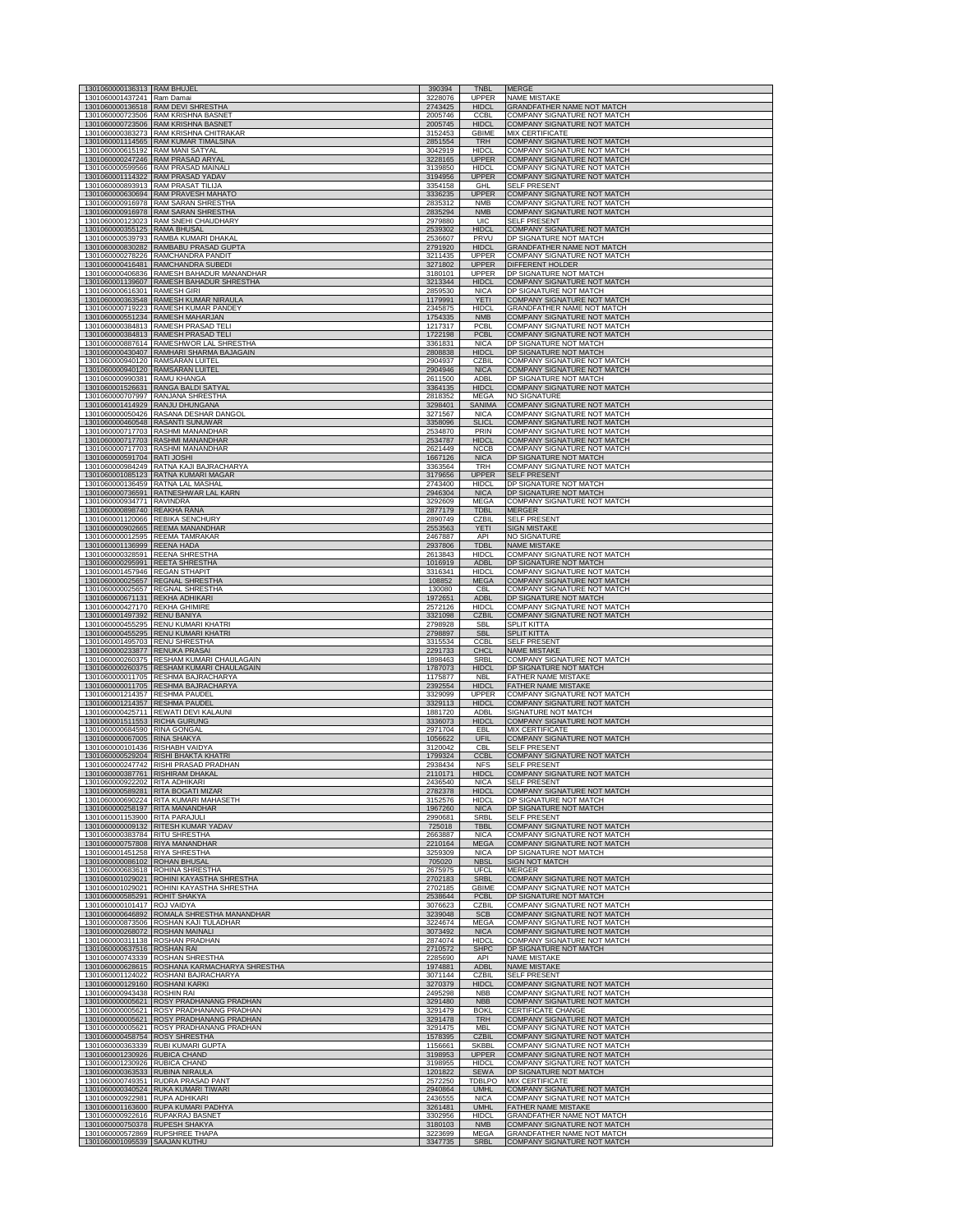| 1301060000136313 RAM BHUJEL<br>1301060001437241 Ram Damai    |                                                                                       | 390394<br>3228076  | <b>TNBL</b><br>UPPER         | <b>MERGE</b><br><b>NAME MISTAKE</b>                               |
|--------------------------------------------------------------|---------------------------------------------------------------------------------------|--------------------|------------------------------|-------------------------------------------------------------------|
|                                                              | 1301060000136518 RAM DEVI SHRESTHA                                                    | 2743425            | <b>HIDCI</b>                 | <b>GRANDFATHER NAME NOT MATCH</b>                                 |
|                                                              | 1301060000723506 RAM KRISHNA BASNET<br>1301060000723506 RAM KRISHNA BASNET            | 2005746<br>2005745 | <b>CCBI</b><br><b>HIDCL</b>  | COMPANY SIGNATURE NOT MATCH<br><b>COMPANY SIGNATURE NOT MATCH</b> |
|                                                              | 1301060000383273 RAM KRISHNA CHITRAKAR                                                | 3152453            | <b>GBIME</b>                 | <b>MIX CERTIFICATE</b>                                            |
|                                                              | 1301060001114565 RAM KUMAR TIMALSINA<br>1301060000615192 RAM MANI SATYAL              | 2851554<br>3042919 | <b>TRH</b><br><b>HIDCL</b>   | COMPANY SIGNATURE NOT MATCH<br>COMPANY SIGNATURE NOT MATCH        |
|                                                              | 1301060000247246 RAM PRASAD ARYAI<br>1301060000599566 RAM PRASAD MAINALI              | 3228165<br>3139850 | <b>UPPER</b><br><b>HIDCL</b> | <b>COMPANY SIGNATURE NOT MATCH</b><br>COMPANY SIGNATURE NOT MATCH |
|                                                              | 1301060001114322 RAM PRASAD YADAV                                                     | 3194956            | <b>UPPER</b>                 | COMPANY SIGNATURE NOT MATCH                                       |
|                                                              | 1301060000893913 RAM PRASAT TILIJA<br>1301060000630694 RAM PRAVESH MAHATO             | 3354158<br>3336235 | <b>GHI</b><br><b>UPPER</b>   | SELF PRESENT<br>COMPANY SIGNATURE NOT MATCH                       |
|                                                              | 1301060000916978 RAM SARAN SHRESTHA<br>1301060000916978 RAM SARAN SHRESTHA            | 2835312<br>2835294 | <b>NMB</b><br><b>NMB</b>     | COMPANY SIGNATURE NOT MATCH<br>COMPANY SIGNATURE NOT MATCH        |
|                                                              | 1301060000123023 RAM SNEHI CHAUDHARY                                                  | 2979880            | <b>UIC</b>                   | SELF PRESENT                                                      |
| 1301060000355125 RAMA BHUSAL                                 | 1301060000539793 RAMBA KUMARI DHAKAL                                                  | 2539302<br>2536607 | <b>HIDCL</b><br>PRVU         | <b>COMPANY SIGNATURE NOT MATCH</b><br>DP SIGNATURE NOT MATCH      |
|                                                              | 1301060000830282 RAMBABU PRASAD GUPTA                                                 | 2791920            | <b>HIDCL</b>                 | GRANDFATHER NAME NOT MATCH                                        |
|                                                              | 1301060000278226 RAMCHANDRA PANDIT<br>1301060000416481 RAMCHANDRA SUBEDI              | 3211435<br>3271802 | <b>UPPER</b><br><b>UPPER</b> | COMPANY SIGNATURE NOT MATCH<br>DIFFERENT HOLDER                   |
|                                                              | 1301060000406836 RAMESH BAHADUR MANANDHAR<br>1301060001139607 RAMESH BAHADUR SHRESTHA | 3180101<br>3213344 | UPPER<br><b>HIDCL</b>        | DP SIGNATURE NOT MATCH<br>COMPANY SIGNATURE NOT MATCH             |
| 1301060000616301 RAMESH GIRI                                 |                                                                                       | 2859530            | <b>NICA</b>                  | DP SIGNATURE NOT MATCH                                            |
|                                                              | 1301060000363548 RAMESH KUMAR NIRAULA<br>1301060000719223 RAMESH KUMAR PANDEY         | 1179991<br>2345875 | <b>YETI</b><br><b>HIDCL</b>  | COMPANY SIGNATURE NOT MATCH<br>GRANDFATHER NAME NOT MATCH         |
|                                                              | 1301060000551234 RAMESH MAHARJAN                                                      | 1754335            | <b>NMB</b>                   | COMPANY SIGNATURE NOT MATCH                                       |
|                                                              | 1301060000384813 RAMESH PRASAD TELI<br>1301060000384813 RAMESH PRASAD TELI            | 1217317<br>1722198 | PCBI<br>PCBI                 | <b>COMPANY SIGNATURE NOT MATCH</b><br>COMPANY SIGNATURE NOT MATCH |
|                                                              | 1301060000887614 RAMESHWOR LAL SHRESTHA<br>1301060000430407 RAMHARI SHARMA BAJAGAIN   | 3361831<br>2808838 | <b>NICA</b><br><b>HIDCI</b>  | DP SIGNATURE NOT MATCH<br>DP SIGNATURE NOT MATCH                  |
|                                                              | 1301060000940120 RAMSARAN LUITEL                                                      | 2904937            | <b>CZBIL</b>                 | COMPANY SIGNATURE NOT MATCH                                       |
| 1301060000990381 RAMU KHANGA                                 | 1301060000940120 RAMSARAN LUITEL                                                      | 2904946<br>2611500 | <b>NICA</b><br>ADBL          | COMPANY SIGNATURE NOT MATCH<br>DP SIGNATURE NOT MATCH             |
|                                                              | 1301060001526631 RANGA BALDI SATYAL<br>1301060000707997 RANJANA SHRESTHA              | 3364135<br>2818352 | <b>HIDCL</b><br>MEGA         | COMPANY SIGNATURE NOT MATCH<br>NO SIGNATURE                       |
|                                                              | 1301060001414929 RANJU DHUNGANA                                                       | 3298401            | SANIMA                       | COMPANY SIGNATURE NOT MATCH                                       |
|                                                              | 1301060000050426 RASANA DESHAR DANGOL<br>1301060000460548 RASANTI SUNUWAR             | 3271567<br>3358096 | <b>NICA</b><br><b>SLICL</b>  | COMPANY SIGNATURE NOT MATCH<br>COMPANY SIGNATURE NOT MATCH        |
|                                                              | 1301060000717703 RASHMI MANANDHAR                                                     | 2534870            | PRIN                         | COMPANY SIGNATURE NOT MATCH<br>COMPANY SIGNATURE NOT MATCH        |
|                                                              | 1301060000717703 RASHMI MANANDHAR<br>1301060000717703 RASHMI MANANDHAR                | 2534787<br>2621449 | <b>HIDCL</b><br><b>NCCB</b>  | COMPANY SIGNATURE NOT MATCH                                       |
| 1301060000591704 RATI JOSHI                                  | 1301060000984249 RATNA KAJI BAJRACHARYA                                               | 1667126<br>3363564 | <b>NICA</b><br>TRH           | DP SIGNATURE NOT MATCH<br>COMPANY SIGNATURE NOT MATCH             |
|                                                              | 1301060001085123 RATNA KUMARI MAGAR                                                   | 3179656            | <b>UPPER</b>                 | SELF PRESENT                                                      |
|                                                              | 1301060000136459 RATNA LAL MASHAL<br>1301060000736591 RATNESHWAR LAL KARN             | 2743400<br>2946304 | HIDCL<br><b>NICA</b>         | DP SIGNATURE NOT MATCH<br>DP SIGNATURE NOT MATCH                  |
| 1301060000934771 RAVINDRA<br>1301060000898740 REAKHA RANA    |                                                                                       | 3292609<br>2877179 | MEGA<br><b>TDBL</b>          | COMPANY SIGNATURE NOT MATCH<br><b>MERGER</b>                      |
|                                                              | 1301060001120066 REBIKA SENCHURY                                                      | 2890749            | CZBII                        | <b>SELF PRESENT</b>                                               |
|                                                              | 1301060000902665 REEMA MANANDHAR<br>1301060000012595 REEMA TAMRAKAR                   | 2553563<br>2467887 | <b>YETI</b><br>API           | <b>SIGN MISTAKE</b><br><b>NO SIGNATURE</b>                        |
| 1301060001136999 REENA HADA                                  |                                                                                       | 2937806            | <b>TDBL</b>                  | <b>NAME MISTAKE</b>                                               |
|                                                              | 1301060000328591 REENA SHRESTHA<br>1301060000295991 REETA SHRESTHA                    | 2613843<br>1016919 | <b>HIDCL</b><br><b>ADBL</b>  | COMPANY SIGNATURE NOT MATCH<br>DP SIGNATURE NOT MATCH             |
|                                                              | 1301060001457946 REGAN STHAPIT<br>1301060000025657 REGNAL SHRESTHA                    | 3316341<br>108852  | HIDCI<br><b>MEGA</b>         | COMPANY SIGNATURE NOT MATCH<br>COMPANY SIGNATURE NOT MATCH        |
|                                                              | 1301060000025657 REGNAL SHRESTHA                                                      | 130080             | CB                           | COMPANY SIGNATURE NOT MATCH                                       |
|                                                              | 1301060000671131 REKHA ADHIKARI<br>1301060000427170 REKHA GHIMIRE                     | 1972651<br>2572126 | <b>ADBI</b><br><b>HIDCL</b>  | DP SIGNATURE NOT MATCH<br>COMPANY SIGNATURE NOT MATCH             |
| 1301060001497392 RENU BANIYA                                 | 1301060000455295 RENU KUMARI KHATRI                                                   | 3321098<br>2798928 | <b>CZBIL</b><br><b>SBI</b>   | COMPANY SIGNATURE NOT MATCH<br><b>SPLIT KITTA</b>                 |
|                                                              | 1301060000455295 RENU KUMARI KHATRI                                                   | 2798897            | <b>SBL</b>                   | <b>SPLIT KITTA</b>                                                |
|                                                              | 1301060001495703 RENU SHRESTHA<br>1301060000233877 RENUKA PRASAI                      | 3315534<br>2291733 | CCBI<br>CHCL                 | SELF PRESENT<br><b>NAME MISTAKE</b>                               |
|                                                              | 1301060000260375 RESHAM KUMARI CHAULAGAIN                                             | 1898463            | SRBI                         | COMPANY SIGNATURE NOT MATCH                                       |
|                                                              | 1301060000260375 RESHAM KUMARI CHAULAGAIN<br>1301060000011705 RESHMA BAJRACHARYA      | 1787073<br>1175877 | <b>HIDCI</b><br><b>NBL</b>   | DP SIGNATURE NOT MATCH<br><b>FATHER NAME MISTAKE</b>              |
|                                                              | 1301060000011705 RESHMA BAJRACHARYA<br>1301060001214357 RESHMA PAUDEL                 | 2392554<br>3329099 | <b>HIDCL</b><br><b>UPPER</b> | <b>FATHER NAME MISTAKE</b><br>COMPANY SIGNATURE NOT MATCH         |
|                                                              | 1301060001214357 RESHMA PAUDEL                                                        | 3329113            | <b>HIDCL</b>                 | COMPANY SIGNATURE NOT MATCH                                       |
| 1301060001511553 RICHA GURU                                  | 1301060000425711 REWATI DEVI KALAUNI                                                  | 1881720            | adbi<br><b>HIDC</b>          | SIGNATURE NOT MATCH<br>COMPANY SIGNATURE NOT MATCH                |
| 1301060000684590 RINA GONGAL<br>1301060000067005 RINA SHAKYA |                                                                                       | 2971704<br>1056622 | EBI<br>UFII                  | <b>MIX CERTIFICATE</b><br>COMPANY SIGNATURE NOT MATCH             |
|                                                              | 1301060000101436 RISHABH VAIDYA                                                       | 3120042            | CBL                          | SELF PRESENT                                                      |
|                                                              | 1301060000529204 RISHI BHAKTA KHATRI<br>1301060000247742 RISHI PRASAD PRADHAN         | 1799324<br>2938434 | CCBI<br><b>NFS</b>           | <b>COMPANY SIGNATURE NOT MATCH</b><br>SELF PRESENT                |
|                                                              | 1301060000387761 RISHIRAM DHAKAL                                                      | 2110171            | <b>HIDCL</b>                 | COMPANY SIGNATURE NOT MATCH                                       |
| 1301060000922202 TRITA ADHIKARI                              | 1301060000589281 RITA BOGATI MIZAR                                                    | 2436540<br>2782378 | NICA<br><b>HIDCL</b>         | SELE PRESENT<br>COMPANY SIGNATURE NOT MATCH                       |
|                                                              | 1301060000690224 RITA KUMARI MAHASETH<br>1301060000258197 RITA MANANDHAR              | 3152576<br>1967260 | <b>HIDCL</b><br><b>NICA</b>  | DP SIGNATURE NOT MATCH<br>DP SIGNATURE NOT MATCH                  |
| 1301060001153900 RITA PARAJULI                               |                                                                                       | 2990681            | <b>SRBL</b>                  | <b>SELF PRESENT</b>                                               |
|                                                              | 1301060000009132 RITESH KUMAR YADAV<br>1301060000383784 RITU SHRESTHA                 | 725018<br>2663887  | <b>TBBL</b><br><b>NICA</b>   | COMPANY SIGNATURE NOT MATCH<br>COMPANY SIGNATURE NOT MATCH        |
|                                                              | 1301060000757808 RIYA MANANDHAR<br>1301060001451258 RIYA SHRESTHA                     | 2210164<br>3259309 | <b>MEGA</b><br><b>NICA</b>   | COMPANY SIGNATURE NOT MATCH<br>DP SIGNATURE NOT MATCH             |
| 1301060000086102 ROHAN BHUSAL                                |                                                                                       | 705020             | <b>NBSI</b>                  | <b>SIGN NOT MATCH</b>                                             |
|                                                              | 1301060000683618 ROHINA SHRESTHA<br>1301060001029021 ROHINI KAYASTHA SHRESTHA         | 2675975<br>2702183 | UFCL<br><b>SRBL</b>          | <b>MERGER</b><br>COMPANY SIGNATURE NOT MATCH                      |
| 1301060000585291 ROHIT SHAKYA                                | 1301060001029021 ROHINI KAYASTHA SHRESTHA                                             | 2702185<br>2538644 | <b>GBIME</b><br><b>PCBL</b>  | COMPANY SIGNATURE NOT MATCH<br>DP SIGNATURE NOT MATCH             |
| 1301060000101417 ROJ VAIDYA                                  |                                                                                       | 3076623            | CZBIL                        | COMPANY SIGNATURE NOT MATCH                                       |
|                                                              | 1301060000646892 ROMALA SHRESTHA MANANDHAR<br>1301060000873506 ROSHAN KAJI TULADHAR   | 3239048<br>3224674 | <b>SCB</b><br><b>MEGA</b>    | COMPANY SIGNATURE NOT MATCH<br><b>COMPANY SIGNATURE NOT MATCH</b> |
|                                                              | 1301060000268072 ROSHAN MAINALI                                                       | 3073492            | <b>NICA</b>                  | COMPANY SIGNATURE NOT MATCH                                       |
| 1301060000637516 ROSHAN RAI                                  | 1301060000311138 ROSHAN PRADHAN                                                       | 2874074<br>2710572 | <b>HIDC</b><br><b>SHPC</b>   | <b>COMPANY SIGNATURE NOT MATCH</b><br>DP SIGNATURE NOT MATCH      |
|                                                              | 1301060000743339 ROSHAN SHRESTHA<br>1301060000628615 ROSHANA KARMACHARYA SHRESTHA     | 2285690<br>1974881 | API<br><b>ADBL</b>           | <b>NAME MISTAKE</b><br><b>NAME MISTAKE</b>                        |
|                                                              | 1301060001124022 ROSHANI BAJRACHARYA                                                  | 3071144            | CZBIL                        | <b>SELF PRESENT</b>                                               |
| 1301060000943438 ROSHIN RAI                                  | 1301060000129160 ROSHANI KARKI                                                        | 3270379<br>2495298 | <b>HIDCL</b><br><b>NBB</b>   | COMPANY SIGNATURE NOT MATCH<br>COMPANY SIGNATURE NOT MATCH        |
|                                                              | 1301060000005621 ROSY PRADHANANG PRADHAN<br>1301060000005621 ROSY PRADHANANG PRADHAN  | 3291480<br>3291479 | <b>NBB</b><br><b>BOKL</b>    | COMPANY SIGNATURE NOT MATCH<br>CERTIFICATE CHANGE                 |
|                                                              | 1301060000005621 ROSY PRADHANANG PRADHAN                                              | 3291478            | <b>TRH</b>                   | COMPANY SIGNATURE NOT MATCH                                       |
|                                                              | 1301060000005621 ROSY PRADHANANG PRADHAN<br>1301060000458754 ROSY SHRESTHA            | 3291475<br>1578395 | <b>MBI</b><br>CZBIL          | COMPANY SIGNATURE NOT MATCH<br>COMPANY SIGNATURE NOT MATCH        |
|                                                              | 1301060000363339 RUBI KUMARI GUPTA<br>1301060001230926 RUBICA CHAND                   | 1156661<br>3198953 | <b>SKBBL</b><br><b>UPPER</b> | COMPANY SIGNATURE NOT MATCH<br>COMPANY SIGNATURE NOT MATCH        |
| 1301060001230926 RUBICA CHAND                                |                                                                                       | 3198955            | <b>HIDCL</b>                 | COMPANY SIGNATURE NOT MATCH                                       |
|                                                              | 1301060000363533 RUBINA NIRAULA<br>1301060000749351 RUDRA PRASAD PANT                 | 1201822<br>2572250 | <b>SEWA</b><br>TDBLPO        | DP SIGNATURE NOT MATCH<br><b>MIX CERTIFICATE</b>                  |
|                                                              | 1301060000340524 RUKA KUMARI TIWARI<br>1301060000922981 RUPA ADHIKARI                 | 2940864            | <b>UMHL</b><br><b>NICA</b>   | COMPANY SIGNATURE NOT MATCH                                       |
|                                                              | 1301060001163600 RUPA KUMARI PADHYA                                                   | 2436555<br>3261481 | <b>UMHL</b>                  | COMPANY SIGNATURE NOT MATCH<br><b>FATHER NAME MISTAKE</b>         |
|                                                              | 1301060000922616 RUPAKRAJ BASNET<br>1301060000750378 RUPESH SHAKYA                    | 3302956<br>3180103 | <b>HIDCL</b><br><b>NMB</b>   | GRANDFATHER NAME NOT MATCH<br>COMPANY SIGNATURE NOT MATCH         |
|                                                              | 1301060000572869 RUPSHREE THAPA                                                       | 3223699            | <b>MEGA</b>                  | <b>GRANDFATHER NAME NOT MATCH</b>                                 |
| 1301060001095539 SAAJAN KUTHU                                |                                                                                       | 3347735            | <b>SRBL</b>                  | <b>COMPANY SIGNATURE NOT MATCH</b>                                |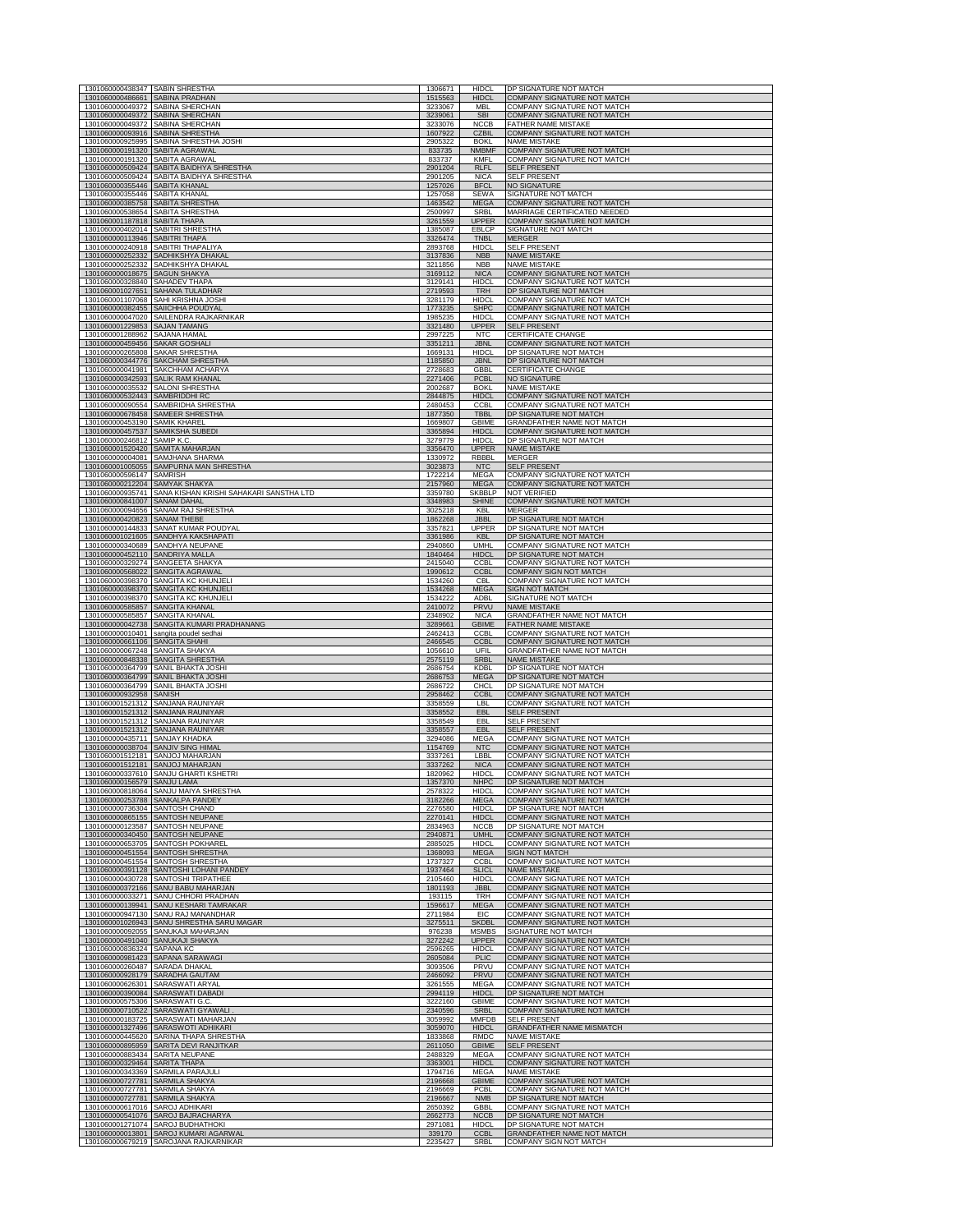| 1301060000438347 SABIN SHRESTHA                                    |                                                                                     | 1306671            | <b>HIDCL</b>                 | DP SIGNATURE NOT MATCH                                            |
|--------------------------------------------------------------------|-------------------------------------------------------------------------------------|--------------------|------------------------------|-------------------------------------------------------------------|
| 1301060000486661 SABINA PRADHAN                                    |                                                                                     | 1515563            | <b>HIDCL</b>                 | <b>COMPANY SIGNATURE NOT MATCH</b>                                |
| 1301060000049372                                                   | 1301060000049372 SABINA SHERCHAN<br><b>SABINA SHERO</b>                             | 3233067<br>3239061 | <b>MBI</b><br><b>SB</b>      | <b>COMPANY SIGNATURE NOT MATCH</b><br>COMPANY SIGNATURE NOT M     |
|                                                                    | 1301060000049372 SABINA SHERCHAN                                                    | 3233076            | <b>NCCB</b>                  | FATHER NAME MISTAKE                                               |
|                                                                    | 1301060000093916 SABINA SHRESTHA                                                    | 1607922            | <b>CZBIL</b>                 | COMPANY SIGNATURE NOT MATCH                                       |
| 1301060000191320 SABITA AGRAWAL                                    | 1301060000925995 SABINA SHRESTHA JOSHI                                              | 2905322<br>833735  | <b>BOKL</b><br><b>NMBMF</b>  | <b>NAME MISTAKE</b><br>COMPANY SIGNATURE NOT MATCH                |
| 1301060000191320 SABITA AGRAWAL                                    |                                                                                     | 833737             | KMFL                         | COMPANY SIGNATURE NOT MATCH                                       |
|                                                                    | 1301060000509424 SABITA BAIDHYA SHRESTHA                                            | 2901204            | <b>RLFL</b>                  | <b>SELF PRESENT</b>                                               |
| 1301060000355446 SABITA KHANAL                                     | 1301060000509424 SABITA BAIDHYA SHRESTHA                                            | 2901205            | <b>NICA</b>                  | <b>SELF PRESENT</b>                                               |
| 1301060000355446 SABITA KHANAL                                     |                                                                                     | 1257026<br>1257058 | <b>BFCL</b><br>SEWA          | NO SIGNATURE<br>SIGNATURE NOT MATCH                               |
| 1301060000385758 SABITA SHRESTHA                                   |                                                                                     | 1463542            | <b>MEGA</b>                  | COMPANY SIGNATURE NOT MATCH                                       |
|                                                                    | 1301060000538654 SABITA SHRESTHA                                                    | 2500997            | SRBL                         | MARRIAGE CERTIFICATED NEEDED                                      |
| 1301060001187818 SABITA THAPA                                      | 1301060000402014 SABITRI SHRESTHA                                                   | 3261559<br>1385087 | <b>UPPER</b><br>EBLCP        | COMPANY SIGNATURE NOT MATCH<br>SIGNATURE NOT MATCH                |
| 1301060000113946 SABITRI THAPA                                     |                                                                                     | 3326474            | <b>TNBL</b>                  | <b>MERGER</b>                                                     |
|                                                                    | 1301060000240918 SABITRI THAPALIYA<br>1301060000252332 SADHIKSHYA DHAKA             | 2893768            | <b>HIDCL</b>                 | <b>SELF PRESENT</b><br><b>NAME MISTAKE</b>                        |
|                                                                    | 1301060000252332 SADHIKSHYA DHAKAL                                                  | 3137836<br>3211856 | <b>NBB</b><br><b>NBB</b>     | <b>NAME MISTAKE</b>                                               |
| 1301060000018675 SAGUN SHAKYA                                      |                                                                                     | 3169112            | <b>NICA</b>                  | COMPANY SIGNATURE NOT MATCH                                       |
| 1301060000328840 SAHADEV THAPA                                     | 1301060001027651 SAHANA TULADHAR                                                    | 3129141<br>2719593 | <b>HIDCL</b><br><b>TRH</b>   | COMPANY SIGNATURE NOT MATCH<br>DP SIGNATURE NOT MATCH             |
|                                                                    | 1301060001107068 SAHI KRISHNA JOSHI                                                 | 3281179            | <b>HIDCL</b>                 | COMPANY SIGNATURE NOT MATCH                                       |
|                                                                    | 1301060000382455 SAIICHHA POUDYAL                                                   | 1773235            | <b>SHPC</b>                  | COMPANY SIGNATURE NOT MATCH                                       |
| 1301060001229853 SAJAN TAMANG                                      | 1301060000047020 SAILENDRA RAJKARNIKAR                                              | 1985235<br>3321480 | <b>HIDCL</b><br><b>UPPER</b> | COMPANY SIGNATURE NOT MATCH<br><b>SELF PRESENT</b>                |
| 1301060001288962 SAJANA HAMAI                                      |                                                                                     | 2997225            | <b>NTC</b>                   | <b>CERTIFICATE CHANGE</b>                                         |
| 1301060000459456 SAKAR GOSHALI                                     |                                                                                     | 3351211            | <b>JBNL</b>                  | COMPANY SIGNATURE NOT MATCH                                       |
| 1301060000265808 SAKAR SHRESTHA                                    | 1301060000344776 SAKCHAM SHRESTHA                                                   | 1669131<br>1185850 | <b>HIDCI</b><br><b>JBNL</b>  | DP SIGNATURE NOT MATCH<br>DP SIGNATURE NOT MATCH                  |
|                                                                    | 1301060000041981 SAKCHHAM ACHARYA                                                   | 2728683            | <b>GBBL</b>                  | CERTIFICATE CHANGE                                                |
|                                                                    | 1301060000342593 SALIK RAM KHANAL                                                   | 2271406            | <b>PCBL</b>                  | NO SIGNATURE                                                      |
| 1301060000532443 SAMBRIDDHI RC                                     | 1301060000035532 SALONI SHRESTHA                                                    | 2002687<br>2844875 | <b>BOKL</b><br><b>HIDCL</b>  | <b>NAME MISTAKE</b><br>COMPANY SIGNATURE NOT MATCH                |
|                                                                    | 1301060000090554 SAMBRIDHA SHRESTHA                                                 | 2480453            | <b>CCBL</b>                  | COMPANY SIGNATURE NOT MATCH                                       |
| 1301060000453190 SAMIK KHAREL                                      | 1301060000678458 SAMEER SHRESTHA                                                    | 1877350<br>1669807 | <b>TBBL</b><br><b>GBIME</b>  | DP SIGNATURE NOT MATCH<br><b>GRANDFATHER NAME NOT MATCH</b>       |
|                                                                    | 1301060000457537 SAMIKSHA SUBEDI                                                    | 3365894            | <b>HIDCL</b>                 | <b>COMPANY SIGNATURE NOT MATCH</b>                                |
| 1301060000246812 SAMIP K.C.                                        |                                                                                     | 3279779            | <b>HIDCL</b>                 | DP SIGNATURE NOT MATCH                                            |
|                                                                    | 1301060001520420 SAMITA MAHARJAN<br>1301060000004081 SAMJHANA SHARMA                | 3356470<br>1330972 | <b>UPPER</b><br><b>RBBBL</b> | <b>NAME MISTAKE</b><br><b>MERGER</b>                              |
|                                                                    | 1301060001005055 SAMPURNA MAN SHRESTHA                                              | 3023873            | <b>NTC</b>                   | <b>SELF PRESENT</b>                                               |
| 1301060000596147 SAMRISH                                           |                                                                                     | 1722214            | <b>MEGA</b>                  | COMPANY SIGNATURE NOT MATCH                                       |
| 1301060000212204 SAMYAK SHAKYA                                     | 1301060000935741 SANA KISHAN KRISHI SAHAKARI SANSTHA LTD                            | 2157960<br>3359780 | <b>MEGA</b><br>SKBBI P       | <b>COMPANY SIGNATURE NOT MATCH</b><br><b>NOT VERIFIED</b>         |
| 1301060000841007 SANAM DAHAL                                       |                                                                                     | 3348983            | <b>SHINE</b>                 | COMPANY SIGNATURE NOT MATCH                                       |
|                                                                    | 1301060000094656 SANAM RAJ SHRESTHA                                                 | 3025218            | KBL                          | <b>MERGER</b>                                                     |
| 1301060000420823 SANAM THEBE                                       | 1301060000144833 SANAT KUMAR POUDYAL                                                | 1862268<br>3357821 | <b>JBBL</b><br>UPPER         | DP SIGNATURE NOT MATCH<br>DP SIGNATURE NOT MATCH                  |
|                                                                    | 1301060001021605 SANDHYA KAKSHAPATI                                                 | 3361986            | KBL                          | DP SIGNATURE NOT MATCH                                            |
|                                                                    | 1301060000340689 SANDHYA NEUPANE                                                    | 2940860            | <b>UMHL</b>                  | COMPANY SIGNATURE NOT MATCH                                       |
| 1301060000452110 SANDRIYA MALLA                                    | 1301060000329274 SANGEETA SHAKYA                                                    | 1840464<br>2415040 | <b>HIDCL</b><br><b>CCBL</b>  | DP SIGNATURE NOT MATCH<br>COMPANY SIGNATURE NOT MATCH             |
|                                                                    | 1301060000568022 SANGITA AGRAWAL                                                    | 1990612            | <b>CCBL</b>                  | <b>COMPANY SIGN NOT MATCH</b>                                     |
|                                                                    | 1301060000398370 SANGITA KC KHUNJELI<br>1301060000398370 SANGITA KC KHUNJELI        | 1534260<br>1534268 | <b>CBL</b><br><b>MEGA</b>    | COMPANY SIGNATURE NOT MATCH<br>SIGN NOT MATCH                     |
|                                                                    | 1301060000398370 SANGITA KC KHUNJELI                                                | 1534222            | ADBL                         | SIGNATURE NOT MATCH                                               |
| 1301060000585857 SANGITA KHANAL                                    |                                                                                     | 2410072<br>2348902 | <b>PRVU</b><br><b>NICA</b>   | <b>NAME MISTAKE</b>                                               |
|                                                                    |                                                                                     |                    |                              |                                                                   |
| 1301060000585857 SANGITA KHANAL                                    |                                                                                     |                    |                              | GRANDFATHER NAME NOT MATCH                                        |
|                                                                    | 1301060000042738 SANGITA KUMARI PRADHANANG<br>1301060000010401 sangita poudel sedha | 3289661<br>2462413 | <b>GBIME</b><br><b>CCBL</b>  | FATHER NAME MISTAKE<br>COMPANY SIGNATURE NOT MATCH                |
| 1301060000661106 SANGITA SHAHI                                     |                                                                                     | 2466545            | <b>CCBL</b>                  | COMPANY SIGNATURE NOT MATCH                                       |
| 1301060000067248 SANGITA SHAKYA                                    |                                                                                     | 1056610            | UFIL                         | GRANDFATHER NAME NOT MATCH                                        |
|                                                                    | 1301060000848338 SANGITA SHRESTHA<br>1301060000364799 SANIL BHAKTA JOSHI            | 2575119<br>2686754 | SRBL<br>KDBL                 | <b>NAME MISTAKE</b><br>DP SIGNATURE NOT MATCH                     |
|                                                                    | 1301060000364799 SANIL BHAKTA JOSHI                                                 | 2686753            | <b>MEGA</b>                  | DP SIGNATURE NOT MATCH                                            |
| 1301060000932958 SANISH                                            | 1301060000364799 SANIL BHAKTA JOSHI                                                 | 2686722<br>2958462 | <b>CHCL</b><br>CCBL          | DP SIGNATURE NOT MATCH<br>COMPANY SIGNATURE NOT MATCH             |
|                                                                    | 1301060001521312 SANJANA RAUNIYAR                                                   | 3358559            | LBL                          | COMPANY SIGNATURE NOT MATCH                                       |
|                                                                    | 1301060001521312 SANJANA RAUNIYAR                                                   | 3358552<br>3358549 | <b>EBL</b><br>FBI            | <b>SELF PRESENT</b>                                               |
|                                                                    | 1301060001521312 SANJANA RAUNIYAR<br>1301060001521312 SANJANA RAUNIYAR              | 3358557            | <b>EBL</b>                   | <b>SELF PRESENT</b><br><b>SELF PRESENT</b>                        |
| 1301060000435711 SANJAY KHADKA                                     |                                                                                     | 3294086            | <b>MEGA</b>                  | <b>COMPANY SIGNATURE NOT MATCH</b>                                |
|                                                                    | 1301060000038704 SANJIV SING HIMAL<br>1301060001512181 SANJOJ MAHARJAN              | 1154769<br>3337261 | <b>NTC</b><br>LBBL           | COMPANY SIGNATURE NOT MATCH<br>COMPANY SIGNATURE NOT MATCH        |
|                                                                    | 1301060001512181 SANJOJ MAHARJAN                                                    | 3337262            | <b>NICA</b>                  | <b>COMPANY SIGNATURE NOT MATCH</b>                                |
|                                                                    | 1301060000337610 SANJU GHARTI KSHETRI<br><b>SANILLAM</b>                            | 1820962            | <b>HIDCL</b><br><b>VIHE</b>  | COMPANY SIGNATURE NOT MATCH                                       |
|                                                                    | 1301060000818064 SANJU MAIYA SHRESTHA                                               | 2578322            | <b>HIDCI</b>                 | COMPANY SIGNATURE NOT MATCH                                       |
|                                                                    | 1301060000253788 SANKALPA PANDEY                                                    | 3182266            | <b>MEGA</b>                  | <b>COMPANY SIGNATURE NOT MATCH</b>                                |
| 1301060000736304 SANTOSH CHAND                                     | 1301060000865155 SANTOSH NEUPANE                                                    | 2276580<br>2270141 | <b>HIDCL</b><br><b>HIDCL</b> | DP SIGNATURE NOT MATCH<br>COMPANY SIGNATURE NOT MATCH             |
|                                                                    | 1301060000123587 SANTOSH NEUPANE                                                    | 2834963            | <b>NCCB</b>                  | DP SIGNATURE NOT MATCH                                            |
|                                                                    | 1301060000340450 SANTOSH NEUPANE                                                    | 2940871            | <b>UMHL</b><br><b>HIDCL</b>  | COMPANY SIGNATURE NOT MATCH                                       |
|                                                                    | 1301060000653705 SANTOSH POKHAREL<br>1301060000451554 SANTOSH SHRESTHA              | 2885025<br>1368093 | <b>MEGA</b>                  | COMPANY SIGNATURE NOT MATCH<br><b>SIGN NOT MATCH</b>              |
|                                                                    | 1301060000451554 SANTOSH SHRESTHA                                                   | 1737327            | CCBI                         | COMPANY SIGNATURE NOT MATCH                                       |
|                                                                    | 1301060000391128 SANTOSHI LOHANI PANDEY<br>1301060000430728 SANTOSHI TRIPATHEE      | 1937464<br>2105460 | <b>SLICL</b><br><b>HIDCL</b> | <b>NAME MISTAKE</b><br>COMPANY SIGNATURE NOT MATCH                |
|                                                                    | 1301060000372166 SANU BABU MAHARJAN                                                 | 1801193            | JBBL                         | <b>COMPANY SIGNATURE NOT MATCH</b>                                |
|                                                                    | 1301060000033271 SANU CHHORI PRADHAN                                                | 193115             | <b>TRH</b>                   | COMPANY SIGNATURE NOT MATCH                                       |
|                                                                    | 1301060000139941 SANU KESHARI TAMRAKAR<br>1301060000947130 SANU RAJ MANANDHAR       | 1596617<br>2711984 | <b>MEGA</b><br>EIC           | <b>COMPANY SIGNATURE NOT MATCH</b><br>COMPANY SIGNATURE NOT MATCH |
|                                                                    | 1301060001026943 SANU SHRESTHA SARU MAGAR                                           | 3275511            | SKDBI                        | <b>COMPANY SIGNATURE NOT MATCH</b>                                |
|                                                                    | 1301060000092055 SANUKAJI MAHARJAN<br>1301060000491040 SANUKAJI SHAKYA              | 976238<br>3272242  | <b>MSMBS</b><br><b>UPPER</b> | <b>SIGNATURE NOT MATCH</b><br><b>COMPANY SIGNATURE NOT MATCH</b>  |
| 1301060000836324 SAPANA KC                                         |                                                                                     | 2596265            | <b>HIDCL</b>                 | COMPANY SIGNATURE NOT MATCH                                       |
|                                                                    | 1301060000981423 SAPANA SARAWAGI                                                    | 2605084            | <b>PLIC</b>                  | <b>COMPANY SIGNATURE NOT MATCH</b>                                |
| 1301060000260487 SARADA DHAKAL                                     | 1301060000928179 SARADHA GAUTAM                                                     | 3093506<br>2466092 | <b>PRVU</b><br><b>PRVU</b>   | COMPANY SIGNATURE NOT MATCH<br>COMPANY SIGNATURE NOT MATCH        |
|                                                                    | 1301060000626301 SARASWATI ARYAL                                                    | 3261555            | <b>MEGA</b>                  | COMPANY SIGNATURE NOT MATCH                                       |
|                                                                    | 1301060000390084 SARASWATI DABAD                                                    | 2994119            | <b>HIDCL</b>                 | DP SIGNATURE NOT MATCH                                            |
| 1301060000575306 SARASWATI G.C.                                    | 1301060000710522 SARASWATI GYAWALI                                                  | 3222160<br>2340596 | <b>GBIME</b><br><b>SRBL</b>  | COMPANY SIGNATURE NOT MATCH<br>COMPANY SIGNATURE NOT MATCH        |
|                                                                    | 1301060000183725 SARASWATI MAHARJAN                                                 | 3059992            | MMFDB                        | <b>SELF PRESENT</b>                                               |
|                                                                    | 1301060001327496 SARASWOTI ADHIKARI                                                 | 3059070            | <b>HIDCL</b>                 | GRANDFATHER NAME MISMATCH                                         |
|                                                                    | 1301060000445620 SARINA THAPA SHRESTHA<br>1301060000895959 SARITA DEVI RANJITKAR    | 1833868<br>2611050 | RMDC<br><b>GBIME</b>         | <b>NAME MISTAKE</b><br><b>SELF PRESENT</b>                        |
| 1301060000883434 SARITA NEUPANE                                    |                                                                                     | 2488329            | <b>MEGA</b>                  | COMPANY SIGNATURE NOT MATCH                                       |
| 1301060000329464 SARITA THAPA                                      | 1301060000343369 SARMILA PARAJULI                                                   | 3363001<br>1794716 | <b>HIDCL</b><br>MEGA         | COMPANY SIGNATURE NOT MATCH<br><b>NAME MISTAKE</b>                |
| 1301060000727781 SARMILA SHAKYA                                    |                                                                                     | 2196668            | <b>GBIME</b>                 | COMPANY SIGNATURE NOT MATCH                                       |
| 1301060000727781 SARMILA SHAKYA                                    |                                                                                     | 2196669            | <b>PCBI</b>                  | COMPANY SIGNATURE NOT MATCH                                       |
| 1301060000727781 SARMILA SHAKYA<br>1301060000617016 SAROJ ADHIKARI |                                                                                     | 2196667<br>2650392 | <b>NMB</b><br>GBBL           | DP SIGNATURE NOT MATCH<br>COMPANY SIGNATURE NOT MATCH             |
|                                                                    | 1301060000541076 SAROJ BAJRACHARYA                                                  | 2662773            | <b>NCCB</b>                  | DP SIGNATURE NOT MATCH                                            |
|                                                                    | 1301060001271074 SAROJ BUDHATHOKI<br>1301060000013801 SAROJ KUMARI AGARWAI          | 2971081<br>339170  | <b>HIDCL</b><br><b>CCBL</b>  | DP SIGNATURE NOT MATCH<br>GRANDFATHER NAME NOT MATCH              |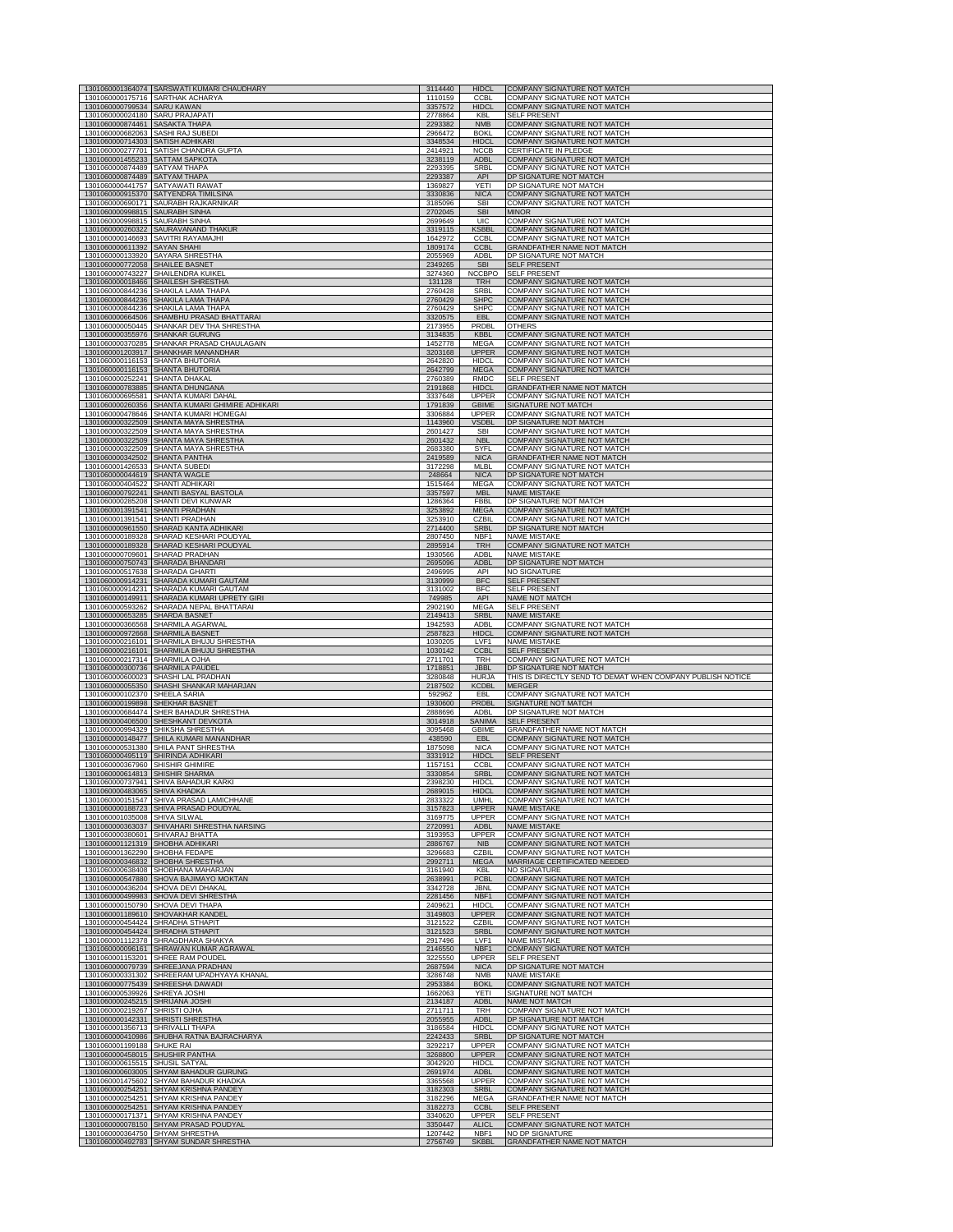|                                                                   | 1301060001364074 SARSWATI KUMARI CHAUDHARY                                   | 3114440            | <b>HIDCL</b>                 | COMPANY SIGNATURE NOT MATCH                                       |
|-------------------------------------------------------------------|------------------------------------------------------------------------------|--------------------|------------------------------|-------------------------------------------------------------------|
| 1301060000799534 SARU KAWAN                                       | 1301060000175716 SARTHAK ACHARYA                                             | 1110159<br>3357572 | <b>CCBL</b><br><b>HIDCI</b>  | COMPANY SIGNATURE NOT MATCH<br><b>COMPANY SIGNATURE NOT MATCH</b> |
| 1301060000024180 SARU PRAJAPATI                                   |                                                                              | 2778864            | KBL                          | <b>SELF PRESENT</b>                                               |
| 1301060000874461 SASAKTA THAPA                                    |                                                                              | 2293382            | <b>NMB</b>                   | COMPANY SIGNATURE NOT MATCH                                       |
| 1301060000682063 SASHI RAJ SUBEDI                                 |                                                                              | 2966472            | <b>BOKL</b>                  | COMPANY SIGNATURE NOT MATCH                                       |
| 1301060000714303                                                  | SATISH ADHIKARI                                                              | 3348534            | <b>HIDCL</b>                 | COMPANY SIGNATURE NOT MATCH                                       |
|                                                                   | 1301060000277701 SATISH CHANDRA GUPTA                                        | 2414921            | <b>NCCB</b>                  | CERTIFICATE IN PLEDGE                                             |
| 1301060001455233                                                  | <b>SATTAM SAPKOTA</b>                                                        | 3238119            | <b>ADBL</b>                  | COMPANY SIGNATURE NOT MATCH                                       |
| 1301060000874489 SATYAM THAPA                                     |                                                                              | 2293395            | SRBL                         | COMPANY SIGNATURE NOT MATCH                                       |
| 1301060000874489 SATYAM THAPA<br>1301060000441757 SATYAWATI RAWAT |                                                                              | 2293387            | <b>API</b>                   | DP SIGNATURE NOT MATCH                                            |
|                                                                   | 1301060000915370 SATYENDRA TIMILSINA                                         | 1369827<br>3330836 | YETI<br><b>NICA</b>          | DP SIGNATURE NOT MATCH<br>COMPANY SIGNATURE NOT MATCH             |
| 1301060000690171                                                  | SAURABH RAJKARNIKAR                                                          | 3185096            | <b>SBI</b>                   | COMPANY SIGNATURE NOT MATCH                                       |
| 1301060000998815                                                  | <b>SAURABH SINHA</b>                                                         | 2702045            | <b>SBI</b>                   | <b>MINOR</b>                                                      |
| 1301060000998815                                                  | <b>SAURABH SINHA</b>                                                         | 2699649            | UIC                          | COMPANY SIGNATURE NOT MATCH                                       |
| 1301060000260322                                                  | SAURAVANAND THAKUR                                                           | 3319115            | <b>KSBBL</b>                 | COMPANY SIGNATURE NOT MATCH                                       |
|                                                                   | 1301060000146693 SAVITRI RAYAMAJHI                                           | 1642972            | <b>CCBL</b>                  | COMPANY SIGNATURE NOT MATCH                                       |
| 1301060000611392 SAYAN SHAHI                                      | 1301060000133920 SAYARA SHRESTHA                                             | 1809174<br>2055969 | <b>CCBL</b><br>ADBL          | GRANDFATHER NAME NOT MATCH<br>DP SIGNATURE NOT MATCH              |
| 1301060000772058 SHAILEE BASNET                                   | <b>SHAILENDRA KUIKEL</b>                                                     | 2349265            | <b>SBI</b>                   | <b>SELF PRESENT</b>                                               |
| 1301060000743227                                                  |                                                                              | 3274360            | <b>NCCBPO</b>                | <b>SELF PRESENT</b>                                               |
| 1301060000018466                                                  | <b>SHAILESH SHRESTHA</b>                                                     | 131128             | TRH                          | <b>COMPANY SIGNATURE NOT MATCH</b>                                |
|                                                                   | 1301060000844236 SHAKILA LAMA THAPA                                          | 2760428            | SRBL                         | <b>COMPANY SIGNATURE NOT MATCH</b>                                |
|                                                                   | 1301060000844236 SHAKILA LAMA THAPA                                          | 2760429            | <b>SHPC</b>                  | COMPANY SIGNATURE NOT MATCH                                       |
|                                                                   | 1301060000844236 SHAKILA LAMA THAPA                                          | 2760429            | <b>SHPC</b>                  | COMPANY SIGNATURE NOT MATCH                                       |
|                                                                   | 1301060000664506 SHAMBHU PRASAD BHATTARAI                                    | 3320575            | <b>EBL</b>                   | COMPANY SIGNATURE NOT MATCH                                       |
| 1301060000355976 SHANKAR GURUNG                                   | 1301060000050445 SHANKAR DEV THA SHRESTHA                                    | 2173955<br>3134835 | PRDBL<br><b>KBBL</b>         | <b>OTHERS</b><br><b>COMPANY SIGNATURE NOT MATCH</b>               |
| 1301060000370285                                                  | SHANKAR PRASAD CHAULAGAIN                                                    | 1452778            | <b>MEGA</b>                  | COMPANY SIGNATURE NOT MATCH                                       |
| 1301060001203917                                                  | SHANKHAR MANANDHAR                                                           | 3203168            | <b>UPPER</b>                 | <b>COMPANY SIGNATURE NOT MATCH</b>                                |
| 1301060000116153                                                  | SHANTA BHUTORIA                                                              | 2642820            | <b>HIDCL</b>                 | COMPANY SIGNATURE NOT MATCH                                       |
| 1301060000116153                                                  | <b>SHANTA BHUTORIA</b>                                                       | 2642799            | <b>MEGA</b>                  | COMPANY SIGNATURE NOT MATCH                                       |
| 1301060000252241                                                  | SHANTA DHAKAL                                                                | 2760389            | <b>RMDC</b>                  | SELF PRESENT                                                      |
| 1301060000783885                                                  | <b>SHANTA DHUNGANA</b>                                                       | 2191868            | <b>HIDCL</b>                 | GRANDFATHER NAME NOT MATCH                                        |
| 1301060000695581                                                  | SHANTA KUMARI DAHAL                                                          | 3337648            | <b>UPPER</b>                 | COMPANY SIGNATURE NOT MATCH                                       |
|                                                                   | 1301060000260356 SHANTA KUMARI GHIMIRE ADHIKARI                              | 1791839            | <b>GBIME</b>                 | SIGNATURE NOT MATCH                                               |
|                                                                   | 1301060000478646 SHANTA KUMARI HOMEGAI                                       | 3306884            | <b>UPPER</b>                 | COMPANY SIGNATURE NOT MATCH                                       |
| 1301060000322509                                                  | SHANTA MAYA SHRESTHA                                                         | 1143960            | VSDBL                        | DP SIGNATURE NOT MATCH                                            |
| 1301060000322509                                                  | SHANTA MAYA SHRESTHA                                                         | 2601427            | <b>SBI</b>                   | COMPANY SIGNATURE NOT MATCH                                       |
| 1301060000322509                                                  | SHANTA MAYA SHRESTHA                                                         | 2601432            | <b>NBL</b>                   | COMPANY SIGNATURE NOT MATCH                                       |
| 1301060000322509                                                  | SHANTA MAYA SHRESTHA                                                         | 2683380            | SYFI                         | COMPANY SIGNATURE NOT MATCH                                       |
| 1301060000342502                                                  | <b>SHANTA PANTHA</b>                                                         | 2419589            | <b>NICA</b>                  | <b>GRANDFATHER NAME NOT MATCH</b>                                 |
| 1301060001426533 SHANTA SUBEDI                                    |                                                                              | 3172298            | <b>MLBL</b>                  | COMPANY SIGNATURE NOT MATCH                                       |
| 1301060000044619 SHANTA WAGLE                                     | SHANTI ADHIKARI                                                              | 248664             | <b>NICA</b>                  | DP SIGNATURE NOT MATCH                                            |
| 1301060000404522                                                  |                                                                              | 1515464            | <b>MEGA</b>                  | COMPANY SIGNATURE NOT MATCH                                       |
| 1301060000792241                                                  | SHANTI BASYAL BASTOLA                                                        | 3357597            | <b>MBL</b>                   | NAME MISTAKE                                                      |
| 1301060000285208                                                  | SHANTI DEVI KUNWAR                                                           | 1286364            | <b>FBBL</b>                  | DP SIGNATURE NOT MATCH                                            |
| 1301060001391541                                                  | <b>SHANTI PRADHAN</b>                                                        | 3253892            | <b>MEGA</b>                  | COMPANY SIGNATURE NOT MATCH                                       |
| 1301060001391541                                                  | SHANTI PRADHAN                                                               | 3253910            | CZBI                         | <b>COMPANY SIGNATURE NOT MATCH</b>                                |
| 1301060000961550                                                  | SHARAD KANTA ADHIKARI                                                        | 2714400            | <b>SRBL</b>                  | DP SIGNATURE NOT MATCH                                            |
|                                                                   | 1301060000189328 SHARAD KESHARI POUDYAI                                      | 2807450            | NBF1                         | NAME MISTAKE                                                      |
|                                                                   | 1301060000189328 SHARAD KESHARI POUDYAL                                      | 2895914            | <b>TRH</b>                   | COMPANY SIGNATURE NOT MATCH                                       |
| 1301060000709601 SHARAD PRADHAN                                   | 1301060000750743 SHARADA BHANDARI                                            | 1930566<br>2695096 | ADBL<br><b>ADBL</b>          | <b>NAME MISTAKE</b><br>DP SIGNATURE NOT MATCH                     |
| 1301060000517638 SHARADA GHARTI                                   |                                                                              | 2496995            | API                          | NO SIGNATURE                                                      |
| 1301060000914231                                                  | SHARADA KUMARI GAUTAM                                                        | 3130999            | <b>BFC</b>                   | <b>SELF PRESENT</b>                                               |
| 1301060000914231                                                  | SHARADA KUMARI GAUTAM                                                        | 3131002            | <b>BFC</b>                   | <b>SELF PRESENT</b>                                               |
| 1301060000149911                                                  | SHARADA KUMARI UPRETY GIRI                                                   | 749985             | <b>API</b>                   | NAME NOT MATCH                                                    |
| 1301060000593262                                                  | SHARADA NEPAL BHATTARAI                                                      | 2902190            | <b>MEGA</b>                  | <b>SELF PRESENT</b>                                               |
|                                                                   |                                                                              |                    |                              |                                                                   |
| 1301060000653285                                                  | <b>SHARDA BASNET</b>                                                         | 2149413            | <b>SRBL</b>                  | <b>NAME MISTAKE</b>                                               |
| 1301060000972668                                                  | 1301060000366568 SHARMILA AGARWAL                                            | 1942593            | ADBL                         | COMPANY SIGNATURE NOT MATCH                                       |
|                                                                   | <b>SHARMILA BASNET</b>                                                       | 2587823            | <b>HIDCL</b>                 | COMPANY SIGNATURE NOT MATCH                                       |
| 1301060000216101                                                  | SHARMILA BHUJU SHRESTHA                                                      | 1030205            | LVF1                         | NAME MISTAKE                                                      |
| 1301060000216101                                                  | SHARMILA BHUJU SHRESTHA                                                      | 1030142            | <b>CCBL</b>                  | <b>SELF PRESENT</b>                                               |
| 1301060000217314                                                  | SHARMILA OJHA                                                                | 2711701            | TRH                          | COMPANY SIGNATURE NOT MATCH                                       |
| 1301060000300736                                                  | <b>SHARMILA PAUDEL</b>                                                       | 1718851            | <b>JBBL</b>                  | DP SIGNATURE NOT MATCH                                            |
|                                                                   | 1301060000600023 SHASHI LAL PRADHAN                                          | 3280848            | <b>HURJA</b>                 | THIS IS DIRECTLY SEND TO DEMAT WHEN COMPANY PUBLISH NOTICE        |
| 1301060000102370 SHEELA SARIA                                     | 1301060000055350 SHASHI SHANKAR MAHARJAN                                     | 2187502<br>592962  | <b>KCDBL</b><br>EBL          | <b>MERGER</b><br>COMPANY SIGNATURE NOT MATCH                      |
| 1301060000199898 SHEKHAR BASNET                                   | 1301060000684474 SHER BAHADUR SHRESTHA                                       | 1930600<br>2888696 | PRDBL<br><b>ADBL</b>         | SIGNATURE NOT MATCH<br>DP SIGNATURE NOT MATCH                     |
| 1301060000994329                                                  | 1301060000406500 SHESHKANT DEVKOTA                                           | 3014918            | SANIMA                       | <b>SELF PRESENT</b>                                               |
|                                                                   | SHIKSHA SHRESTHA                                                             | 3095468            | <b>GBIME</b>                 | <b>GRANDFATHER NAME NOT MATCH</b>                                 |
| 1301060000148477                                                  | SHILA KUMARI MANANDHAR                                                       | 438590             | <b>EBL</b><br><b>NICA</b>    | <b>COMPANY SIGNATURE NOT MATCH</b>                                |
| 1301060000531380                                                  | SHILA PANT SHRESTHA<br>1301060000495119 SHIRINDA ADHIKARI                    | 1875098<br>3331912 | <b>HIDCL</b>                 | COMPANY SIGNATURE NOT MATCH<br><b>SELF PRESENT</b>                |
| 1301060000367960 SHISHIR GHIMIRE                                  |                                                                              | 1157151            | <b>CCBL</b>                  | COMPANY SIGNATURE NOT MATCH                                       |
| 1301060000614813 SHISHIR SHARMA                                   |                                                                              | 3330854            | <b>SRBL</b>                  | COMPANY SIGNATURE NOT MATCH                                       |
| 1301060000483065 SHIVA KHADKA                                     | 1301060000737941 SHIVA BAHADUR KARKI                                         | 2398230<br>2689015 | HIDCI<br><b>HIDCL</b>        | COMPANY SIGNATURE NOT MATCH<br>COMPANY SIGNATURE NOT MATCH        |
|                                                                   | 1301060000151547 SHIVA PRASAD LAMICHHANE                                     | 2833322            | <b>UMHL</b>                  | COMPANY SIGNATURE NOT MATCH                                       |
| 1301060001035008 SHIVA SILWAL                                     | 1301060000188723 SHIVA PRASAD POUDYAL                                        | 3157823<br>3169775 | <b>UPPER</b><br><b>UPPER</b> | <b>NAME MISTAKE</b><br>COMPANY SIGNATURE NOT MATCH                |
| 1301060000380601 SHIVARAJ BHATTA                                  | 1301060000363037 SHIVAHARI SHRESTHA NARSING                                  | 2720991<br>3193953 | <b>ADBL</b><br><b>UPPER</b>  | <b>NAME MISTAKE</b><br>COMPANY SIGNATURE NOT MATCH                |
| 1301060001121319 SHOBHA ADHIKARI                                  |                                                                              | 2886767            | <b>NIB</b>                   | COMPANY SIGNATURE NOT MATCH                                       |
| 1301060001362290 SHOBHA FEDAPE                                    |                                                                              | 3296683            | CZBII.                       | COMPANY SIGNATURE NOT MATCH                                       |
| 1301060000346832                                                  | SHOBHA SHRESTHA                                                              | 2992711<br>3161940 | <b>MEGA</b><br>KBL           | MARRIAGE CERTIFICATED NEEDED                                      |
|                                                                   | 1301060000638408 SHOBHANA MAHARJAN<br>1301060000547880 SHOVA BAJIMAYO MOKTAN | 2638991            | PCBL                         | <b>NO SIGNATURE</b><br>COMPANY SIGNATURE NOT MATCH                |
|                                                                   | 1301060000436204 SHOVA DEVI DHAKAL                                           | 3342728            | JBNI.                        | COMPANY SIGNATURE NOT MATCH                                       |
|                                                                   | 1301060000499983 SHOVA DEVI SHRESTHA                                         | 2281456            | NBF1                         | COMPANY SIGNATURE NOT MATCH                                       |
|                                                                   | 1301060000150790 SHOVA DEVI THAPA                                            | 2409621            | <b>HIDCL</b>                 | COMPANY SIGNATURE NOT MATCH                                       |
|                                                                   | 1301060001189610 SHOVAKHAR KANDEL                                            | 3149803            | <b>UPPER</b>                 | COMPANY SIGNATURE NOT MATCH                                       |
| 1301060000454424 SHRADHA STHAPIT                                  |                                                                              | 3121522            | <b>CZBIL</b><br><b>SRBI</b>  | COMPANY SIGNATURE NOT MATCH                                       |
| 1301060000454424 SHRADHA STHAPIT                                  | 1301060001112378 SHRAGDHARA SHAKYA                                           | 3121523<br>2917496 | LVF1                         | COMPANY SIGNATURE NOT MATCH<br>NAME MISTAKE                       |
| 1301060000096161                                                  | SHRAWAN KUMAR AGRAWAL                                                        | 2146550            | NBF1                         | COMPANY SIGNATURE NOT MATCH                                       |
| 1301060001153201                                                  | SHREE RAM POUDEL                                                             | 3225550            | <b>UPPER</b>                 | <b>SELF PRESENT</b>                                               |
|                                                                   | 1301060000079739 SHREEJANA PRADHAN                                           | 2687594            | <b>NICA</b>                  | DP SIGNATURE NOT MATCH                                            |
|                                                                   | 1301060000331302 SHREERAM UPADHYAYA KHANAL                                   | 3286748            | <b>NMB</b>                   | <b>NAME MISTAKE</b>                                               |
| 1301060000539926 SHREYA JOSHI                                     | 1301060000775439 SHREESHA DAWADI                                             | 2953384<br>1662063 | <b>BOKL</b><br>YETI          | COMPANY SIGNATURE NOT MATCH<br>SIGNATURE NOT MATCH                |
| 1301060000245215 SHRIJANA JOSHI                                   |                                                                              | 2134187            | <b>ADBL</b>                  | NAME NOT MATCH                                                    |
| 1301060000219267 SHRISTI OJHA                                     | SHRISTI SHRESTHA                                                             | 2711711            | TRH                          | COMPANY SIGNATURE NOT MATCH                                       |
| 1301060000142331                                                  |                                                                              | 2055955            | <b>ADBL</b>                  | DP SIGNATURE NOT MATCH                                            |
| 1301060001356713 SHRIVALLI THAPA                                  | 1301060000410986 SHUBHA RATNA BAJRACHARYA                                    | 3186584<br>2242433 | <b>HIDCL</b><br>SRBL         | COMPANY SIGNATURE NOT MATCH<br>DP SIGNATURE NOT MATCH             |
| 1301060001199188 SHUKE RAI                                        |                                                                              | 3292217            | <b>UPPER</b>                 | COMPANY SIGNATURE NOT MATCH                                       |
| 1301060000458015 SHUSHIR PANTHA                                   |                                                                              | 3268800            | <b>UPPER</b>                 | COMPANY SIGNATURE NOT MATCH                                       |
| 1301060000615515 SHUSIL SATYAL                                    |                                                                              | 3042920            | <b>HIDCL</b>                 | COMPANY SIGNATURE NOT MATCH                                       |
|                                                                   | 1301060000603005 SHYAM BAHADUR GURUNG                                        | 2691974            | ADBL                         | COMPANY SIGNATURE NOT MATCH                                       |
|                                                                   | 1301060001475602 SHYAM BAHADUR KHADKA                                        | 3365568            | <b>UPPER</b>                 | COMPANY SIGNATURE NOT MATCH                                       |
| 1301060000254251                                                  | SHYAM KRISHNA PANDEY                                                         | 3182303            | <b>SRBL</b>                  | COMPANY SIGNATURE NOT MATCH                                       |
|                                                                   | 1301060000254251 SHYAM KRISHNA PANDEY                                        | 3182296            | MEGA                         | GRANDFATHER NAME NOT MATCH                                        |
|                                                                   | 1301060000254251 SHYAM KRISHNA PANDEY                                        | 3182273            | <b>CCBL</b>                  | <b>SELF PRESENT</b>                                               |
|                                                                   | 1301060000171371 SHYAM KRISHNA PANDEY                                        | 3340620            | <b>UPPER</b>                 | <b>SELF PRESENT</b>                                               |
| 1301060000364750 SHYAM SHRESTHA                                   | 1301060000078150 SHYAM PRASAD POUDYAL                                        | 3350447<br>1207442 | <b>ALICL</b><br>NBF1         | COMPANY SIGNATURE NOT MATCH<br>NO DP SIGNATURE                    |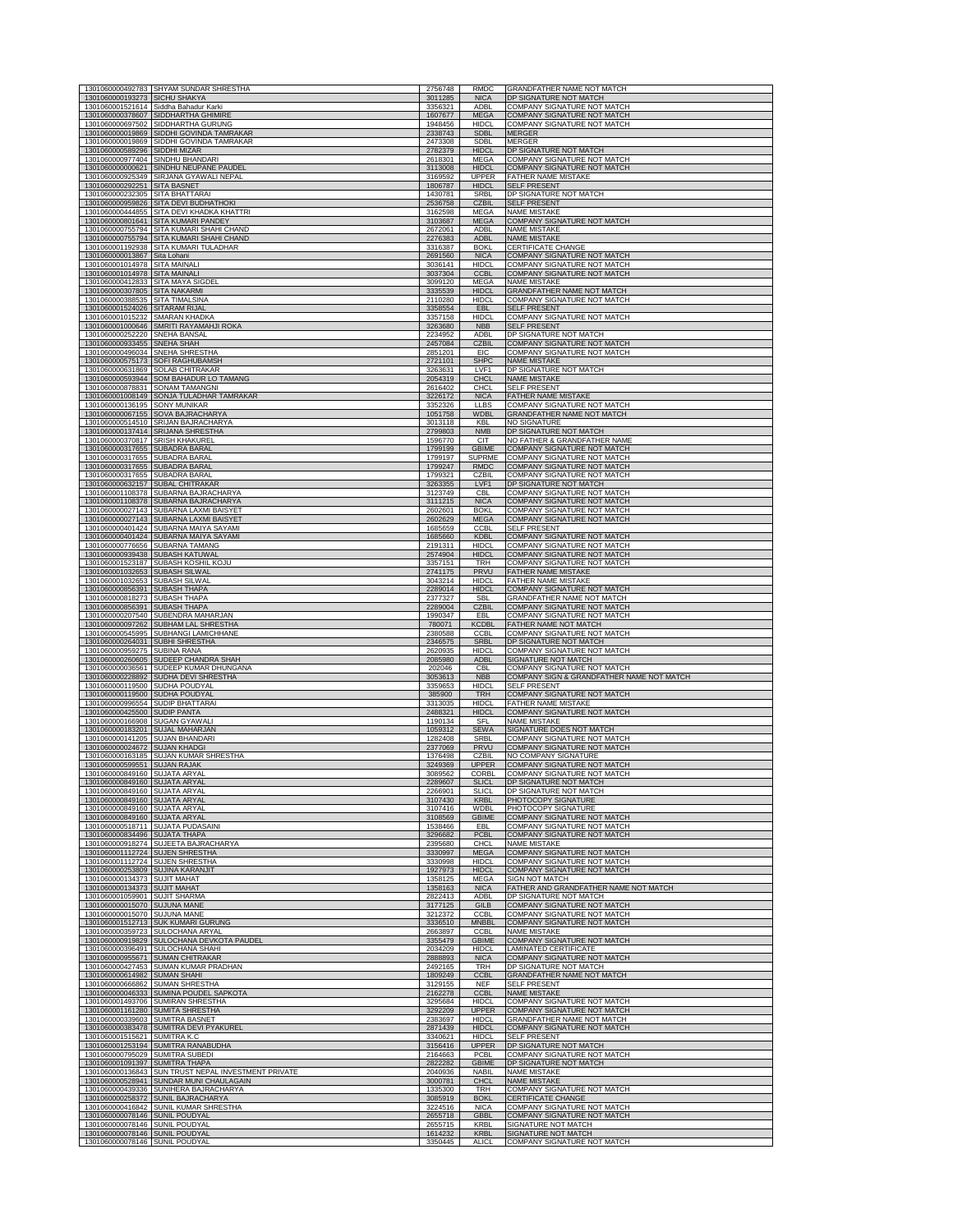|                                                     | 1301060000492783 SHYAM SUNDAR SHRESTHA                         | 2756748            | <b>RMDC</b>                  | GRANDFATHER NAME NOT MATCH                                               |
|-----------------------------------------------------|----------------------------------------------------------------|--------------------|------------------------------|--------------------------------------------------------------------------|
| 1301060000193273 SICHU SHAKYA                       |                                                                | 3011285            | <b>NICA</b>                  | DP SIGNATURE NOT MATCH                                                   |
|                                                     | 1301060001521614 Siddha Bahadur Karki                          | 3356321            | <b>ADBI</b>                  | COMPANY SIGNATURE NOT MATCH                                              |
| 1301060000697502                                    | 1301060000378607 SIDDHARTHA GHIMIRE<br>SIDDHARTHA GURUNG       | 1607677<br>1948456 | <b>MEGA</b><br><b>HIDCI</b>  | <b>COMPANY SIGNATURE NOT MATCH</b><br><b>COMPANY SIGNATURE NOT MATCH</b> |
| 1301060000019869                                    | SIDDHI GOVINDA TAMRAKAR                                        | 2338743            | <b>SDBL</b>                  | <b>MERGER</b>                                                            |
| 1301060000019869<br>1301060000589296                | SIDDHI GOVINDA TAMRAKAR<br>SIDDHI MIZAR                        | 2473308<br>2782379 | <b>SDBL</b><br><b>HIDCL</b>  | <b>MERGER</b><br>DP SIGNATURE NOT MATCH                                  |
| 1301060000977404                                    | SINDHU BHANDARI                                                | 2618301            | MEGA                         | COMPANY SIGNATURE NOT MATCH                                              |
| 1301060000000621<br>1301060000925349                | SINDHU NEUPANE PAUDEL<br>SIRJANA GYAWALI NEPAL                 | 3113008<br>3169592 | <b>HIDCL</b><br><b>UPPER</b> | COMPANY SIGNATURE NOT MATCH<br><b>FATHER NAME MISTAKE</b>                |
| 1301060000292251                                    | <b>SITA BASNET</b>                                             | 1806787            | <b>HIDCL</b>                 | <b>SELF PRESENT</b>                                                      |
| 1301060000232305                                    | SITA BHATTARAI<br>SITA DEVI BUDHATHOKI                         | 1430781<br>2536758 | <b>SRBL</b><br><b>CZBIL</b>  | DP SIGNATURE NOT MATCH                                                   |
| 1301060000959826<br>1301060000444855                | SITA DEVI KHADKA KHATTRI                                       | 3162598            | MFGA                         | <b>SELF PRESENT</b><br><b>NAME MISTAKE</b>                               |
| 1301060000801641                                    | SITA KUMARI PANDEY                                             | 3103687            | <b>MEGA</b>                  | <b>COMPANY SIGNATURE NOT MATCH</b>                                       |
| 1301060000755794<br>1301060000755794                | SITA KUMARI SHAHI CHAND<br>SITA KUMARI SHAHI CHAND             | 2672061<br>2276383 | <b>ADBL</b><br><b>ADBL</b>   | <b>NAME MISTAKE</b><br><b>NAME MISTAKE</b>                               |
| 1301060001192938                                    | SITA KUMARI TULADHAR                                           | 3316387            | <b>BOKL</b>                  | CERTIFICATE CHANGE                                                       |
| 1301060000013867<br>1301060001014978                | Sita Lohani<br>SITA MAINALI                                    | 2691560<br>3036141 | <b>NICA</b><br><b>HIDCL</b>  | COMPANY SIGNATURE NOT MATCH<br>COMPANY SIGNATURE NOT MATCH               |
| 1301060001014978                                    | <b>SITA MAINALI</b>                                            | 3037304            | <b>CCBL</b>                  | COMPANY SIGNATURE NOT MATCH                                              |
| 1301060000412833<br>1301060000307805                | SITA MAYA SIGDEL<br><b>SITA NAKARMI</b>                        | 3099120<br>3335539 | <b>MEGA</b><br><b>HIDCL</b>  | <b>NAME MISTAKE</b><br>GRANDFATHER NAME NOT MATCH                        |
| 1301060000388535                                    | <b>SITA TIMALSINA</b>                                          | 2110280            | <b>HIDCL</b>                 | COMPANY SIGNATURE NOT MATCH                                              |
| 1301060001524026 SITARAM RIJAL                      |                                                                | 3358554            | EBL                          | <b>SELF PRESENT</b>                                                      |
| 1301060001015232<br>1301060001000646                | <b>SMARAN KHADKA</b><br>SMRITI RAYAMAHJI ROKA                  | 3357158<br>3263680 | <b>HIDCL</b><br><b>NBB</b>   | COMPANY SIGNATURE NOT MATCH<br>SELF PRESENT                              |
| 1301060000252220                                    | <b>SNEHA BANSAL</b>                                            | 2234952            | ADBI                         | DP SIGNATURE NOT MATCH                                                   |
| 1301060000933455<br>1301060000496034                | SNEHA SHAH<br>SNEHA SHRESTHA                                   | 2457084<br>2851201 | <b>CZBII</b><br>EIC          | COMPANY SIGNATURE NOT MATCH<br>COMPANY SIGNATURE NOT MATCH               |
| 1301060000575173                                    | SOFI RAGHUBAMSH                                                | 2721101            | <b>SHPC</b>                  | <b>NAME MISTAKE</b>                                                      |
| 1301060000631869                                    | <b>SOLAB CHITRAKAR</b>                                         | 3263631            | I VF1                        | DP SIGNATURE NOT MATCH                                                   |
| 1301060000878831                                    | 1301060000593944 SOM BAHADUR LO TAMANG<br>SONAM TAMANGNI       | 2054319<br>2616402 | <b>CHCL</b><br><b>CHCL</b>   | <b>NAME MISTAKE</b><br><b>SELF PRESENT</b>                               |
| 1301060001008149                                    | SONJA TULADHAR TAMRAKAR                                        | 3226172            | <b>NICA</b>                  | FATHER NAME MISTAKE                                                      |
| 1301060000136195<br>1301060000067155                | <b>SONY MUNIKAR</b><br>SOVA BAJRACHARYA                        | 3352326<br>1051758 | <b>LLBS</b><br>WDBI          | COMPANY SIGNATURE NOT MATCH<br>GRANDFATHER NAME NOT MATCH                |
|                                                     | 1301060000514510 SRIJAN BAJRACHARYA                            | 3013118            | <b>KBL</b>                   | <b>NO SIGNATURE</b>                                                      |
| 1301060000137414<br>1301060000370817                | SRIJANA SHRESTHA<br>SRISH KHAKUREI                             | 2799803<br>1596770 | <b>NMB</b><br>CIT            | DP SIGNATURE NOT MATCH<br>NO FATHER & GRANDFATHER NAME                   |
| 1301060000317655                                    | <b>SUBADRA BARAL</b>                                           | 1799199            | GBIME                        | <b>COMPANY SIGNATURE NOT MATCH</b>                                       |
| 1301060000317655                                    | SUBADRA BARAL                                                  | 1799197            | SUPRME                       | COMPANY SIGNATURE NOT MATCH                                              |
| 1301060000317655<br>1301060000317655                | <b>SUBADRA BARAL</b><br>SUBADRA BARAL                          | 1799247<br>1799321 | <b>RMDC</b><br>CZBIL         | COMPANY SIGNATURE NOT MATCH<br><b>COMPANY SIGNATURE NOT MATCH</b>        |
| 1301060000632157                                    | <b>SUBAL CHITRAKAR</b>                                         | 3263355            | LVF1                         | DP SIGNATURE NOT MATCH                                                   |
| 1301060001108378<br>1301060001108378                | SUBARNA BAJRACHARYA<br>SUBARNA BAJRACHARYA                     | 3123749<br>3111215 | <b>CBL</b><br><b>NICA</b>    | COMPANY SIGNATURE NOT MATCH<br><b>COMPANY SIGNATURE NOT MATCH</b>        |
| 1301060000027143                                    | SUBARNA LAXMI BAISYET                                          | 2602601            | <b>BOKL</b>                  | COMPANY SIGNATURE NOT MATCH                                              |
| 1301060000401424                                    | 1301060000027143 SUBARNA LAXMI BAISYET<br>SUBARNA MAIYA SAYAMI | 2602629<br>1685659 | <b>MEGA</b><br><b>CCBL</b>   | COMPANY SIGNATURE NOT MATCH<br><b>SELF PRESENT</b>                       |
| 1301060000401424                                    | SUBARNA MAIYA SAYAMI                                           | 1685660            | <b>KDBL</b>                  | <b>COMPANY SIGNATURE NOT MATCH</b>                                       |
| 1301060000776656                                    | SUBARNA TAMANG                                                 | 2191311            | <b>HIDCI</b>                 | COMPANY SIGNATURE NOT MATCH                                              |
| 1301060000939438<br>1301060001523187                | SUBASH KATUWAL<br>SUBASH KOSHIL KOJU                           | 2574904<br>3357151 | <b>HIDCL</b><br>TRH          | COMPANY SIGNATURE NOT MATCH<br>COMPANY SIGNATURE NOT MATCH               |
| 1301060001032653                                    | SUBASH SILWAL                                                  | 2741175            | PRVU                         | FATHER NAME MISTAKE                                                      |
| 1301060001032653<br>1301060000856391                | SUBASH SILWAL<br><b>SUBASH THAPA</b>                           | 3043214<br>2289014 | <b>HIDCL</b><br><b>HIDCL</b> | <b>FATHER NAME MISTAKE</b><br>COMPANY SIGNATURE NOT MATCH                |
| 1301060000818273                                    | SUBASH THAPA                                                   | 2377327            | SBL                          | GRANDFATHER NAME NOT MATCH                                               |
| 1301060000856391<br>1301060000207540                | SUBASH THAPA<br>SUBENDRA MAHARJAN                              | 2289004<br>1990347 | <b>CZBIL</b><br><b>FBI</b>   | COMPANY SIGNATURE NOT MATCH<br>COMPANY SIGNATURE NOT MATCH               |
| 1301060000097262                                    | SUBHAM LAL SHRESTHA                                            | 780071             | KCDBI                        | FATHER NAME NOT MATCH                                                    |
| 1301060000545995                                    | SUBHANGI LAMICHHANE                                            | 2380588            | CCBL                         | COMPANY SIGNATURE NOT MATCH                                              |
| 1301060000264031<br>1301060000959275                | SUBHI SHRESTHA<br>SUBINA RANA                                  | 2346575<br>2620935 | <b>SRBL</b><br><b>HIDCI</b>  | DP SIGNATURE NOT MATCH<br>COMPANY SIGNATURE NOT MATCH                    |
| 1301060000260605                                    | SUDEEP CHANDRA SHAH                                            | 2085980            | <b>ADBL</b>                  | SIGNATURE NOT MATCH                                                      |
| 1301060000036561<br>1301060000228892                | SUDEEP KUMAR DHUNGANA<br>SUDHA DEVI SHRESTHA                   | 202046<br>3053613  | CBL<br><b>NBB</b>            | COMPANY SIGNATURE NOT MATCH<br>COMPANY SIGN & GRANDFATHER NAME NOT MATCH |
| 1301060000119500                                    | SUDHA POUDYAL                                                  | 3359653            | <b>HIDCL</b>                 | <b>SELF PRESENT</b>                                                      |
| 1301060000119500<br>1301060000996554                | SUDHA POUDYAL<br><b>SUDIP BHATTARAI</b>                        | 385900<br>3313035  | <b>TRH</b><br><b>HIDCL</b>   | COMPANY SIGNATURE NOT MATCH<br>FATHER NAME MISTAKE                       |
| 1301060000425500                                    | <b>SUDIP PANTA</b>                                             | 2488321            | <b>HIDCL</b>                 | COMPANY SIGNATURE NOT MATCH                                              |
| 1301060000166908                                    | <b>SUGAN GYAWALI</b><br><b>SUJAL MAHARJAN</b>                  | 1190134            | SFL                          | <b>NAME MISTAKE</b>                                                      |
| 1301060000183201<br>1301060000141205                | <b>SUJAN BHANDARI</b>                                          | 1059312<br>1282408 | <b>SEWA</b><br>SRBL          | SIGNATURE DOES NOT MATCH<br>COMPANY SIGNATURE NOT MATCH                  |
| 1301060000024672                                    | <b>SUJAN KHADGI</b>                                            | 2377069            | PRVU                         | COMPANY SIGNATURE NOT MATCH                                              |
| 1301060000163185<br>1301060000599551                | SUJAN KUMAR SHRESTHA<br><b>SUJAN RAJAK</b>                     | 1376498<br>3249369 | CZBIL<br><b>UPPER</b>        | NO COMPANY SIGNATURE<br>COMPANY SIGNATURE NOT MATCH                      |
| 1301060000849160                                    | <b>SUJATA ARYAL</b>                                            | 3089562            | CORBL                        | COMPANY SIGNATURE NOT MATCH                                              |
| 1301060000849160<br>1301060000849160 SUJATA ARYAL   | SUJATA ARYA                                                    | 2266901            | SLICL                        | SIGNATURE NOT<br><b>MAI</b><br>DP SIGNATURE NOT MATCH                    |
| 1301060000849160                                    | <b>SUJATA ARYAL</b>                                            | 3107430            | <b>KRBL</b>                  | PHOTOCOPY SIGNATURE                                                      |
| 1301060000849160 SUJATA ARYAL                       |                                                                | 3107416            | WDBL<br><b>GBIME</b>         | PHOTOCOPY SIGNATURE                                                      |
| 1301060000849160 SUJATA ARYAL                       | 1301060000518711 SUJATA PUDASAINI                              | 3108569<br>1538466 | EBL                          | COMPANY SIGNATURE NOT MATCH<br>COMPANY SIGNATURE NOT MATCH               |
| 1301060000834496                                    | <b>SUJATA THAPA</b>                                            | 3296682            | PCBL                         | COMPANY SIGNATURE NOT MATCH                                              |
| 1301060000918274<br>1301060001112724 SUJEN SHRESTHA | SUJEETA BAJRACHARYA                                            | 2395680<br>3330997 | CHCL<br>MEGA                 | <b>NAME MISTAKE</b><br>COMPANY SIGNATURE NOT MATCH                       |
| 1301060001112724 SUJEN SHRESTHA                     |                                                                | 3330998            | <b>HIDCL</b>                 | COMPANY SIGNATURE NOT MATCH                                              |
| 1301060000253809<br>1301060000134373                | <b>SUJINA KARANJIT</b><br><b>SUJIT MAHAT</b>                   | 1927973<br>1358125 | <b>HIDCL</b><br><b>MEGA</b>  | COMPANY SIGNATURE NOT MATCH<br><b>SIGN NOT MATCH</b>                     |
| 1301060000134373                                    | <b>SUJIT MAHAT</b>                                             | 1358163            | <b>NICA</b>                  | FATHER AND GRANDFATHER NAME NOT MATCH                                    |
| 1301060001059901 SUJIT SHARMA<br>1301060000015070   | <b>SUJUNA MANE</b>                                             | 2822413<br>3177125 | ADBL<br>GILB                 | DP SIGNATURE NOT MATCH<br>COMPANY SIGNATURE NOT MATCH                    |
| 1301060000015070                                    | <b>SUJUNA MANE</b>                                             | 3212372            | <b>CCBL</b>                  | COMPANY SIGNATURE NOT MATCH                                              |
| 1301060001512713                                    | <b>SUK KUMARI GURUNG</b>                                       | 3336510            | <b>MNBBL</b>                 | COMPANY SIGNATURE NOT MATCH                                              |
| 1301060000359723<br>1301060000919829                | SULOCHANA ARYAL<br>SULOCHANA DEVKOTA PAUDEL                    | 2663897<br>3355479 | CCBL<br><b>GBIME</b>         | <b>NAME MISTAKE</b><br>COMPANY SIGNATURE NOT MATCH                       |
| 1301060000396491                                    | <b>SULOCHANA SHAHI</b>                                         | 2034209            | <b>HIDCI</b>                 | <b>LAMINATED CERTIFICATE</b>                                             |
| 1301060000955671<br>1301060000427453                | <b>SUMAN CHITRAKAR</b><br>SUMAN KUMAR PRADHAN                  | 2888893<br>2492165 | <b>NICA</b><br><b>TRH</b>    | <b>COMPANY SIGNATURE NOT MATCH</b><br>DP SIGNATURE NOT MATCH             |
| 1301060000614982 SUMAN SHAHI                        |                                                                | 1809249            | <b>CCBL</b>                  | GRANDFATHER NAME NOT MATCH                                               |
| 1301060000666862<br>1301060000046333                | <b>SUMAN SHRESTHA</b><br>SUMINA POUDEL SAPKOTA                 | 3129155<br>2162278 | <b>NFF</b><br><b>CCBL</b>    | <b>SELF PRESENT</b><br><b>NAME MISTAKE</b>                               |
|                                                     | 1301060001493706 SUMIRAN SHRESTHA                              | 3295684            | <b>HIDCL</b>                 | COMPANY SIGNATURE NOT MATCH                                              |
| 1301060001161280                                    | <b>SUMITA SHRESTHA</b>                                         | 3292209            | <b>UPPER</b>                 | <b>COMPANY SIGNATURE NOT MATCH</b>                                       |
| 1301060000339603<br>1301060000383478                | <b>SUMITRA BASNET</b><br>SUMITRA DEVI PYAKUREL                 | 2383697<br>2871439 | <b>HIDCI</b><br><b>HIDCL</b> | GRANDFATHER NAME NOT MATCH<br><b>COMPANY SIGNATURE NOT MATCH</b>         |
| 1301060001515621 SUMITRA K.C                        |                                                                | 3340621            | <b>HIDCL</b>                 | <b>SELF PRESENT</b>                                                      |
| 1301060001253194 SUMITRA RANABUDHA                  |                                                                | 3156416            | <b>UPPER</b>                 | DP SIGNATURE NOT MATCH<br>COMPANY SIGNATURE NOT MATCH                    |
|                                                     |                                                                |                    |                              |                                                                          |
| 1301060000795029<br>1301060001091397                | <b>SUMITRA SUBEDI</b><br>SUMITRA THAPA                         | 2164663<br>2822282 | PCBL<br><b>GBIME</b>         | DP SIGNATURE NOT MATCH                                                   |
| 1301060000136843                                    | SUN TRUST NEPAL INVESTMENT PRIVATE                             | 2040936            | <b>NABIL</b>                 | <b>NAME MISTAKE</b>                                                      |
| 1301060000528941<br>1301060000439336                | SUNDAR MUNI CHAULAGAIN<br>SUNIHERA BAJRACHARYA                 | 3000781<br>1335300 | <b>CHCL</b><br><b>TRH</b>    | <b>NAME MISTAKE</b><br>COMPANY SIGNATURE NOT MATCH                       |
| 1301060000258372                                    | SUNIL BAJRACHARYA                                              | 3085919            | <b>BOKL</b>                  | <b>CERTIFICATE CHANGE</b>                                                |
| 1301060000416842                                    | SUNIL KUMAR SHRESTHA                                           | 3224516            | <b>NICA</b>                  | COMPANY SIGNATURE NOT MATCH                                              |
| 1301060000078146 SUNIL POUDYAL<br>1301060000078146  | <b>SUNIL POUDYAL</b>                                           | 2655718<br>2655715 | <b>GBBL</b><br><b>KRBI</b>   | COMPANY SIGNATURE NOT MATCH<br>SIGNATURE NOT MATCH                       |
| 1301060000078146<br>1301060000078146 SUNIL POUDYAL  | <b>SUNIL POUDYAL</b>                                           | 1614232<br>3350445 | <b>KRB</b><br><b>ALICL</b>   | SIGNATURE NOT MATCH<br>COMPANY SIGNATURE NOT MATCH                       |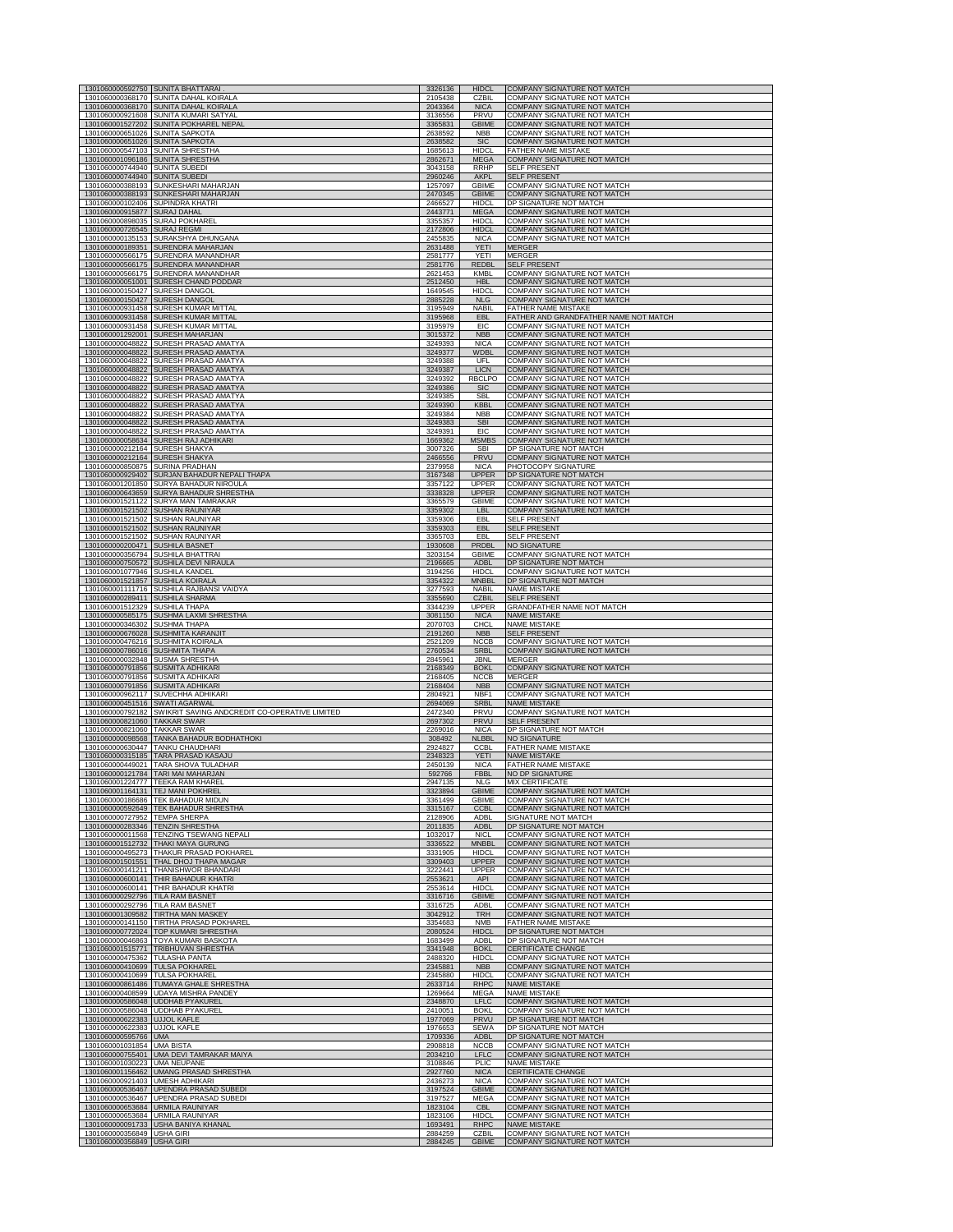| 1301060000592750                     | <b>SUNITA BHATTARAI</b>                                                       | 3326136            | <b>HIDCL</b>                | COMPANY SIGNATURE NOT MATCH                                |
|--------------------------------------|-------------------------------------------------------------------------------|--------------------|-----------------------------|------------------------------------------------------------|
|                                      | 1301060000368170 SUNITA DAHAL KOIRALA                                         | 2105438            | <b>CZBIL</b>                | COMPANY SIGNATURE NOT MATCH                                |
|                                      | 1301060000368170 SUNITA DAHAL KOIRALA                                         | 2043364            | <b>NICA</b>                 | <b>COMPANY SIGNATURE NOT MATCH</b>                         |
| 1301060000921608                     | SUNITA KUMARI SATYAL                                                          | 3136556            | PRVU                        | <b>COMPANY SIGNATURE NOT MATCH</b>                         |
| 1301060001527202                     | SUNITA POKHAREL NEPAL                                                         | 3365831            | <b>GBIME</b>                | COMPANY SIGNATURE NOT MATCH                                |
| 1301060000651026 SUNITA SAPKOTA      |                                                                               | 2638592            | <b>NBB</b>                  | COMPANY SIGNATURE NOT MATCH                                |
| 1301060000651026                     | <b>SUNITA SAPKOTA</b>                                                         | 2638582            | <b>SIC</b>                  | COMPANY SIGNATURE NOT MATCH                                |
| 1301060000547103 SUNITA SHRESTHA     | SUNITA SHRESTHA                                                               | 1685613            | <b>HIDCL</b>                | <b>FATHER NAME MISTAKE</b>                                 |
| 1301060001096186                     |                                                                               | 2862671            | <b>MEGA</b>                 | COMPANY SIGNATURE NOT MATCH                                |
| 1301060000744940                     | <b>SUNITA SUBEDI</b>                                                          | 3043158            | RRHP                        | <b>SELF PRESENT</b>                                        |
| 1301060000744940                     | <b>SUNITA SUBEDI</b>                                                          | 2960246            | <b>AKPL</b>                 | <b>SELF PRESENT</b>                                        |
| 1301060000388193                     | SUNKESHARI MAHARJAN                                                           | 1257097            | GBIME                       | COMPANY SIGNATURE NOT MATCH                                |
| 1301060000388193                     | SUNKESHARI MAHARJAN                                                           | 2470345            | <b>GBIME</b>                | COMPANY SIGNATURE NOT MATCH                                |
| 1301060000102406                     | SUPINDRA KHATRI                                                               | 2466527            | <b>HIDCL</b>                | DP SIGNATURE NOT MATCH                                     |
| 1301060000915877                     | <b>SURAJ DAHAL</b>                                                            | 2443771            | <b>MEGA</b>                 | COMPANY SIGNATURE NOT MATCH                                |
| 1301060000898035                     | <b>SURAJ POKHAREL</b>                                                         | 3355357            | <b>HIDCL</b>                | COMPANY SIGNATURE NOT MATCH                                |
| 1301060000726545                     | <b>SURAJ REGMI</b>                                                            | 2172806            | <b>HIDCL</b>                | <b>COMPANY SIGNATURE NOT MATCH</b>                         |
| 1301060000135153                     | SURAKSHYA DHUNGANA                                                            | 2455835            | <b>NICA</b><br><b>YETI</b>  | COMPANY SIGNATURE NOT MATCH                                |
| 1301060000189351                     | SURENDRA MAHARJAN                                                             | 2631488            | YETI                        | <b>MERGER</b>                                              |
| 1301060000566175                     | SURENDRA MANANDHAR                                                            | 2581777            |                             | <b>MERGER</b>                                              |
| 1301060000566175                     | SURENDRA MANANDHAR                                                            | 2581776            | <b>REDBL</b>                | <b>SELF PRESENT</b>                                        |
| 1301060000566175                     | SURENDRA MANANDHAR                                                            | 2621453            | KMBL                        | COMPANY SIGNATURE NOT MATCH                                |
| 1301060000051001                     | SURESH CHAND PODDAR                                                           | 2512450            | <b>HBL</b>                  | COMPANY SIGNATURE NOT MATCH                                |
| 1301060000150427                     | SURESH DANGOL                                                                 | 1649545            | HIDCL                       | COMPANY SIGNATURE NOT MATCH                                |
| 1301060000150427                     | SURESH DANGOL                                                                 | 2885228            | <b>NLG</b>                  | COMPANY SIGNATURE NOT MATCH                                |
| 1301060000931458                     | <b>SURESH KUMAR MITTAL</b>                                                    | 3195949            | <b>NABIL</b>                | <b>FATHER NAME MISTAKE</b>                                 |
| 1301060000931458                     | <b>SURESH KUMAR MITTAL</b>                                                    | 3195968            | EBL                         | FATHER AND GRANDFATHER NAME NOT MATCH                      |
| 1301060000931458                     | <b>SURESH KUMAR MITTAL</b>                                                    | 3195979            | EIC                         | COMPANY SIGNATURE NOT MATCH                                |
| 1301060001292001                     | <b>SURESH MAHARJAN</b>                                                        | 3015372            | <b>NBB</b>                  | <b>COMPANY SIGNATURE NOT MATCH</b>                         |
| 1301060000048822                     | SURESH PRASAD AMATYA                                                          | 3249393            | <b>NICA</b>                 | COMPANY SIGNATURE NOT MATCH                                |
| 1301060000048822                     | SURESH PRASAD AMATYA                                                          | 3249377            | WDBL                        | COMPANY SIGNATURE NOT MATCH                                |
| 1301060000048822                     | SURESH PRASAD AMATYA                                                          | 3249388            | UFL                         | COMPANY SIGNATURE NOT MATCH                                |
| 1301060000048822                     | SURESH PRASAD AMATYA                                                          | 3249387            | <b>LICN</b>                 | COMPANY SIGNATURE NOT MATCH                                |
| 1301060000048822                     | SURESH PRASAD AMATYA                                                          | 3249392            | RBCI PO                     | COMPANY SIGNATURE NOT MATCH                                |
| 1301060000048822                     | SURESH PRASAD AMATYA                                                          | 3249386            | <b>SIC</b>                  | COMPANY SIGNATURE NOT MATCH                                |
| 1301060000048822                     | SURESH PRASAD AMATYA                                                          | 3249385            | SBL                         | COMPANY SIGNATURE NOT MATCH                                |
| 1301060000048822                     | SURESH PRASAD AMATYA                                                          | 3249390            | <b>KBBL</b>                 | <b>COMPANY SIGNATURE NOT MATCH</b>                         |
| 1301060000048822                     | SURESH PRASAD AMATYA                                                          | 3249384            | <b>NBB</b>                  | COMPANY SIGNATURE NOT MATCH                                |
| 1301060000048822                     | SURESH PRASAD AMATYA                                                          | 3249383            | <b>SBI</b>                  | COMPANY SIGNATURE NOT MATCH                                |
| 1301060000048822<br>1301060000058634 | SURESH PRASAD AMATYA                                                          | 3249391            | EIC<br><b>MSMBS</b>         | COMPANY SIGNATURE NOT MATCH                                |
| 1301060000212164                     | SURESH RAJ ADHIKARI<br><b>SURESH SHAKYA</b>                                   | 1669362<br>3007326 | <b>SBI</b>                  | COMPANY SIGNATURE NOT MATCH<br>DP SIGNATURE NOT MATCH      |
| 1301060000212164                     | <b>SURESH SHAKYA</b>                                                          | 2466556            | PRVU                        | <b>COMPANY SIGNATURE NOT MATCH</b>                         |
| 1301060000850875                     | SURINA PRADHAN                                                                | 2379958            | <b>NICA</b>                 | PHOTOCOPY SIGNATURE                                        |
| 1301060000929402                     | SURJAN BAHADUR NEPALI THAPA                                                   | 3167348            | <b>UPPER</b>                | DP SIGNATURE NOT MATCH                                     |
| 1301060001201850                     | SURYA BAHADUR NIROULA                                                         | 3357122            | <b>UPPER</b>                | COMPANY SIGNATURE NOT MATCH                                |
| 1301060000643659                     | SURYA BAHADUR SHRESTHA                                                        | 3338328            | <b>UPPER</b>                | <b>COMPANY SIGNATURE NOT MATCH</b>                         |
| 1301060001521122                     | SURYA MAN TAMRAKAR                                                            | 3365579            | <b>GBIME</b>                | COMPANY SIGNATURE NOT MATCH                                |
| 1301060001521502                     | SUSHAN RAUNIYAR                                                               | 3359302            | LBL                         | <b>COMPANY SIGNATURE NOT MATCH</b>                         |
| 1301060001521502                     | <b>SUSHAN RAUNIYAR</b>                                                        | 3359306            | EBI                         | <b>SELF PRESENT</b>                                        |
| 1301060001521502                     | <b>SUSHAN RAUNIYAR</b>                                                        | 3359303            | EBL                         | <b>SELF PRESENT</b>                                        |
| 1301060001521502                     | <b>SUSHAN RAUNIYAR</b>                                                        | 3365703            | EBL                         | <b>SELF PRESENT</b>                                        |
| 1301060000200471 SUSHILA BASNET      |                                                                               | 1930608            | PRDBL                       | <b>NO SIGNATURE</b>                                        |
| 1301060000356794                     | <b>SUSHILA BHATTRAI</b>                                                       | 3203154            | <b>GBIME</b>                | COMPANY SIGNATURE NOT MATCH                                |
| 1301060000750572                     | SUSHILA DEVI NIRAULA                                                          | 2196665            | <b>ADBL</b>                 | DP SIGNATURE NOT MATCH                                     |
| 1301060001077946                     | SUSHILA KANDEL                                                                | 3194256            | HIDCL                       | COMPANY SIGNATURE NOT MATCH                                |
| 1301060001521857                     | <b>SUSHILA KOIRALA</b>                                                        | 3354322            | mnbbi                       | DP SIGNATURE NOT MATCH                                     |
|                                      | 1301060001111716 SUSHILA RAJBANSI VAIDYA                                      | 3277593            | <b>NABIL</b>                | <b>NAME MISTAKE</b>                                        |
| 1301060000289411                     | SUSHILA SHARMA                                                                | 3355690            | <b>CZBIL</b>                | <b>SELF PRESENT</b>                                        |
| 1301060001512329                     | <b>SUSHILA THAPA</b>                                                          | 3344239            | <b>UPPER</b>                | GRANDFATHER NAME NOT MATCH                                 |
| 1301060000585175                     | SUSHMA LAXMI SHRESTHA                                                         | 3081150            | <b>NICA</b>                 | <b>NAME MISTAKE</b>                                        |
| 1301060000346302                     | <b>SUSHMA THAPA</b>                                                           | 2070703            | <b>CHCL</b>                 | <b>NAME MISTAKE</b>                                        |
| 1301060000676028                     | SUSHMITA KARANJIT                                                             | 2191260            | <b>NBB</b>                  | <b>SELF PRESENT</b>                                        |
| 1301060000476216                     | SUSHMITA KOIRALA                                                              | 2521209            | <b>NCCB</b>                 | COMPANY SIGNATURE NOT MATCH                                |
| 1301060000786016                     | <b>SUSHMITA THAPA</b>                                                         | 2760534            | <b>SRBL</b>                 | COMPANY SIGNATURE NOT MATCH                                |
| 1301060000032848                     | <b>SUSMA SHRESTHA</b>                                                         | 2845961            | JBNL                        | <b>MERGER</b>                                              |
| 1301060000791856                     | <b>SUSMITA ADHIKARI</b>                                                       | 2168349            | <b>BOKL</b>                 | COMPANY SIGNATURE NOT MATCH                                |
| 1301060000791856                     | <b>SUSMITA ADHIKARI</b>                                                       | 2168405            | <b>NCCB</b>                 | <b>MERGER</b>                                              |
| 1301060000791856                     | <b>SUSMITA ADHIKARI</b>                                                       | 2168404            | <b>NBB</b>                  | COMPANY SIGNATURE NOT MATCH                                |
| 1301060000962117                     | SUVECHHA ADHIKARI                                                             | 2804921            | NBF1                        | COMPANY SIGNATURE NOT MATCH                                |
| 1301060000451516                     | <b>SWATI AGARWAL</b>                                                          | 2694069            | <b>SRBL</b>                 | <b>NAME MISTAKE</b>                                        |
| 1301060000792182                     | SWIKRIT SAVING ANDCREDIT CO-OPERATIVE LIMITED                                 | 2472340            | PRVU                        | COMPANY SIGNATURE NOT MATCH                                |
| 1301060000821060 TAKKAR SWAR         | <b>TAKKAR SWAR</b>                                                            | 2697302            | PRVU                        | <b>SELF PRESENT</b>                                        |
| 1301060000821060                     |                                                                               | 2269016            | <b>NICA</b>                 | DP SIGNATURE NOT MATCH                                     |
| 1301060000098568                     | <b>TANKA BAHADUR BODHATHOKI</b>                                               | 308492             | <b>NLBBL</b>                | <b>NO SIGNATURE</b>                                        |
| 1301060000630447                     | TANKU CHAUDHARI                                                               | 2924827            | CCBI                        | <b>FATHER NAME MISTAKE</b>                                 |
| 1301060000315185                     | TARA PRASAD KASAJU                                                            | 2348323            | <b>YETI</b>                 | <b>NAME MISTAKE</b>                                        |
|                                      | 1301060000449021 TARA SHOVA TULADHAR<br>1301060000121784 TARI MAI MAHARJAN    | 2450139            | <b>NICA</b>                 | <b>FATHER NAME MISTAKE</b><br>NO DP SIGNATURE              |
|                                      | 1301060001224777 ITEEKA RAM KHARE                                             | 592766<br>2947135  | FBBL<br>NLG                 | <b>MIX CERTIFICATE</b>                                     |
|                                      | 1301060001164131 TEJ MANI POKHREL                                             | 3323894            | <b>GBIME</b>                | COMPANY SIGNATURE NOT MATCH                                |
|                                      | 1301060000186686 TEK BAHADUR MIDUN                                            | 3361499            | <b>GBIME</b>                | COMPANY SIGNATURE NOT MATCH                                |
|                                      | 1301060000592649 TEK BAHADUR SHRESTHA                                         | 3315167            | <b>CCBL</b>                 | <b>COMPANY SIGNATURE NOT MATCH</b>                         |
| 1301060000727952                     | <b>TFMPA SHERPA</b>                                                           | 2128906            | <b>ADBI</b>                 | SIGNATURE NOT MATCH                                        |
| 1301060000283346                     | <b>TENZIN SHRESTHA</b>                                                        | 2011835            | <b>ADBL</b>                 | DP SIGNATURE NOT MATCH                                     |
|                                      | 1301060000011568 TENZING TSEWANG NEPALI<br>1301060001512732 THAKI MAYA GURUNG | 1032017            | <b>NICL</b><br><b>MNBBL</b> | COMPANY SIGNATURE NOT MATCH<br>COMPANY SIGNATURE NOT MATCH |
|                                      | 1301060000495273 THAKUR PRASAD POKHAREL                                       | 3336522<br>3331905 | <b>HIDCL</b>                | COMPANY SIGNATURE NOT MATCH                                |
| 1301060001501551                     | THAL DHOJ THAPA MAGAR                                                         | 3309403            | <b>UPPER</b>                | <b>COMPANY SIGNATURE NOT MATCH</b>                         |
|                                      | 1301060000141211 THANISHWOR BHANDARI                                          | 3222441            | <b>UPPER</b>                | COMPANY SIGNATURE NOT MATCH                                |
| 1301060000600141                     | THIR BAHADUR KHATRI                                                           | 2553621            | API                         | <b>COMPANY SIGNATURE NOT MATCH</b>                         |
| 1301060000600141                     | THIR BAHADUR KHATRI                                                           | 2553614            | <b>HIDCI</b>                | COMPANY SIGNATURE NOT MATCH                                |
| 1301060000292796                     | <b>TILA RAM BASNET</b>                                                        | 3316716            | <b>GBIME</b>                | <b>COMPANY SIGNATURE NOT MATCH</b>                         |
| 1301060000292796 TILA RAM BASNET     |                                                                               | 3316725            | ADBL                        | COMPANY SIGNATURE NOT MATCH                                |
|                                      | 1301060001309582 TIRTHA MAN MASKEY                                            | 3042912            | <b>TRH</b>                  | COMPANY SIGNATURE NOT MATCH                                |
|                                      | 1301060000141150 TIRTHA PRASAD POKHAREL                                       | 3354683            | <b>NMB</b>                  | FATHER NAME MISTAKE                                        |
|                                      | 1301060000772024 TOP KUMARI SHRESTHA                                          | 2080524            | <b>HIDCL</b>                | DP SIGNATURE NOT MATCH                                     |
|                                      | 1301060000046863 TOYA KUMARI BASKOTA                                          | 1683499            | <b>ADBL</b>                 | DP SIGNATURE NOT MATCH                                     |
| 1301060001515771                     | TRIBHUVAN SHRESTHA                                                            | 3341948            | <b>BOKL</b>                 | <b>CERTIFICATE CHANGE</b>                                  |
| 1301060000475362                     | <b>TULASHA PANTA</b>                                                          | 2488320            | <b>HIDCL</b>                | COMPANY SIGNATURE NOT MATCH                                |
| 1301060000410699                     | <b>TULSA POKHAREL</b>                                                         | 2345881            | <b>NBB</b>                  | <b>COMPANY SIGNATURE NOT MATCH</b>                         |
| 1301060000410699                     | <b>TULSA POKHAREL</b>                                                         | 2345880            | <b>HIDCL</b>                | COMPANY SIGNATURE NOT MATCH                                |
|                                      | 1301060000861486 TUMAYA GHALE SHRESTHA                                        | 2633714            | <b>RHPC</b>                 | <b>NAME MISTAKE</b>                                        |
|                                      | 1301060000408599 UDAYA MISHRA PANDEY                                          | 1269664            | MEGA                        | <b>NAME MISTAKE</b>                                        |
|                                      | 1301060000586048 UDDHAB PYAKUREL                                              | 2348870            | <b>LFLC</b>                 | COMPANY SIGNATURE NOT MATCH                                |
| 1301060000622383                     | 1301060000586048 UDDHAB PYAKUREL                                              | 2410051            | <b>BOKL</b>                 | COMPANY SIGNATURE NOT MATCH                                |
|                                      | <b>UJJOL KAFLE</b>                                                            | 1977069            | PRVU                        | DP SIGNATURE NOT MATCH                                     |
| 1301060000622383 UJJOL KAFLE         | <b>UMA</b>                                                                    | 1976653            | SEWA                        | DP SIGNATURE NOT MATCH                                     |
| 1301060000595766                     |                                                                               | 1709336            | <b>ADBL</b>                 | DP SIGNATURE NOT MATCH                                     |
| 1301060001031854 UMA BISTA           |                                                                               | 2908818            | <b>NCCB</b>                 | COMPANY SIGNATURE NOT MATCH                                |
| 1301060001030223 UMA NEUPANE         | 1301060000755401 UMA DEVI TAMRAKAR MAIYA                                      | 2034210<br>3108846 | <b>LFLC</b><br><b>PLIC</b>  | COMPANY SIGNATURE NOT MATCH<br><b>NAME MISTAKE</b>         |
| 1301060001156462                     | <b>UMANG PRASAD SHRESTHA</b>                                                  | 2927760            | <b>NICA</b>                 | <b>CERTIFICATE CHANGE</b>                                  |
| 1301060000921403                     | <b>UMESH ADHIKARI</b>                                                         | 2436273            | <b>NICA</b>                 | COMPANY SIGNATURE NOT MATCH                                |
| 1301060000536467                     | UPENDRA PRASAD SUBEDI                                                         | 3197524            | GBIME                       | COMPANY SIGNATURE NOT MATCH                                |
| 1301060000653684                     | 1301060000536467 UPENDRA PRASAD SUBEDI                                        | 3197527            | MEGA                        | COMPANY SIGNATURE NOT MATCH                                |
|                                      | <b>URMILA RAUNIYAR</b>                                                        | 1823104            | <b>CBL</b>                  | COMPANY SIGNATURE NOT MATCH                                |
| 1301060000653684 URMILA RAUNIYAR     |                                                                               | 1823106            | <b>HIDCL</b>                | COMPANY SIGNATURE NOT MATCH                                |
| 1301060000356849 USHA GIRI           | 1301060000091733 USHA BANIYA KHANAL                                           | 1693491<br>2884259 | <b>RHPC</b><br>CZBIL        | <b>NAME MISTAKE</b><br>COMPANY SIGNATURE NOT MATCH         |
| 1301060000356849 USHA GIRI           |                                                                               | 2884245            | <b>GBIME</b>                | COMPANY SIGNATURE NOT MATCH                                |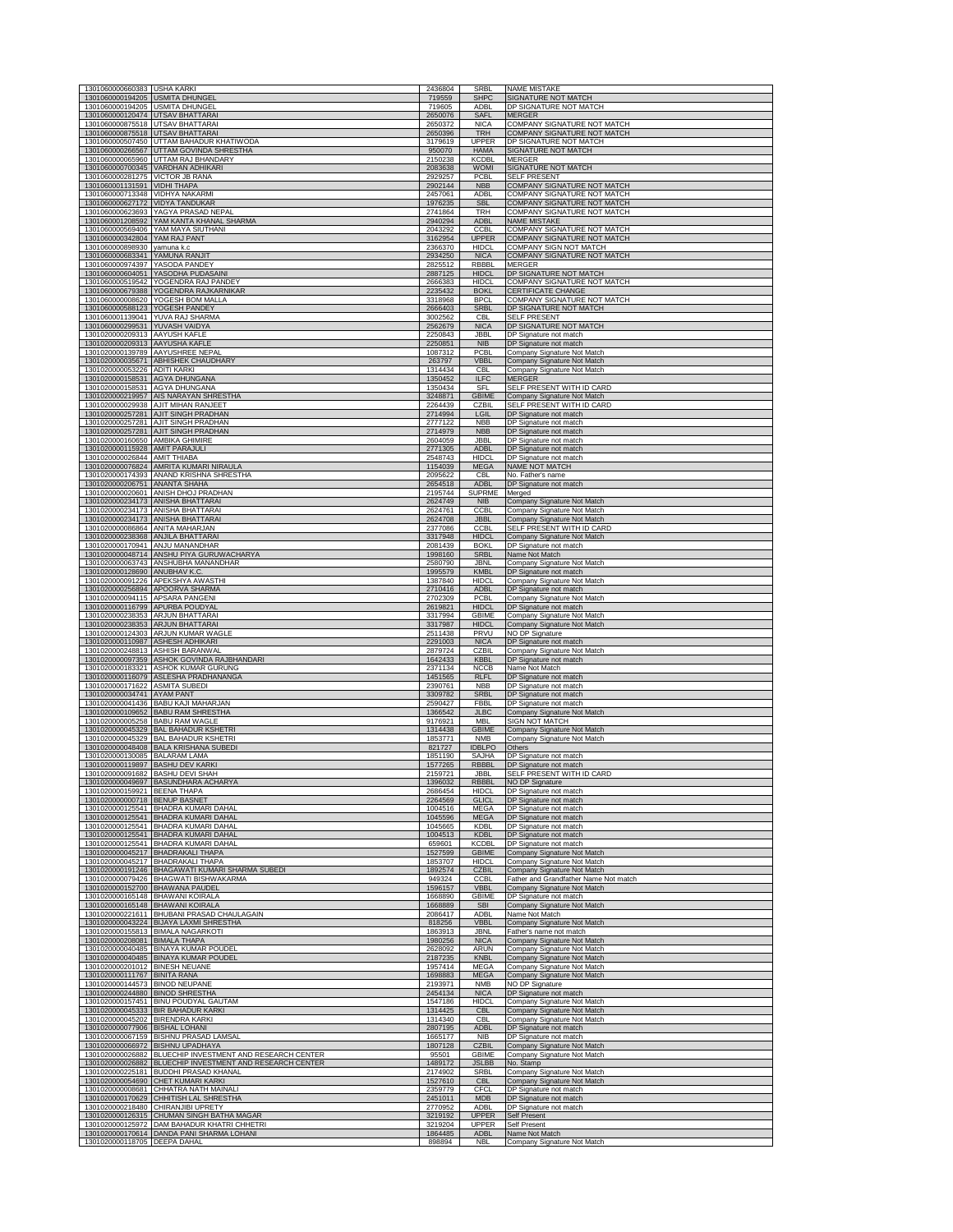| 1301060000660383 USHA KARKI                         | <b>USMITA DHUNGEL</b>                      | 2436804            | SRBI                        | <b>NAME MISTAKE</b>                                        |
|-----------------------------------------------------|--------------------------------------------|--------------------|-----------------------------|------------------------------------------------------------|
| 1301060000194205                                    |                                            | 719559             | <b>SHPC</b>                 | SIGNATURE NOT MATCH                                        |
| 1301060000194205 USMITA DHUNGEL<br>1301060000120474 | <b>UTSAV BHATTARA</b>                      | 719605<br>2650076  | ADBI<br>SAFI                | DP SIGNATURE NOT MATCH                                     |
| 1301060000875518                                    | <b>UTSAV BHATTARAI</b>                     | 2650372            | NIC/                        | <b>COMPANY SIGNATURE NOT MATCH</b>                         |
| 1301060000875518                                    | <b>UTSAV BHATTARAI</b>                     | 2650396            | <b>TRH</b>                  | <b>COMPANY SIGNATURE NOT MATCH</b>                         |
| 1301060000507450                                    | UTTAM BAHADUR KHATIWODA                    | 3179619            | <b>UPPER</b>                | DP SIGNATURE NOT MATCH                                     |
|                                                     | 1301060000266567 UTTAM GOVINDA SHRESTHA    | 950070             | <b>HAMA</b>                 | SIGNATURE NOT MATCH                                        |
|                                                     | 1301060000065960 UTTAM RAJ BHANDARY        | 2150238            | KCDBL                       | MERGER                                                     |
|                                                     | 1301060000700345 VARDHAN ADHIKARI          | 2083638            | <b>WOMI</b>                 | SIGNATURE NOT MATCH                                        |
| 1301060000281275                                    | <b>VICTOR JB RANA</b>                      | 2929257            | PCBL                        | <b>SELF PRESENT</b>                                        |
| 1301060001131591                                    | <b>VIDHI THAPA</b>                         | 2902144            | <b>NBB</b>                  | COMPANY SIGNATURE NOT MATCH                                |
| 1301060000713348                                    | <b>VIDHYA NAKARMI</b>                      | 2457061            | ADBL                        | COMPANY SIGNATURE NOT MATCH                                |
| 1301060000627172                                    | <b>VIDYA TANDUKAR</b>                      | 1976235            | <b>SBL</b>                  | COMPANY SIGNATURE NOT MATCH                                |
| 1301060000623693                                    | YAGYA PRASAD NEPAL                         | 2741864            | <b>TRH</b>                  | COMPANY SIGNATURE NOT MATCH                                |
| 1301060001208592                                    | YAM KANTA KHANAL SHARMA                    | 2940294            | <b>ADBL</b>                 | <b>NAME MISTAKE</b>                                        |
| 1301060000342804 YAM RAJ PANT                       | 1301060000569406 YAM MAYA SIUTHANI         | 2043292<br>3162954 | <b>CCBL</b><br><b>UPPER</b> | COMPANY SIGNATURE NOT MATCH<br>COMPANY SIGNATURE NOT MATCH |
| 1301060000898930                                    | yamuna k.c                                 | 2366370            | <b>HIDCL</b>                | COMPANY SIGN NOT MATCH                                     |
| 1301060000683341                                    | YAMUNA RANJIT                              | 2934250            | <b>NICA</b>                 | COMPANY SIGNATURE NOT MATCH                                |
| 1301060000974397                                    | YASODA PANDEY                              | 2825512            | RBBBL                       | <b>MERGER</b>                                              |
| 1301060000604051                                    | YASODHA PUDASAINI                          | 2887125            | <b>HIDCL</b>                | DP SIGNATURE NOT MATCH                                     |
| 1301060000519542                                    | YOGENDRA RAJ PANDEY                        | 2666383            | <b>HIDCL</b>                | COMPANY SIGNATURE NOT MATCH                                |
|                                                     | 1301060000679388 YOGENDRA RAJKARNIKAR      | 2235432            | <b>BOKL</b>                 | CERTIFICATE CHANGE                                         |
| 1301060000588123 YOGESH PANDEY                      | 1301060000008620 YOGESH BOM MALLA          | 3318968<br>2666403 | <b>BPCL</b><br><b>SRBL</b>  | COMPANY SIGNATURE NOT MATCH<br>DP SIGNATURE NOT MATCH      |
| 1301060000299531                                    | 1301060001139041 YUVA RAJ SHARMA           | 3002562            | <b>CBI</b>                  | <b>SELF PRESENT</b>                                        |
|                                                     | YUVASH VAIDYA                              | 2562679            | <b>NICA</b>                 | DP SIGNATURE NOT MATCH                                     |
| 1301020000209313                                    | <b>AAYUSH KAFLE</b>                        | 2250843            | <b>JBB</b>                  | DP Signature not match                                     |
| 1301020000209313                                    | AAYUSHA KAFLE                              | 2250851            | <b>NIB</b>                  | DP Signature not match                                     |
| 1301020000035671                                    | 1301020000139789 AAYUSHREE NEPAL           | 1087312            | PCBI                        | Company Signature Not Match                                |
|                                                     | ABHISHEK CHAUDHARY                         | 263797             | <b>VBBL</b>                 | Company Signature Not Match                                |
| 1301020000053226                                    | <b>ADITI KARKI</b>                         | 1314434            | CBL                         | Company Signature Not Match                                |
| 1301020000158531 AGYA DHUNGANA                      |                                            | 1350452            | <b>ILFC</b>                 | MERGER                                                     |
| 1301020000158531 AGYA DHUNGANA                      | AIS NARAYAN SHRESTHA                       | 1350434            | SFL                         | SELF PRESENT WITH ID CARD                                  |
| 1301020000219957                                    |                                            | 3248871            | <b>GBIME</b>                | Company Signature Not Match                                |
| 1301020000029938                                    | AJIT MIHAN RANJEET                         | 2264439            | CZBII                       | SELF PRESENT WITH ID CARD                                  |
| 1301020000257281                                    | AJIT SINGH PRADHAN                         | 2714994            | LGIL                        | DP Signature not matc                                      |
| 1301020000257281                                    | AJIT SINGH PRADHAN                         | 2777122            | <b>NBB</b>                  | DP Signature not match                                     |
| 1301020000257281                                    | AJIT SINGH PRADHAN                         | 2714979            | <b>NBB</b>                  | DP Signature not match                                     |
| 1301020000160650 AMBIKA GHIMIRE                     |                                            | 2604059            | JBBL                        | DP Signature not match                                     |
| 1301020000115928 AMIT PARAJULI                      |                                            | 2771305            | <b>ADBL</b>                 | DP Signature not match                                     |
| 1301020000026844 AMIT THIABA                        | AMRITA KUMARI NIRAULA                      | 2548743            | <b>HIDCI</b>                | DP Signature not match                                     |
| 1301020000076824                                    |                                            | 1154039            | <b>MEGA</b>                 | NAME NOT MATCH                                             |
| 1301020000174393                                    | ANAND KRISHNA SHRESTHA                     | 2095622            | CBL                         | No. Father's name                                          |
| 1301020000206751                                    | <b>ANANTA SHAHA</b>                        | 2654518            | <b>ADBL</b>                 | DP Signature not match                                     |
| 1301020000020601                                    | ANISH DHOJ PRADHAN                         | 2195744            | <b>SUPRME</b>               | Merged                                                     |
| 1301020000234173                                    | <b>ANISHA BHATTARAI</b>                    | 2624749            | <b>NIB</b>                  | Company Signature Not Match                                |
|                                                     | 1301020000234173 ANISHA BHATTARAI          | 2624761            | <b>CCBL</b>                 | Company Signature Not Match                                |
|                                                     | 1301020000234173 ANISHA BHATTARAI          | 2624708            | <b>JBBI</b>                 | Company Signature Not Match                                |
| 1301020000086864 ANITA MAHARJAN                     | ANJILA BHATTARAI                           | 2377086            | <b>CCBI</b>                 | <u>SELF PRESENT WITH ID CARD</u>                           |
| 1301020000238368                                    |                                            | 3317948            | <b>HIDCI</b>                | Company Signature Not Match                                |
| 1301020000048714                                    | 1301020000170941 ANJU MANANDHAR            | 2081439            | <b>BOKL</b>                 | DP Signature not match                                     |
|                                                     | ANSHU PIYA GURUWACHARYA                    | 1998160            | <b>SRBL</b>                 | Name Not Match                                             |
| 1301020000063743                                    | ANSHUBHA MANANDHAR                         | 2580790            | JBNL                        | Company Signature Not Match                                |
| 1301020000128690 ANUBHAV K.C                        |                                            | 1995579            | <b>KMBL</b>                 | DP Signature not match                                     |
| 1301020000091226                                    | APEKSHYA AWASTHI                           | 1387840            | <b>HIDCL</b>                | Company Signature Not Match                                |
|                                                     | 1301020000256894 APOORVA SHARMA            | 2710416            | <b>ADBL</b>                 | DP Signature not match                                     |
| 1301020000094115 APSARA PANGENI                     |                                            | 2702309            | <b>PCBL</b>                 | Company Signature Not Match                                |
| 1301020000116799 APURBA POUDYAL                     |                                            | 2619821            | <b>HIDCL</b>                | DP Signature not match                                     |
| 1301020000238353                                    | <b>ARJUN BHATTARAI</b>                     | 3317994            | <b>GBIME</b>                | Company Signature Not Match                                |
| 1301020000238353                                    | <b>ARJUN BHATTARAI</b>                     | 3317987            | <b>HIDCL</b>                | Company Signature Not Match                                |
| 1301020000124303                                    | ARJUN KUMAR WAGLE                          | 2511438            | PRVU                        | NO DP Signature                                            |
| 1301020000110987                                    | <b>ASHESH ADHIKARI</b>                     | 2291003            | <b>NICA</b>                 | DP Signature not match                                     |
| 1301020000248813                                    | <b>ASHISH BARANWAL</b>                     | 2879724            | CZBIL                       | Company Signature Not Match                                |
|                                                     | 1301020000097359 ASHOK GOVINDA RAJBHANDARI | 1642433            | <b>KBBL</b>                 | DP Signature not match                                     |
|                                                     | 1301020000183321 ASHOK KUMAR GURUNG        | 2371134            | <b>NCCB</b>                 | Name Not Match                                             |
|                                                     | 1301020000116079 ASLESHA PRADHANANGA       | 1451565            | <b>RLFL</b>                 | DP Signature not match                                     |
| 1301020000171622                                    | <b>ASMITA SUBEDI</b>                       | 2390761            | <b>NBB</b>                  | DP Signature not match                                     |
| 1301020000034741                                    | <b>AYAM PANT</b>                           | 3309782            | <b>SRBL</b>                 | DP Signature not match                                     |
| 1301020000041436                                    | <b>BABU KAJI MAHARJAN</b>                  | 2590427            | <b>FBBL</b>                 | DP Signature not match                                     |
| 1301020000109652                                    | <b>BABU RAM SHRESTHA</b>                   | 1366542            | <b>JLBC</b>                 | Company Signature Not Match                                |
| 1301020000005258                                    | <b>BABU RAM WAGLE</b>                      | 9176921            | <b>MBI</b>                  | <b>SIGN NOT MATCH</b>                                      |
|                                                     | 1301020000045329 BAL BAHADUR KSHETRI       | 1314438            | <b>GBIME</b>                | Company Signature Not Match                                |
|                                                     | 1301020000045329 BAL BAHADUR KSHETRI       | 1853771            | <b>NMB</b>                  | Company Signature Not Match                                |
|                                                     | 1301020000048408 BALA KRISHANA SUBEDI      | 821727             | <b>IDBLPO</b>               | Others                                                     |
| 1301020000130085 BALARAM LAMA                       | <b>BASHU DEV KARKI</b>                     | 1851190            | <b>SAJHA</b>                | DP Signature not match                                     |
| 1301020000119897                                    |                                            | 1577265            | <b>RBBBL</b>                | DP Signature not match                                     |
| 1301020000091682 BASHU DEVI SHAH                    | <b>RASHNDH</b>                             | 2159721            | JBBL                        | SELF PRESENT WITH ID CARD                                  |
| 1301020000159921 BEENA THAPA                        | <b>BENUP BASNET</b>                        | 2686454            | <b>HIDCI</b>                | DP Signature not match                                     |
| 1301020000000718                                    |                                            | 2264569            | <b>GLICL</b>                | DP Signature not match                                     |
|                                                     | 1301020000125541 BHADRA KUMARI DAHAL       | 1004516            | <b>MEGA</b>                 | DP Signature not match                                     |
|                                                     | 1301020000125541 BHADRA KUMARI DAHAL       | 1045596            | <b>MEGA</b>                 | DP Signature not match                                     |
| 1301020000125541                                    | <b>BHADRA KUMARI DAHAI</b>                 | 1045665            | <b>KDBI</b>                 | DP Signature not match                                     |
| 1301020000125541                                    | <b>BHADRA KUMARI DAHAL</b>                 | 1004513            | <b>KDBL</b>                 | DP Signature not match                                     |
| 1301020000125541                                    | <b>BHADRA KUMARI DAHAL</b>                 | 659601             | <b>KCDBI</b>                | DP Signature not match                                     |
| 1301020000045217                                    | <b>BHADRAKALI THAPA</b>                    | 1527599            | <b>GBIME</b>                | Company Signature Not Match                                |
| 1301020000045217                                    | <b>BHADRAKALI THAPA</b>                    | 1853707            | <b>HIDCI</b>                | Company Signature Not Match                                |
| 1301020000191246                                    | BHAGAWATI KUMARI SHARMA SUBEDI             | 1892574            | <b>CZBIL</b>                | Company Signature Not Match                                |
|                                                     | 1301020000079426 BHAGWATI BISHWAKARMA      | 949324             | <b>CCBL</b>                 | Father and Grandfather Name Not match                      |
|                                                     | 1301020000152700 BHAWANA PAUDEL            | 1596157            | <b>VBBL</b>                 | Company Signature Not Match                                |
| 1301020000165148                                    | <b>BHAWANI KOIRALA</b>                     | 1668890            | <b>GBIME</b>                | DP Signature not match                                     |
| 1301020000165148                                    | <b>BHAWANI KOIRALA</b>                     | 1668889            | <b>SBI</b>                  | Company Signature Not Match                                |
| 1301020000221611                                    | BHUBANI PRASAD CHAULAGAIN                  | 2086417            | ADBL                        | Name Not Match                                             |
| 1301020000043224                                    | <b>BIJAYA LAXMI SHRESTHA</b>               | 818256             | <b>VBB</b>                  | Company Signature Not Match                                |
| 1301020000155813                                    | <b>BIMALA NAGARKOTI</b>                    | 1863913            | jbni                        | Father's name not match                                    |
| 1301020000208081                                    | <b>BIMALA THAPA</b>                        | 1980256            | <b>NICA</b>                 | Company Signature Not Match                                |
|                                                     | 1301020000040485 BINAYA KUMAR POUDEL       | 2628092            | <b>ARUN</b>                 | Company Signature Not Match                                |
|                                                     | 1301020000040485 BINAYA KUMAR POUDEL       | 2187235            | <b>KNBL</b>                 | Company Signature Not Match                                |
| 1301020000201012 BINESH NEUANE                      |                                            | 1957414            | MEGA                        | Company Signature Not Match                                |
| 1301020000111767 BINITA RANA                        |                                            | 1698883            | <b>MEGA</b>                 | Company Signature Not Match                                |
| 1301020000144573                                    | <b>BINOD NEUPANE</b>                       | 2193971            | <b>NMB</b>                  | NO DP Signature                                            |
| 1301020000244880                                    | <b>BINOD SHRESTHA</b>                      | 2454134            | <b>NICA</b>                 | DP Signature not match                                     |
| 1301020000157451                                    | <b>BINU POUDYAL GAUTAM</b>                 | 1547186            | <b>HIDCL</b>                | Company Signature Not Match                                |
| 1301020000045333                                    | <b>BIR BAHADUR KARKI</b>                   | 1314425            | <b>CBL</b>                  | Company Signature Not Match                                |
| 1301020000045202                                    | <b>BIRENDRA KARKI</b>                      | 1314340            | <b>CBL</b>                  | Company Signature Not Match                                |
| 1301020000077906 BISHAL LOHANI                      |                                            | 2807195            | <b>ADBI</b>                 | DP Signature not match                                     |
| 1301020000066972                                    | 1301020000067159 BISHNU PRASAD LAMSAL      | 1665177            | NIB                         | DP Signature not match                                     |
|                                                     | <b>BISHNU UPADHAYA</b>                     | 1807128            | <b>CZBIL</b>                | Company Signature Not Match                                |
| 1301020000026882                                    | BLUECHIP INVESTMENT AND RESEARCH CENTER    | 95501              | <b>GBIME</b>                | Company Signature Not Match                                |
| 1301020000026882                                    | BLUECHIP INVESTMENT AND RESEARCH CENTER    | 1489172            | JSLBB                       | No. Stamp                                                  |
| 1301020000054690                                    | 1301020000225181 BUDDHI PRASAD KHANAL      | 2174902            | SRBL                        | Company Signature Not Match                                |
|                                                     | CHET KUMARI KARKI                          | 1527610            | <b>CBL</b>                  | Company Signature Not Match                                |
| 1301020000008681                                    | CHHATRA NATH MAINALI                       | 2359779            | CFCL                        | DP Signature not match                                     |
| 1301020000170629                                    | CHHITISH LAL SHRESTHA                      | 2451011            | <b>MDB</b>                  | DP Signature not match                                     |
| 1301020000126315                                    | 1301020000218480 CHIRANJIBI UPRETY         | 2770952            | ADBL                        | DP Signature not match                                     |
|                                                     | CHUMAN SINGH BATHA MAGAR                   | 3219192            | <b>UPPER</b>                | Self Present                                               |
| 1301020000125972                                    | DAM BAHADUR KHATRI CHHETRI                 | 3219204            | UPPER                       | Self Present                                               |
| 1301020000170614                                    | DANDA PANI SHARMA LOHAN                    | 1864485            | <b>ADBI</b>                 | Name Not Match                                             |
| 1301020000118705                                    | <b>DEEPA DAHA</b>                          | 898894             | <b>NB</b>                   | Company Signature Not Match                                |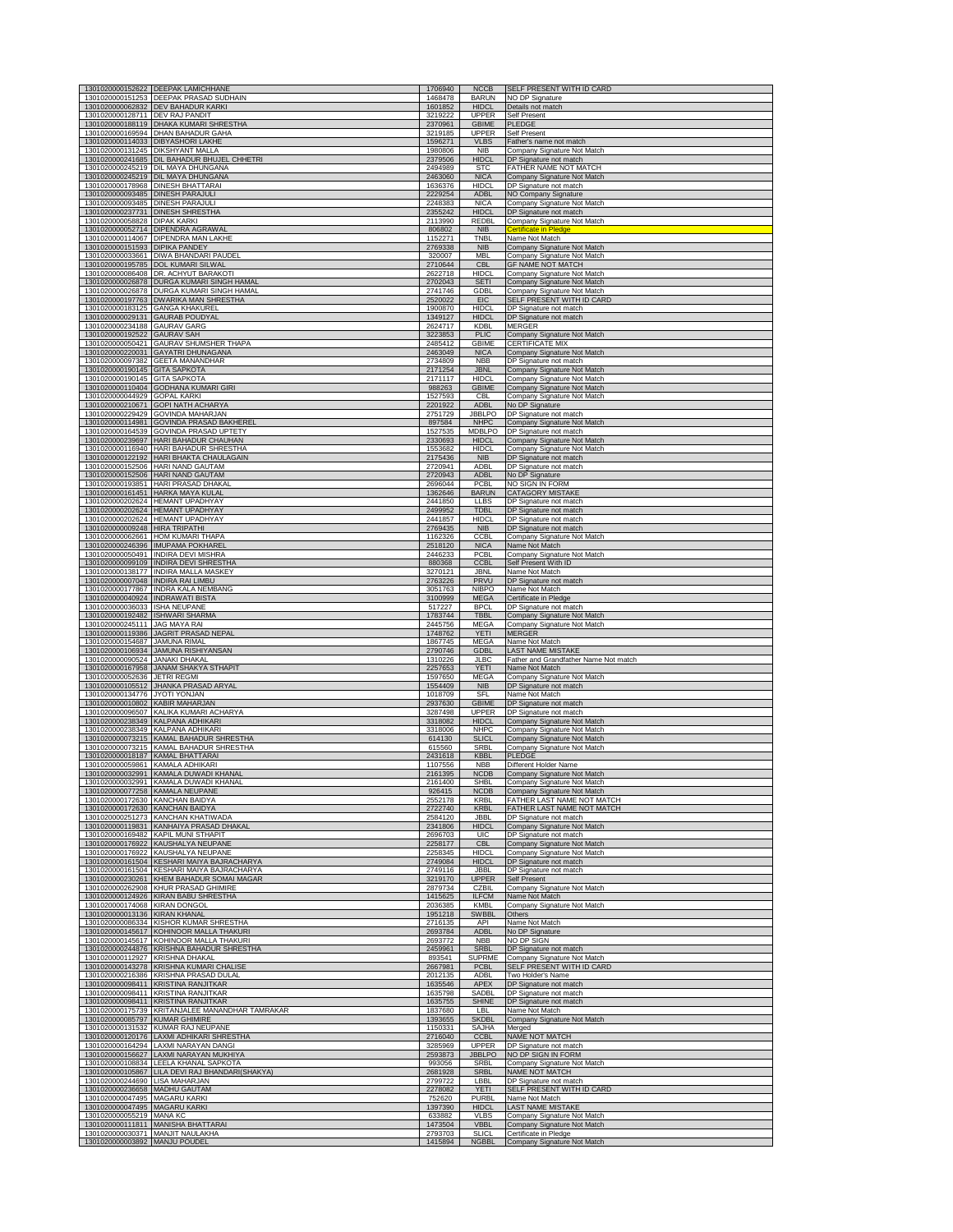|                                                      | 1301020000152622 DEEPAK LAMICHHANE<br>1301020000151253 DEEPAK PRASAD SUDHAIN       | 1706940<br>1468478 | <b>NCCB</b><br><b>BARUN</b>   | SELF PRESENT WITH ID CARD                                  |
|------------------------------------------------------|------------------------------------------------------------------------------------|--------------------|-------------------------------|------------------------------------------------------------|
| 1301020000062832                                     | DEV BAHADUR KARKI                                                                  | 1601852            | <b>HIDCL</b>                  | NO DP Signature<br>Details not match                       |
| 1301020000128711 DEV RAJ PANDIT                      |                                                                                    | 3219222            | <b>UPPER</b>                  | Self Present                                               |
|                                                      | 1301020000188119 DHAKA KUMARI SHRESTHA<br>1301020000169594 DHAN BAHADUR GAHA       | 2370961<br>3219185 | <b>GBIME</b><br><b>UPPER</b>  | <b>PLEDGE</b><br>Self Present                              |
|                                                      | 1301020000114033 DIBYASHORI LAKHE                                                  | 1596271            | <b>VLBS</b>                   | Father's name not match                                    |
| 1301020000131245<br>1301020000241685                 | <b>DIKSHYANT MALLA</b><br>DIL BAHADUR BHUJEL CHHETRI                               | 1980806<br>2379506 | <b>NIB</b><br><b>HIDCI</b>    | Company Signature Not Match<br>DP Signature not match      |
|                                                      | 1301020000245219 DIL MAYA DHUNGANA                                                 | 2494989            | <b>STC</b>                    | FATHER NAME NOT MATCH                                      |
| 1301020000245219<br>1301020000178968                 | DIL MAYA DHUNGANA<br><b>DINESH BHATTARAI</b>                                       | 2463060<br>1636376 | <b>NICA</b><br><b>HIDCL</b>   | Company Signature Not Match<br>DP Signature not match      |
| 1301020000093485 DINESH PARAJULI                     |                                                                                    | 2229254            | <b>ADBL</b>                   | NO Company Signature                                       |
| 1301020000093485 DINESH PARAJULI                     |                                                                                    | 2248383            | <b>NICA</b>                   | Company Signature Not Match                                |
| 1301020000237731 DINESH SHRESTHA<br>1301020000058828 | <b>DIPAK KARKI</b>                                                                 | 2355242<br>2113990 | <b>HIDCL</b><br>REDBL         | DP Signature not match<br>Company Signature Not Match      |
|                                                      | 1301020000052714 DIPENDRA AGRAWAL                                                  | 806802             | <b>NIB</b>                    | <b>Certificate in Pledge</b>                               |
| 1301020000151593                                     | 1301020000114067 DIPENDRA MAN LAKHE<br><b>DIPIKA PANDEY</b>                        | 1152271<br>2769338 | TNBL<br><b>NIB</b>            | Name Not Match<br>Company Signature Not Match              |
| 1301020000033661                                     | DIWA BHANDARI PAUDEL                                                               | 320007             | <b>MBL</b>                    | Company Signature Not Match                                |
|                                                      | 1301020000195785 DOL KUMARI SILWAL<br>1301020000086408 DR. ACHYUT BARAKOTI         | 2710644<br>2622718 | <b>CBL</b><br><b>HIDCL</b>    | <b>GF NAME NOT MATCH</b><br>Company Signature Not Match    |
|                                                      | 1301020000026878 DURGA KUMARI SINGH HAMAL                                          | 2702043            | <b>SETI</b>                   | Company Signature Not Match                                |
| 1301020000026878<br>1301020000197763                 | DURGA KUMARI SINGH HAMAL<br><b>DWARIKA MAN SHRESTHA</b>                            | 2741746<br>2520022 | <b>GDBL</b><br><b>EIC</b>     | Company Signature Not Match<br>SELF PRESENT WITH ID CARD   |
| 1301020000183125                                     | <b>GANGA KHAKUREL</b>                                                              | 1900870            | <b>HIDCL</b>                  | DP Signature not match                                     |
| 1301020000029131<br>1301020000234188                 | <b>GAURAB POUDYAL</b><br><b>GAURAV GARG</b>                                        | 1349127<br>2624717 | <b>HIDCL</b><br>KDBI          | DP Signature not match<br><b>MERGER</b>                    |
| 1301020000192522 GAURAV SAH                          |                                                                                    | 3223853            | <b>PLIC</b>                   | Company Signature Not Match                                |
|                                                      | 1301020000050421 GAURAV SHUMSHER THAPA                                             | 2485412            | <b>GBIME</b>                  | <b>CERTIFICATE MIX</b>                                     |
| 1301020000220031<br>1301020000097382                 | <b>GAYATRI DHUNAGANA</b><br><b>GEETA MANANDHAR</b>                                 | 2463049<br>2734809 | <b>NICA</b><br><b>NBB</b>     | Company Signature Not Match<br>DP Signature not match      |
| 1301020000190145                                     | <b>GITA SAPKOTA</b>                                                                | 2171254            | <b>JBNL</b>                   | Company Signature Not Match                                |
| 1301020000190145<br>1301020000110404                 | <b>GITA SAPKOTA</b><br><b>GODHANA KUMARI GIRI</b>                                  | 2171117<br>988263  | <b>HIDCL</b><br><b>GBIME</b>  | Company Signature Not Match<br>Company Signature Not Match |
| 1301020000044929                                     | <b>GOPAL KARKI</b>                                                                 | 1527593            | CBL                           | Company Signature Not Match                                |
| 1301020000210671                                     | <b>GOPI NATH ACHARYA</b><br>1301020000229429 GOVINDA MAHARJAN                      | 2201922<br>2751729 | <b>ADBL</b><br><b>JBBLPO</b>  | No DP Signature<br>DP Signature not match                  |
| 1301020000114981                                     | <b>GOVINDA PRASAD BAKHEREL</b>                                                     | 897584             | <b>NHPC</b>                   | Company Signature Not Match                                |
| 1301020000164539                                     | <b>GOVINDA PRASAD UPTETY</b>                                                       | 1527535            | <b>MDBLPO</b>                 | DP Signature not match                                     |
| 1301020000239697<br>1301020000116940                 | HARI BAHADUR CHAUHAN<br>HARI BAHADUR SHRESTHA                                      | 2330693<br>1553682 | <b>HIDCL</b><br><b>HIDCL</b>  | Company Signature Not Match<br>Company Signature Not Match |
| 1301020000122192                                     | <b>HARI BHAKTA CHAULAGAIN</b>                                                      | 2175436            | <b>NIB</b>                    | DP Signature not match                                     |
| 1301020000152506<br>1301020000152506                 | HARI NAND GAUTAM<br>HARI NAND GAUTAM                                               | 2720941<br>2720943 | <b>ADBI</b><br><b>ADBL</b>    | DP Signature not match<br>No DP Signature                  |
| 1301020000193851                                     | HARI PRASAD DHAKAL                                                                 | 2696044            | PCBL                          | NO SIGN IN FORM                                            |
| 1301020000161451<br>1301020000202624                 | HARKA MAYA KULAL<br><b>HEMANT UPADHYAY</b>                                         | 1362646<br>2441850 | <b>BARUN</b><br>LLBS          | <b>CATAGORY MISTAKE</b>                                    |
| 1301020000202624                                     | <b>HEMANT UPADHYAY</b>                                                             | 2499952            | <b>TDBL</b>                   | DP Signature not match<br>DP Signature not match           |
| 1301020000202624                                     | <b>HEMANT UPADHYAY</b>                                                             | 2441857            | <b>HIDCI</b>                  | DP Signature not match                                     |
| 1301020000009248<br>1301020000062661                 | HIRA TRIPATHI<br><b>HOM KUMARI THAPA</b>                                           | 276943<br>1162326  | <b>NIB</b><br><b>CCBI</b>     | DP Signature not mate<br>Company Signature Not Match       |
| 1301020000246396                                     | <b>IMUPAMA POKHAREI</b>                                                            | 2518120            | <b>NICA</b>                   | Name Not Match                                             |
| 1301020000050491                                     | <b>INDIRA DEVI MISHRA</b><br>1301020000099109 INDIRA DEVI SHRESTHA                 | 2446233<br>880368  | PCBL<br><b>CCBL</b>           | Company Signature Not Match<br>Self Present With ID        |
|                                                      | 1301020000138177 INDIRA MALLA MASKEY                                               | 3270121            | JBNL                          | Name Not Match                                             |
| 1301020000007048 INDIRA RAI LIMBU                    |                                                                                    | 2763226            | <b>PRVU</b>                   | DP Signature not match                                     |
| 1301020000177867<br>1301020000040924                 | INDRA KALA NEMBANG<br><b>INDRAWATI BISTA</b>                                       | 3051763<br>3100999 | NIBPO<br><b>MEGA</b>          | Name Not Match<br>Certificate in Pledge                    |
| 1301020000036033 ISHA NEUPANE                        |                                                                                    | 517227             | <b>BPCL</b>                   | DP Signature not match                                     |
| 1301020000192482<br>1301020000245111                 | <b>ISHWARI SHARMA</b><br><b>JAG MAYA RAI</b>                                       | 1783744<br>2445756 | <b>TBBL</b><br><b>MEGA</b>    | Company Signature Not Match<br>Company Signature Not Match |
|                                                      | 1301020000119386 JAGRIT PRASAD NEPAL                                               | 1748762            | <b>YETI</b>                   | MERGER                                                     |
|                                                      |                                                                                    |                    |                               |                                                            |
| 1301020000154687 JAMUNA RIMAL                        |                                                                                    | 1867745            | MEGA                          | Name Not Match                                             |
| 1301020000106934<br>1301020000090524                 | JAMUNA RISHIYANSAN<br><b>JANAKI DHAKAL</b>                                         | 2790746<br>1310226 | <b>GDBL</b><br>JLBC           | LAST NAME MISTAKE<br>Father and Grandfather Name Not match |
| 1301020000167958                                     | <b>JANAM SHAKYA STHAPIT</b>                                                        | 2257653            | YETI                          | Name Not Match                                             |
| 1301020000052636<br>1301020000105512                 | <b>JETRI REGMI</b><br>JHANKA PRASAD ARYAL                                          | 1597650<br>1554409 | MEGA<br><b>NIB</b>            | Company Signature Not Match<br>DP Signature not match      |
| 1301020000134776                                     | <b>JYOTI YONJAN</b>                                                                | 1018709            | SFI                           | Name Not Match                                             |
| 1301020000010802 KABIR MAHARJAN                      | 1301020000096507 KALIKA KUMARI ACHARYA                                             | 2937630<br>3287498 | <b>GBIME</b><br>UPPER         | DP Signature not match<br>DP Signature not match           |
|                                                      | 1301020000238349 KALPANA ADHIKARI                                                  | 3318082            | <b>HIDCL</b>                  | Company Signature Not Match                                |
|                                                      | 1301020000238349 KALPANA ADHIKARI                                                  | 3318006            | <b>NHPC</b>                   | Company Signature Not Match                                |
|                                                      | 1301020000073215 KAMAL BAHADUR SHRESTHA<br>1301020000073215 KAMAL BAHADUR SHRESTHA | 614130<br>615560   | <b>SLICL</b><br>SRBI          | Company Signature Not Match<br>Company Signature Not Match |
| 1301020000018187                                     | <b>KAMAL BHATTARAI</b>                                                             | 2431618            | <b>KBBL</b><br><b>NBB</b>     | <b>PLEDGE</b>                                              |
| 1301020000059861 KAMALA ADHIKARI                     | 1301020000032991 KAMALA DUWADI KHANAL                                              | 1107556<br>2161395 | <b>NCDB</b>                   | Different Holder Name<br>Company Signature Not Match       |
|                                                      | 1301020000032991 KAMALA DUWADI KHANAL                                              | 2161400            | SHBL                          | Company Signature Not Match                                |
| 1301020000077258<br>1301020000172630                 | KAMALA NEUPANE<br><b>KANCHAN BAIDYA</b>                                            | 926415<br>2552178  | <b>NCDB</b><br><b>KRBI</b>    | Company Signature Not Match<br>FATHER LAST NAME NOT MATCH  |
| 1301020000172630                                     | KANCHAN BAIDYA                                                                     | 2722740            | <b>KRBL</b>                   | FATHER LAST NAME NOT MATCH                                 |
| 1301020000251273<br>1301020000119831                 | KANCHAN KHATIWADA<br>KANHAIYA PRASAD DHAKAL                                        | 2584120<br>2341806 | JBBI<br><b>HIDCL</b>          | DP Signature not match<br>Company Signature Not Match      |
| 1301020000169482                                     | <b>KAPIL MUNI STHAPIT</b>                                                          | 2696703            | <b>UIC</b>                    | DP Signature not match                                     |
| 1301020000176922<br>1301020000176922                 | <b>KAUSHALYA NEUPANE</b><br>KAUSHALYA NEUPANE                                      | 2258177<br>2258345 | <b>CBL</b><br><b>HIDCL</b>    | Company Signature Not Match<br>Company Signature Not Match |
| 1301020000161504                                     | <b>KESHARI MAIYA BAJRACHARYA</b>                                                   | 2749084            | <b>HIDCL</b>                  | DP Signature not match                                     |
| 1301020000161504<br>1301020000230261                 | KESHARI MAIYA BAJRACHARYA                                                          | 2749116<br>3219170 | JBBI.                         | DP Signature not match                                     |
| 1301020000262908                                     | KHEM BAHADUR SOMAI MAGAR<br><b>KHUR PRASAD GHIMIRE</b>                             | 2879734            | <b>UPPER</b><br>CZBIL         | Self Present<br>Company Signature Not Match                |
| 1301020000124926                                     | KIRAN BABU SHRESTHA<br><b>KIRAN DONGOL</b>                                         | 1415625            | <b>ILFCM</b><br>KMBI          | Name Not Match                                             |
| 1301020000174068<br>1301020000013136                 | <b>KIRAN KHANAL</b>                                                                | 2036385<br>1951218 | <b>SWBBL</b>                  | Company Signature Not Match<br>Others                      |
|                                                      | 1301020000086334 KISHOR KUMAR SHRESTHA                                             | 2716135            | API                           | Name Not Match                                             |
| 1301020000145617                                     | 1301020000145617 KOHINOOR MALLA THAKURI<br>KOHINOOR MALLA THAKURI                  | 2693784<br>2693772 | <b>ADBL</b><br><b>NBB</b>     | No DP Signature<br>NO DP SIGN                              |
| 1301020000244876                                     | KRISHNA BAHADUR SHRESTHA                                                           | 2459961            | <b>SRBL</b>                   | DP Signature not match                                     |
| 1301020000112927<br>1301020000143278                 | <b>KRISHNA DHAKAL</b><br>KRISHNA KUMARI CHALISE                                    | 893541<br>2667981  | <b>SUPRME</b><br><b>PCBI</b>  | Company Signature Not Match<br>SELF PRESENT WITH ID CARD   |
| 1301020000216386                                     | <b>KRISHNA PRASAD DULAL</b>                                                        | 2012135            | ADBL                          | Two Holder's Name                                          |
| 1301020000098411                                     | <b>KRISTINA RANJITKAR</b>                                                          | 1635546            | APEX                          | DP Signature not match                                     |
| 1301020000098411<br>1301020000098411                 | <b>KRISTINA RANJITKAR</b><br><b>KRISTINA RANJITKAR</b>                             | 1635798<br>1635755 | SADBL<br><b>SHINE</b>         | DP Signature not match<br>DP Signature not match           |
| 1301020000175739                                     | KRITANJALEE MANANDHAR TAMRAKAR                                                     | 1837680            | LBL                           | Name Not Match                                             |
| 1301020000085797<br>1301020000131532                 | <b>KUMAR GHIMIRE</b><br>KUMAR RAJ NEUPANE                                          | 1393655<br>1150331 | <b>SKDBL</b><br>SAJHA         | Company Signature Not Match<br>Merged                      |
| 1301020000120176                                     | LAXMI ADHIKARI SHRESTHA                                                            | 2716040            | <b>CCBL</b>                   | <b>NAME NOT MATCH</b>                                      |
| 1301020000164294                                     | LAXMI NARAYAN DANGI<br>LAXMI NARAYAN MUKHIYA                                       | 3285969<br>2593873 | <b>UPPER</b><br><b>JBBLPO</b> | DP Signature not match<br>NO DP SIGN IN FORM               |
| 1301020000156627<br>1301020000108834                 | LEELA KHANAL SAPKOTA                                                               | 993056             | SRBL                          | Company Signature Not Match                                |
| 1301020000105867                                     | LILA DEVI RAJ BHANDARI(SHAKYA)                                                     | 2681928            | <b>SRBL</b><br>LBBL           | NAME NOT MATCH                                             |
| 1301020000244690 LISA MAHARJAN<br>1301020000236658   | MADHU GAUTAM                                                                       | 2799722<br>2278082 | YETI                          | DP Signature not match<br>SELF PRESENT WITH ID CARD        |
| 1301020000047495                                     | <b>MAGARU KARKI</b>                                                                | 752620             | PURBL                         | Name Not Match                                             |
| 1301020000047495<br>1301020000055219                 | <b>MAGARU KARKI</b><br><b>MANA KC</b>                                              | 1397390<br>633882  | <b>HIDCL</b><br><b>VLBS</b>   | AST NAME MISTAKE<br>Company Signature Not Match            |
| 1301020000111811                                     | <b>MANISHA BHATTARAI</b>                                                           | 1473504            | <b>VBBL</b>                   | Company Signature Not Match                                |
| 1301020000030371<br>1301020000003892 MANJU POUDEL    | MANJIT NAULAKHA                                                                    | 2793703<br>1415894 | <b>SLICI</b><br><b>NGBBL</b>  | Certificate in Pledge<br>Company Signature Not Match       |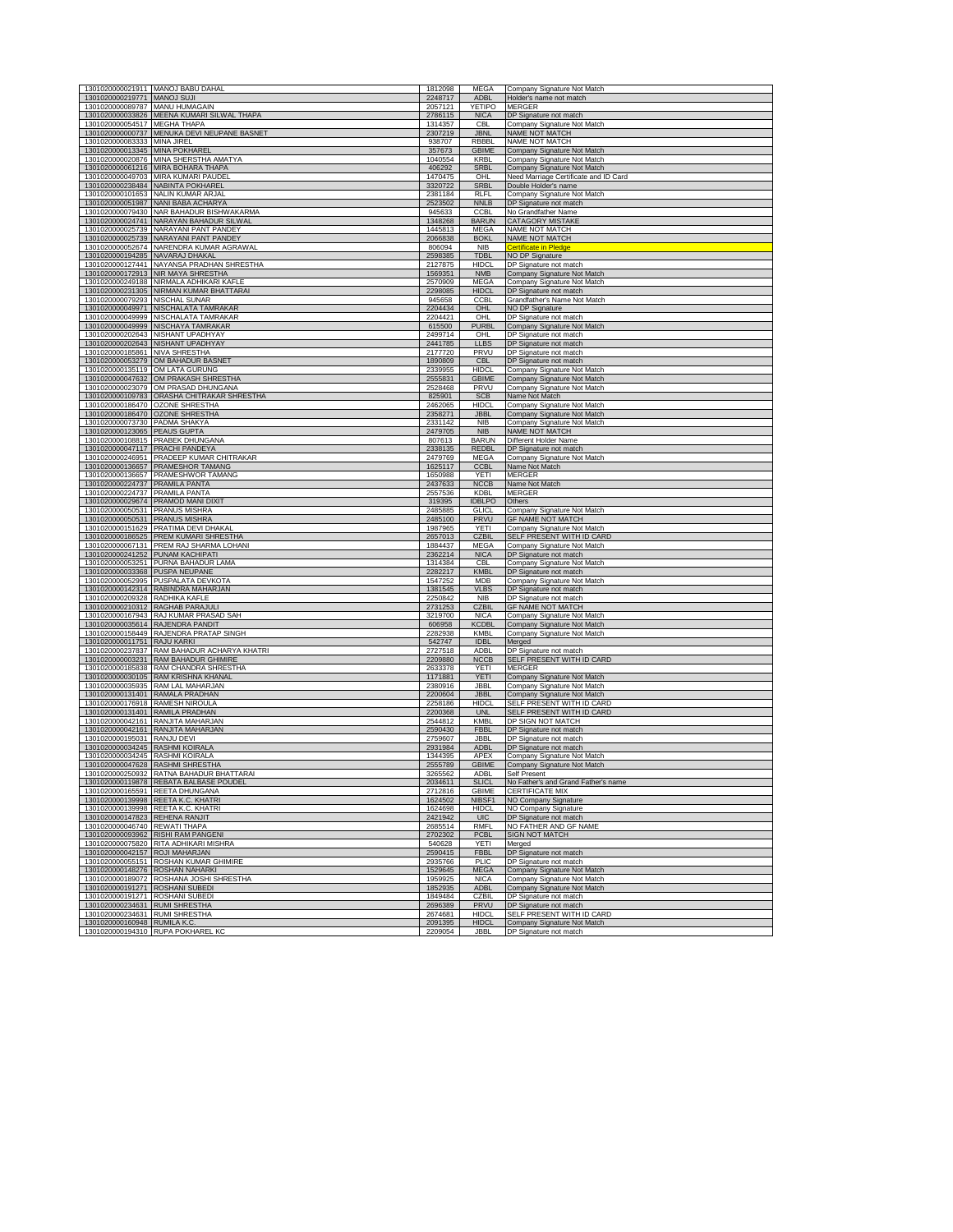|                                                                  | 1301020000021911 MANOJ BABU DAHAL                                                  | 1812098            | <b>MEGA</b>                 | Company Signature Not Match                                |
|------------------------------------------------------------------|------------------------------------------------------------------------------------|--------------------|-----------------------------|------------------------------------------------------------|
| 1301020000219771 MANOJ SUJI                                      |                                                                                    | 2248717            | <b>ADBL</b>                 | Holder's name not match                                    |
| 1301020000089787 MANU HUMAGAIN                                   | 1301020000033826 MEENA KUMARI SILWAL THAPA                                         | 2057121<br>2786115 | YETIPO<br><b>NICA</b>       | <b>MERGER</b><br>DP Signature not match                    |
| 1301020000054517 MEGHA THAPA                                     |                                                                                    | 1314357            | CBI                         | Company Signature Not Match                                |
|                                                                  | 1301020000000737 MENUKA DEVI NEUPANE BASNET                                        | 2307219            | <b>JBNL</b>                 | NAME NOT MATCH                                             |
| 1301020000083333 MINA JIREL                                      |                                                                                    | 938707             | <b>RBBBL</b>                | NAME NOT MATCH                                             |
| 1301020000013345 MINA POKHAREL                                   |                                                                                    | 357673             | <b>GBIME</b>                | Company Signature Not Match                                |
|                                                                  | 1301020000020876 MINA SHERSTHA AMATYA<br>1301020000061216 MIRA BOHARA THAPA        | 1040554<br>406292  | <b>KRB</b><br><b>SRBI</b>   | Company Signature Not Match<br>Company Signature Not Match |
|                                                                  | 1301020000049703 MIRA KUMARI PAUDEL                                                | 1470475            | OHL                         | Need Marriage Certificate and ID Card                      |
|                                                                  | 1301020000238484 NABINTA POKHAREL                                                  | 3320722            | <b>SRBL</b>                 | Double Holder's name                                       |
|                                                                  | 1301020000101653 NALIN KUMAR ARJAL                                                 | 2381184            | RI FI                       | Company Signature Not Match                                |
|                                                                  | 1301020000051987 NANI BABA ACHARYA                                                 | 2523502            | <b>NNLB</b>                 | DP Signature not match                                     |
|                                                                  | 1301020000079430 NAR BAHADUR BISHWAKARMA                                           | 945633             | <b>CCBL</b>                 | No Grandfather Name                                        |
|                                                                  | 1301020000024741 NARAYAN BAHADUR SILWAL<br>1301020000025739 NARAYANI PANT PANDEY   | 1348268<br>1445813 | <b>BARUN</b><br><b>MEGA</b> | <b>CATAGORY MISTAKE</b><br>NAME NOT MATCH                  |
| 1301020000025739                                                 | NARAYANI PANT PANDEY                                                               | 2066838            | <b>BOKL</b>                 | NAME NOT MATCH                                             |
|                                                                  | 1301020000052674 NARENDRA KUMAR AGRAWAL                                            | 806094             | <b>NIB</b>                  | <b>Certificate in Pledge</b>                               |
| 1301020000194285                                                 | NAVARAJ DHAKAI                                                                     | 2598385            | TDBL                        | NO DP Signature                                            |
|                                                                  | 1301020000127441 NAYANSA PRADHAN SHRESTHA                                          | 2127875            | <b>HIDCL</b>                | DP Signature not match                                     |
|                                                                  | 1301020000172913 NIR MAYA SHRESTHA<br>1301020000249188 NIRMALA ADHIKARI KAFLE      | 1569351<br>2570909 | <b>NMB</b><br>MEGA          | Company Signature Not Match<br>Company Signature Not Match |
|                                                                  | 1301020000231305 NIRMAN KUMAR BHATTARAI                                            | 2298085            | <b>HIDCL</b>                | DP Signature not match                                     |
| 1301020000079293 NISCHAL SUNAR                                   |                                                                                    | 945658             | <b>CCBL</b>                 | Grandfather's Name Not Match                               |
|                                                                  | 1301020000049971 NISCHALATA TAMRAKAR                                               | 2204434            | <b>OHL</b>                  | NO DP Signature                                            |
|                                                                  | 1301020000049999 NISCHALATA TAMRAKAR                                               | 2204421            | OHL                         | DP Signature not match                                     |
| 1301020000049999                                                 | <b>NISCHAYA TAMRAKAR</b>                                                           | 615500             | PURB                        | <b>Company Signature Not Match</b>                         |
| 1301020000202643                                                 | 1301020000202643 NISHANT UPADHYAY<br>NISHANT UPADHYAY                              | 2499714<br>2441785 | OHI<br>LLBS                 | DP Signature not match<br>DP Signature not match           |
| 1301020000185861 NIVA SHRESTHA                                   |                                                                                    | 2177720            | PRVU                        | DP Signature not match                                     |
|                                                                  | 1301020000053279 OM BAHADUR BASNET                                                 | 1890809            | <b>CBL</b>                  | DP Signature not match                                     |
|                                                                  | 1301020000135119 OM LATA GURUNG                                                    | 2339955            | <b>HIDCL</b>                | Company Signature Not Match                                |
|                                                                  | 1301020000047632 OM PRAKASH SHRESTHA                                               | 2555831            | <b>GBIME</b>                | Company Signature Not Match                                |
|                                                                  | 1301020000023079 OM PRASAD DHUNGANA                                                | 2528468            | PRVU                        | Company Signature Not Match                                |
|                                                                  | 1301020000109783 ORASHA CHITRAKAR SHRESTHA<br>1301020000186470 OZONE SHRESTHA      | 825901<br>2462065  | <b>SCB</b><br><b>HIDCL</b>  | Vame Not Match<br>Company Signature Not Match              |
|                                                                  | 1301020000186470 OZONE SHRESTHA                                                    | 2358271            | <b>JBBL</b>                 | Company Signature Not Match                                |
| 1301020000073730 PADMA SHAKYA                                    |                                                                                    | 2331142            | <b>NIB</b>                  | Company Signature Not Match                                |
| 1301020000123065 PEAUS GUPTA                                     |                                                                                    | 2479705            | <b>NIB</b>                  | NAME NOT MATCH                                             |
|                                                                  | 1301020000108815 PRABEK DHUNGANA                                                   | 807613             | BARUN                       | Different Holder Name                                      |
| 1301020000047117 PRACHI PANDEYA<br>1301020000246951              | PRADEEP KUMAR CHITRAKAR                                                            | 2338135<br>2479769 | <b>REDBL</b><br><b>MEGA</b> | DP Signature not match<br>Company Signature Not Match      |
|                                                                  | 1301020000136657 PRAMESHOR TAMANG                                                  | 1625117            | <b>CCBL</b>                 | Name Not Match                                             |
|                                                                  | 1301020000136657 PRAMESHWOR TAMANG                                                 | 1650988            | YETI                        | <b>MERGER</b>                                              |
| 1301020000224737 PRAMILA PANTA                                   |                                                                                    | 2437633            | <b>NCCB</b>                 | Name Not Match                                             |
| 1301020000224737 PRAMILA PANTA                                   |                                                                                    | 2557536            | <b>KDBL</b>                 | <b>MERGER</b>                                              |
|                                                                  | 1301020000029674 PRAMOD MANI DIXIT                                                 | 319395             | <b>IDBLPO</b>               | Others                                                     |
| 1301020000050531 PRANUS MISHRA<br>1301020000050531 PRANUS MISHRA |                                                                                    | 2485885<br>2485100 | <b>GLICL</b><br>PRVU        | Company Signature Not Match<br><b>GF NAME NOT MATCH</b>    |
|                                                                  | 1301020000151629 PRATIMA DEVI DHAKA                                                | 1987965            | <b>YETI</b>                 | Company Signature Not Match                                |
|                                                                  | 1301020000186525 PREM KUMARI SHRESTHA                                              | 2657013            | <b>CZBIL</b>                | SELF PRESENT WITH ID CARD                                  |
|                                                                  | 1301020000067131 PREM RAJ SHARMA LOHANI                                            | 1884437            | <b>MEGA</b>                 | Company Signature Not Match                                |
|                                                                  | 1301020000241252 PUNAM KACHIPATI<br>1301020000053251 PURNA BAHADUR LAMA            | 2362214<br>1314384 | <b>NICA</b><br>CBI          | DP Signature not match                                     |
| 1301020000033368 PUSPA NEUPANE                                   |                                                                                    | 2282217            | <b>KMBL</b>                 | Company Signature Not Match<br>DP Signature not match      |
|                                                                  | 1301020000052995 PUSPALATA DEVKOTA                                                 | 1547252            | <b>MDB</b>                  | Company Signature Not Match                                |
|                                                                  | 1301020000142314 RABINDRA MAHARJAN                                                 | 1381545            | <b>VLBS</b>                 | DP Signature not match                                     |
| 1301020000209328 RADHIKA KAFLE                                   |                                                                                    | 2250842            | <b>NIB</b>                  | DP Signature not match                                     |
|                                                                  | 1301020000210312 RAGHAB PARAJULI                                                   | 2731253<br>3219700 | <b>CZBII</b>                | <b>GF NAME NOT MATCH</b>                                   |
|                                                                  | 1301020000167943 RAJ KUMAR PRASAD SAH<br>1301020000035614 RAJENDRA PANDIT          | 606958             | <b>NICA</b><br>KCDBL        | Company Signature Not Match<br>Company Signature Not Match |
|                                                                  | 1301020000158449 RAJENDRA PRATAP SINGH                                             | 2282938            | KMBI                        | Company Signature Not Match                                |
| 1301020000011751 RAJU KARKI                                      |                                                                                    | 542747             | <b>IDBL</b>                 | Merged                                                     |
|                                                                  | 1301020000237837 RAM BAHADUR ACHARYA KHATRI                                        | 2727518            | <b>ADBL</b>                 | DP Signature not match                                     |
|                                                                  | 1301020000003231 RAM BAHADUR GHIMIRE                                               | 2209880            | <b>NCCB</b>                 | SELF PRESENT WITH ID CARD                                  |
| 1301020000030105                                                 | 1301020000185838 RAM CHANDRA SHRESTHA<br><b>RAM KRISHNA KHANAI</b>                 | 2633378<br>1171881 | <b>YETI</b><br><b>YETI</b>  | <b>MERGER</b><br>Company Signature Not Match               |
|                                                                  | 1301020000035935 RAM LAL MAHARJAN                                                  | 2380916            | JBBI                        | Company Signature Not Match                                |
|                                                                  | 1301020000131401 RAMALA PRADHAN                                                    | 2200604            | <b>JBBL</b>                 | Company Signature Not Match                                |
|                                                                  | 1301020000176918 RAMESH NIROULA                                                    | 2258186            | <b>HIDCI</b>                | SELF PRESENT WITH ID CARD                                  |
| 1301020000131401 RAMILA PRADHAN                                  | 1301020000042161 RANJITA MAHARJAN                                                  | 2200368<br>2544812 | <b>UNL</b><br>KMBI          | SELF PRESENT WITH ID CARD<br>DP SIGN NOT MATCH             |
|                                                                  | 1301020000042161 RANJITA MAHARJAN                                                  | 2590430            | <b>FBBI</b>                 | DP Signature not match                                     |
| 1301020000195031 RANJU DEVI                                      |                                                                                    | 2759607            | <b>JBBI</b>                 | DP Signature not match                                     |
| 1301020000034245 RASHMI KOIRALA                                  |                                                                                    | 2931984            | <b>ADBI</b>                 | DP Signature not match                                     |
| 1301020000034245 RASHMI KOIRALA                                  |                                                                                    | 1344395            | APEX                        | Company Signature Not Match                                |
|                                                                  | 1301020000047628 RASHMI SHRESTHA                                                   | 2555789            | <b>GBIME</b>                | Company Signature Not Match                                |
|                                                                  | 1301020000250932 RATNA BAHADUR BHATTARAI<br>1301020000119878 REBATA BALBASE POUDEL | 3265562<br>2034611 | ADBL<br>SLICI               | Self Present<br>No Eather's and Grand Eather's na          |
|                                                                  | 1301020000165591 REETA DHUNGANA                                                    | 2712816            | GBIME                       | <b>CERTIFICATE MIX</b>                                     |
|                                                                  | 1301020000139998 REETA K.C. KHATRI                                                 | 1624502            | NIBSF1                      | NO Company Signature                                       |
|                                                                  | 1301020000139998 REETA K.C. KHATRI                                                 | 1624698            | <b>HIDCL</b>                | NO Company Signature                                       |
| 1301020000147823 REHENA RANJIT<br>1301020000046740 REWATI THAPA  |                                                                                    | 2421942            | UIC                         | DP Signature not match<br>NO FATHER AND GF NAME            |
|                                                                  | 1301020000093962 RISHI RAM PANGEN                                                  | 2685514<br>2702302 | RMFL<br><b>PCBL</b>         | <b>SIGN NOT MATCH</b>                                      |
|                                                                  | 1301020000075820 RITA ADHIKARI MISHRA                                              | 540628             | YETI                        | Merged                                                     |
| 1301020000042157 ROJI MAHARJAN                                   |                                                                                    | 2590415            | <b>FBBL</b>                 | DP Signature not match                                     |
|                                                                  | 1301020000055151 ROSHAN KUMAR GHIMIRE                                              | 2935766            | PLIC                        | DP Signature not match                                     |
|                                                                  | 1301020000148276 ROSHAN NAHARKI                                                    | 1529645            | <b>MEGA</b>                 | Company Signature Not Match                                |
| 1301020000191271 ROSHANI SUBEDI                                  | 1301020000189072 ROSHANA JOSHI SHRESTHA                                            | 1959925<br>1852935 | <b>NICA</b><br><b>ADBL</b>  | Company Signature Not Match<br>Company Signature Not Match |
| 1301020000191271 ROSHANI SUBEDI                                  |                                                                                    | 1849484            | CZBIL                       | DP Signature not match                                     |
| 1301020000234631 RUMI SHRESTHA                                   |                                                                                    | 2696389            | <b>PRVU</b>                 | DP Signature not match                                     |
| 1301020000234631 RUMI SHRESTHA                                   |                                                                                    | 2674681            | <b>HIDCL</b>                | SELF PRESENT WITH ID CARD                                  |
| 1301020000160948 RUMILA K.C.                                     |                                                                                    | 2091395            | <b>HIDCL</b>                | Company Signature Not Match                                |
|                                                                  | 1301020000194310 RUPA POKHAREL KC                                                  | 2209054            | <b>JBBI</b>                 | DP Signature not match                                     |